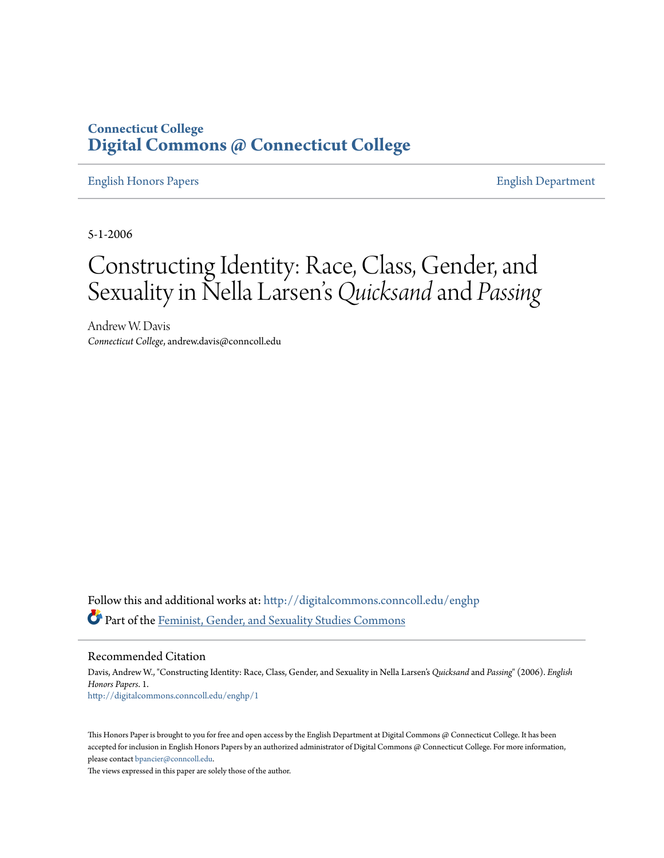## **Connecticut College [Digital Commons @ Connecticut College](http://digitalcommons.conncoll.edu?utm_source=digitalcommons.conncoll.edu%2Fenghp%2F1&utm_medium=PDF&utm_campaign=PDFCoverPages)**

#### [English Honors Papers](http://digitalcommons.conncoll.edu/enghp?utm_source=digitalcommons.conncoll.edu%2Fenghp%2F1&utm_medium=PDF&utm_campaign=PDFCoverPages) [English Department](http://digitalcommons.conncoll.edu/english?utm_source=digitalcommons.conncoll.edu%2Fenghp%2F1&utm_medium=PDF&utm_campaign=PDFCoverPages)

5-1-2006

# Constructing Identity: Race, Class, Gender, and Sexuality in Nella Larsen s*Quicksand* and *Passing* י<br>'.

Andrew W. Davis *Connecticut College*, andrew.davis@conncoll.edu

Follow this and additional works at: [http://digitalcommons.conncoll.edu/enghp](http://digitalcommons.conncoll.edu/enghp?utm_source=digitalcommons.conncoll.edu%2Fenghp%2F1&utm_medium=PDF&utm_campaign=PDFCoverPages) Part of the [Feminist, Gender, and Sexuality Studies Commons](http://network.bepress.com/hgg/discipline/559?utm_source=digitalcommons.conncoll.edu%2Fenghp%2F1&utm_medium=PDF&utm_campaign=PDFCoverPages)

Recommended Citation

Davis, Andrew W., "Constructing Identity: Race, Class, Gender, and Sexuality in Nella Larsen's *Quicksand* and *Passing*" (2006). *English Honors Papers*. 1. [http://digitalcommons.conncoll.edu/enghp/1](http://digitalcommons.conncoll.edu/enghp/1?utm_source=digitalcommons.conncoll.edu%2Fenghp%2F1&utm_medium=PDF&utm_campaign=PDFCoverPages)

This Honors Paper is brought to you for free and open access by the English Department at Digital Commons @ Connecticut College. It has been accepted for inclusion in English Honors Papers by an authorized administrator of Digital Commons @ Connecticut College. For more information, please contact [bpancier@conncoll.edu](mailto:bpancier@conncoll.edu).

The views expressed in this paper are solely those of the author.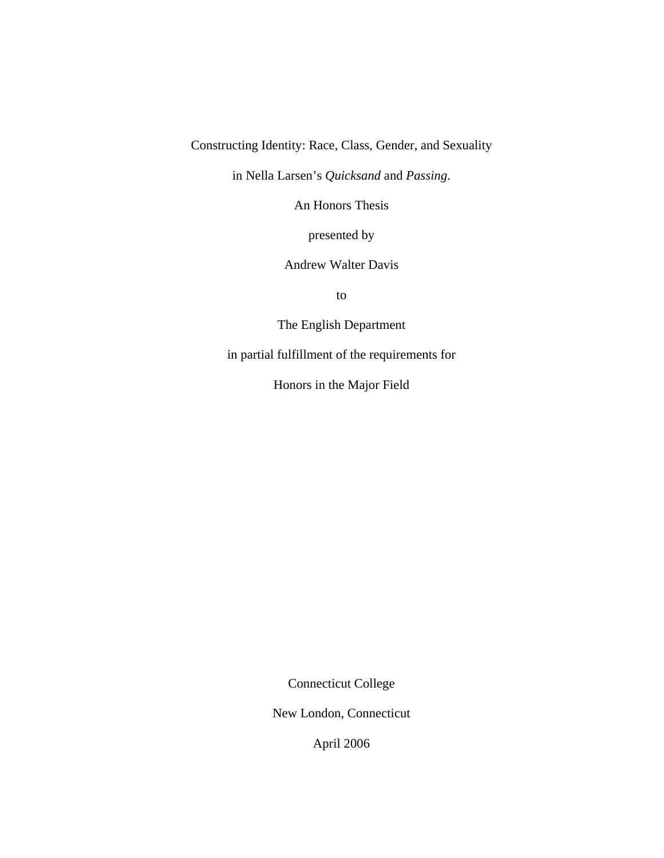Constructing Identity: Race, Class, Gender, and Sexuality

in Nella Larsen's *Quicksand* and *Passing*.

An Honors Thesis

presented by

Andrew Walter Davis

to

The English Department

in partial fulfillment of the requirements for

Honors in the Major Field

Connecticut College

New London, Connecticut

April 2006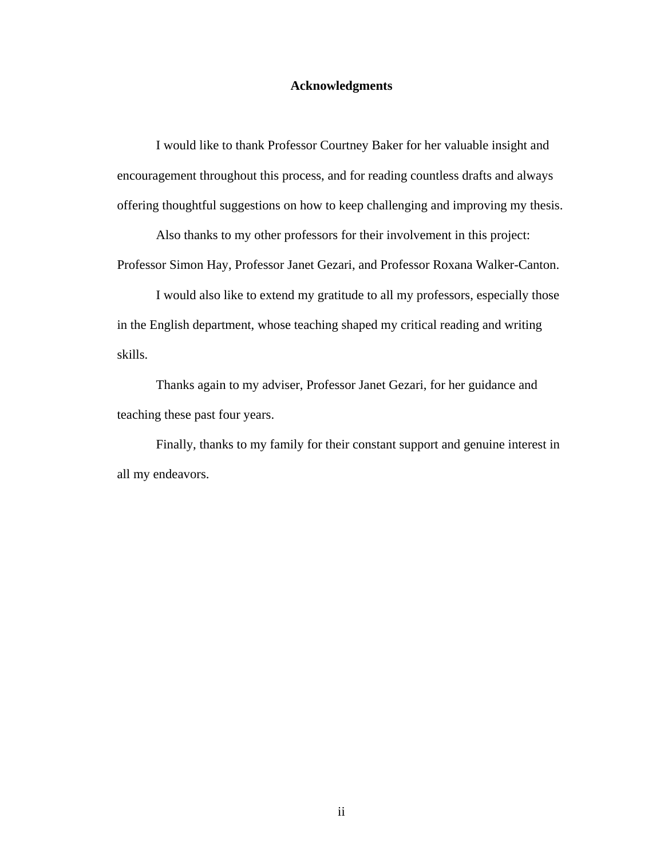#### **Acknowledgments**

 I would like to thank Professor Courtney Baker for her valuable insight and encouragement throughout this process, and for reading countless drafts and always offering thoughtful suggestions on how to keep challenging and improving my thesis.

 Also thanks to my other professors for their involvement in this project: Professor Simon Hay, Professor Janet Gezari, and Professor Roxana Walker-Canton.

 I would also like to extend my gratitude to all my professors, especially those in the English department, whose teaching shaped my critical reading and writing skills.

Thanks again to my adviser, Professor Janet Gezari, for her guidance and teaching these past four years.

 Finally, thanks to my family for their constant support and genuine interest in all my endeavors.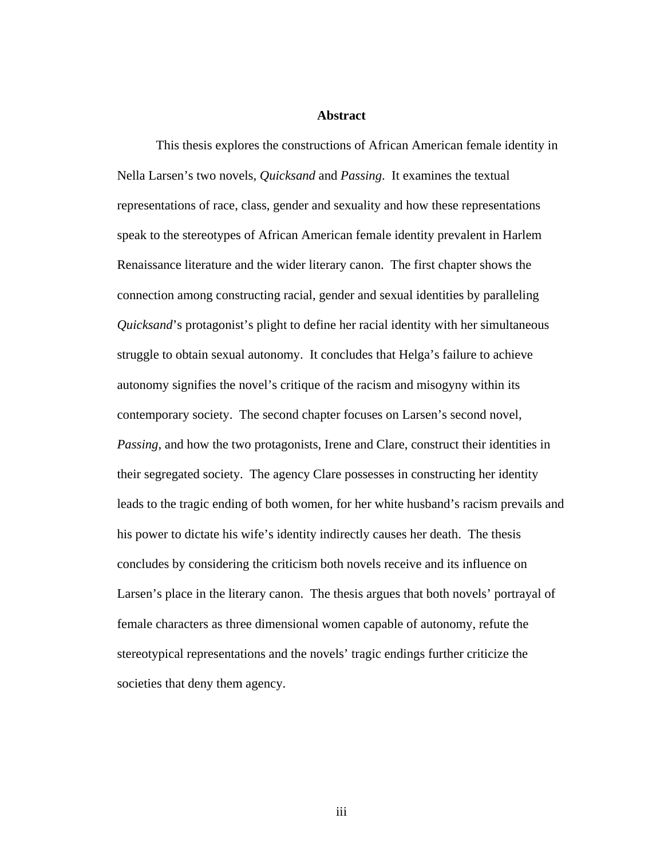#### **Abstract**

 This thesis explores the constructions of African American female identity in Nella Larsen's two novels, *Quicksand* and *Passing*. It examines the textual representations of race, class, gender and sexuality and how these representations speak to the stereotypes of African American female identity prevalent in Harlem Renaissance literature and the wider literary canon. The first chapter shows the connection among constructing racial, gender and sexual identities by paralleling *Quicksand*'s protagonist's plight to define her racial identity with her simultaneous struggle to obtain sexual autonomy. It concludes that Helga's failure to achieve autonomy signifies the novel's critique of the racism and misogyny within its contemporary society. The second chapter focuses on Larsen's second novel, *Passing*, and how the two protagonists, Irene and Clare, construct their identities in their segregated society. The agency Clare possesses in constructing her identity leads to the tragic ending of both women, for her white husband's racism prevails and his power to dictate his wife's identity indirectly causes her death. The thesis concludes by considering the criticism both novels receive and its influence on Larsen's place in the literary canon. The thesis argues that both novels' portrayal of female characters as three dimensional women capable of autonomy, refute the stereotypical representations and the novels' tragic endings further criticize the societies that deny them agency.

iii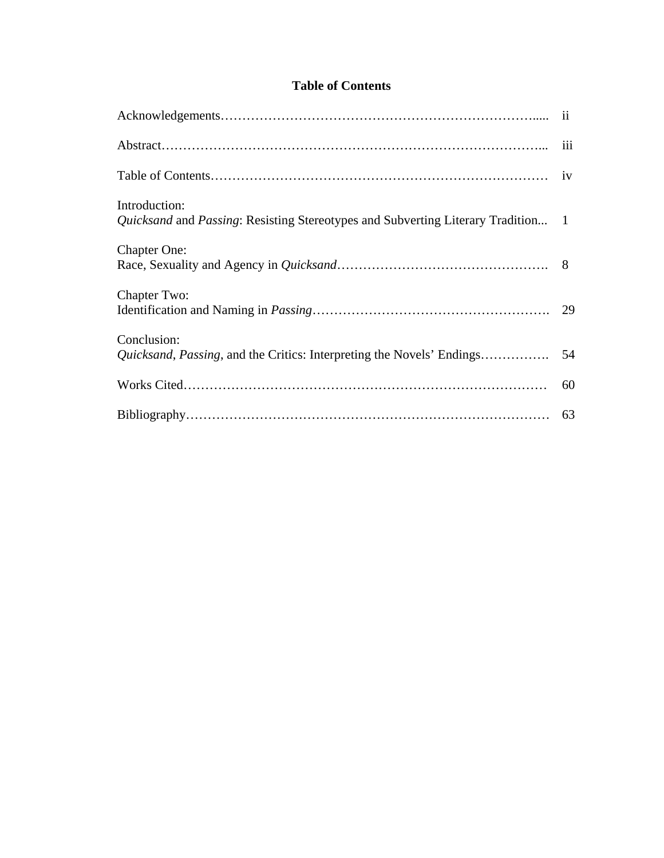### **Table of Contents**

| Introduction:<br><i>Quicksand</i> and <i>Passing</i> : Resisting Stereotypes and Subverting Literary Tradition 1 |    |
|------------------------------------------------------------------------------------------------------------------|----|
| <b>Chapter One:</b>                                                                                              |    |
| Chapter Two:                                                                                                     |    |
| Conclusion:<br>Quicksand, Passing, and the Critics: Interpreting the Novels' Endings                             | 54 |
|                                                                                                                  | 60 |
|                                                                                                                  |    |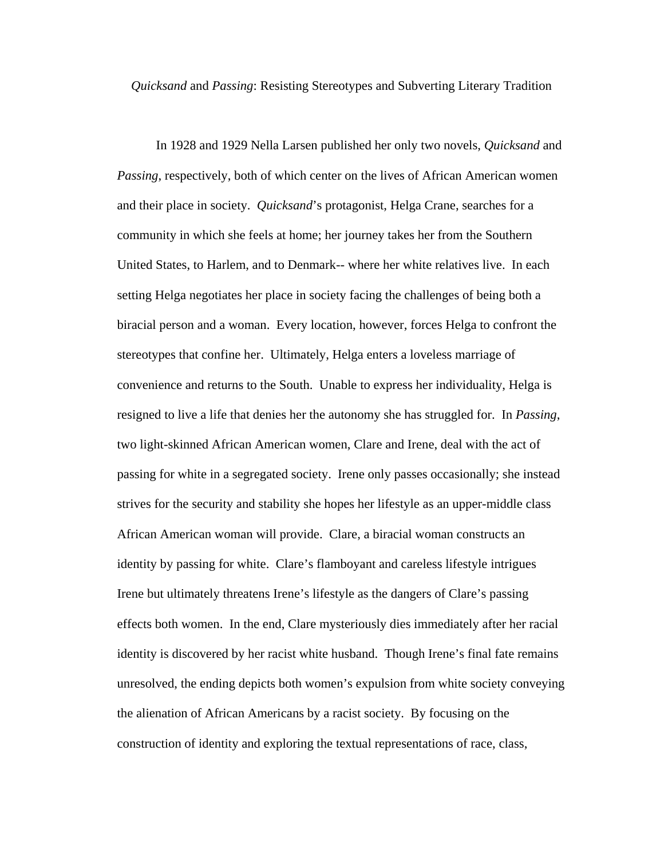*Quicksand* and *Passing*: Resisting Stereotypes and Subverting Literary Tradition

 In 1928 and 1929 Nella Larsen published her only two novels, *Quicksand* and *Passing*, respectively, both of which center on the lives of African American women and their place in society. *Quicksand*'s protagonist, Helga Crane, searches for a community in which she feels at home; her journey takes her from the Southern United States, to Harlem, and to Denmark-- where her white relatives live. In each setting Helga negotiates her place in society facing the challenges of being both a biracial person and a woman. Every location, however, forces Helga to confront the stereotypes that confine her. Ultimately, Helga enters a loveless marriage of convenience and returns to the South. Unable to express her individuality, Helga is resigned to live a life that denies her the autonomy she has struggled for. In *Passing*, two light-skinned African American women, Clare and Irene, deal with the act of passing for white in a segregated society. Irene only passes occasionally; she instead strives for the security and stability she hopes her lifestyle as an upper-middle class African American woman will provide. Clare, a biracial woman constructs an identity by passing for white. Clare's flamboyant and careless lifestyle intrigues Irene but ultimately threatens Irene's lifestyle as the dangers of Clare's passing effects both women. In the end, Clare mysteriously dies immediately after her racial identity is discovered by her racist white husband. Though Irene's final fate remains unresolved, the ending depicts both women's expulsion from white society conveying the alienation of African Americans by a racist society. By focusing on the construction of identity and exploring the textual representations of race, class,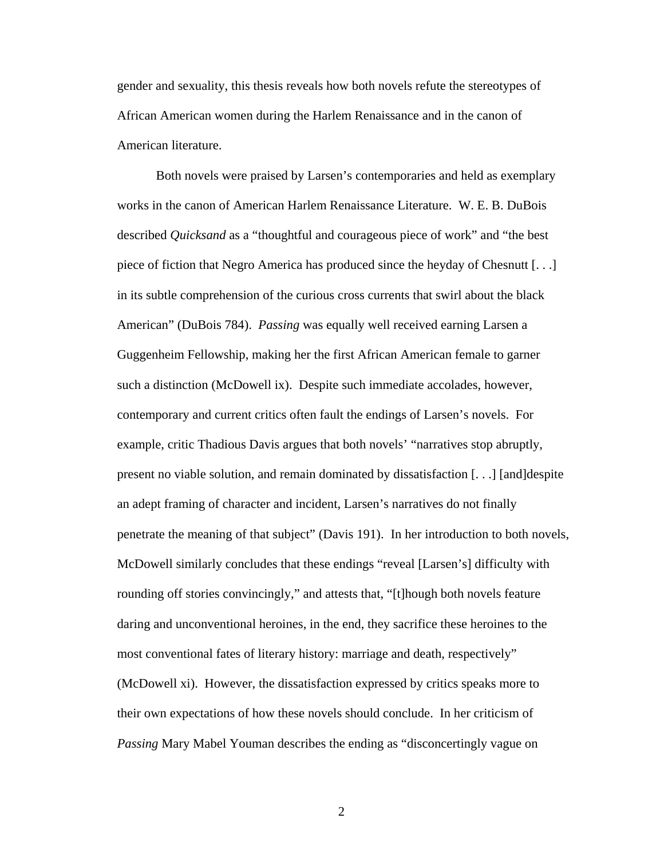gender and sexuality, this thesis reveals how both novels refute the stereotypes of African American women during the Harlem Renaissance and in the canon of American literature.

 Both novels were praised by Larsen's contemporaries and held as exemplary works in the canon of American Harlem Renaissance Literature. W. E. B. DuBois described *Quicksand* as a "thoughtful and courageous piece of work" and "the best piece of fiction that Negro America has produced since the heyday of Chesnutt [. . .] in its subtle comprehension of the curious cross currents that swirl about the black American" (DuBois 784). *Passing* was equally well received earning Larsen a Guggenheim Fellowship, making her the first African American female to garner such a distinction (McDowell ix). Despite such immediate accolades, however, contemporary and current critics often fault the endings of Larsen's novels. For example, critic Thadious Davis argues that both novels' "narratives stop abruptly, present no viable solution, and remain dominated by dissatisfaction [. . .] [and]despite an adept framing of character and incident, Larsen's narratives do not finally penetrate the meaning of that subject" (Davis 191). In her introduction to both novels, McDowell similarly concludes that these endings "reveal [Larsen's] difficulty with rounding off stories convincingly," and attests that, "[t]hough both novels feature daring and unconventional heroines, in the end, they sacrifice these heroines to the most conventional fates of literary history: marriage and death, respectively" (McDowell xi). However, the dissatisfaction expressed by critics speaks more to their own expectations of how these novels should conclude. In her criticism of *Passing* Mary Mabel Youman describes the ending as "disconcertingly vague on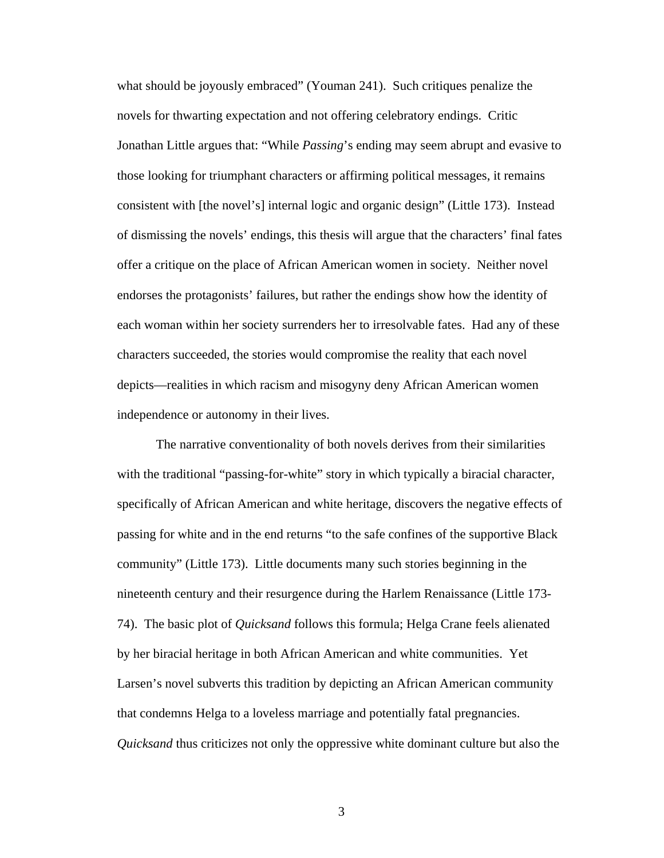what should be joyously embraced" (Youman 241). Such critiques penalize the novels for thwarting expectation and not offering celebratory endings. Critic Jonathan Little argues that: "While *Passing*'s ending may seem abrupt and evasive to those looking for triumphant characters or affirming political messages, it remains consistent with [the novel's] internal logic and organic design" (Little 173). Instead of dismissing the novels' endings, this thesis will argue that the characters' final fates offer a critique on the place of African American women in society. Neither novel endorses the protagonists' failures, but rather the endings show how the identity of each woman within her society surrenders her to irresolvable fates. Had any of these characters succeeded, the stories would compromise the reality that each novel depicts—realities in which racism and misogyny deny African American women independence or autonomy in their lives.

 The narrative conventionality of both novels derives from their similarities with the traditional "passing-for-white" story in which typically a biracial character, specifically of African American and white heritage, discovers the negative effects of passing for white and in the end returns "to the safe confines of the supportive Black community" (Little 173). Little documents many such stories beginning in the nineteenth century and their resurgence during the Harlem Renaissance (Little 173- 74). The basic plot of *Quicksand* follows this formula; Helga Crane feels alienated by her biracial heritage in both African American and white communities. Yet Larsen's novel subverts this tradition by depicting an African American community that condemns Helga to a loveless marriage and potentially fatal pregnancies. *Quicksand* thus criticizes not only the oppressive white dominant culture but also the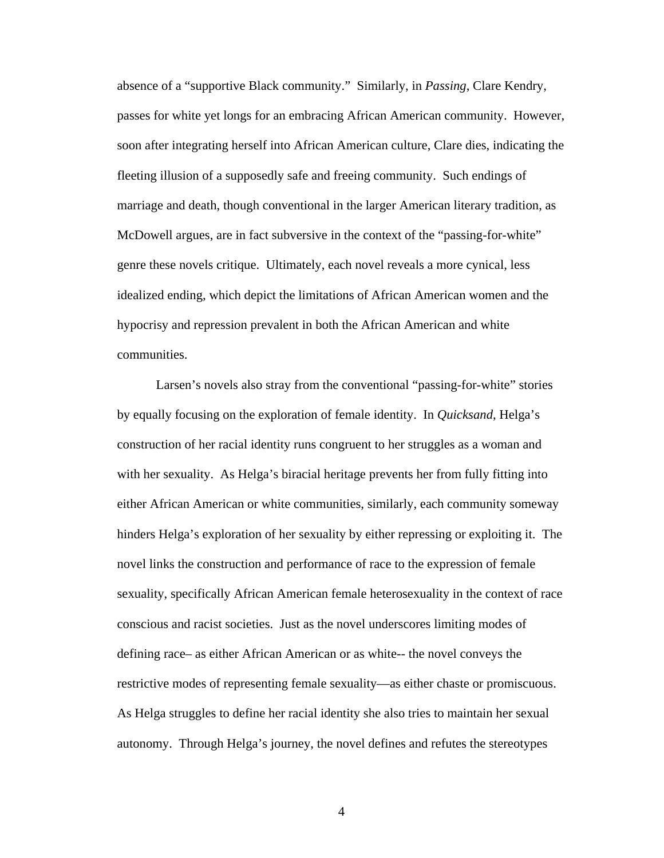absence of a "supportive Black community." Similarly, in *Passing*, Clare Kendry, passes for white yet longs for an embracing African American community. However, soon after integrating herself into African American culture, Clare dies, indicating the fleeting illusion of a supposedly safe and freeing community. Such endings of marriage and death, though conventional in the larger American literary tradition, as McDowell argues, are in fact subversive in the context of the "passing-for-white" genre these novels critique. Ultimately, each novel reveals a more cynical, less idealized ending, which depict the limitations of African American women and the hypocrisy and repression prevalent in both the African American and white communities.

 Larsen's novels also stray from the conventional "passing-for-white" stories by equally focusing on the exploration of female identity. In *Quicksand*, Helga's construction of her racial identity runs congruent to her struggles as a woman and with her sexuality. As Helga's biracial heritage prevents her from fully fitting into either African American or white communities, similarly, each community someway hinders Helga's exploration of her sexuality by either repressing or exploiting it. The novel links the construction and performance of race to the expression of female sexuality, specifically African American female heterosexuality in the context of race conscious and racist societies. Just as the novel underscores limiting modes of defining race– as either African American or as white-- the novel conveys the restrictive modes of representing female sexuality—as either chaste or promiscuous. As Helga struggles to define her racial identity she also tries to maintain her sexual autonomy. Through Helga's journey, the novel defines and refutes the stereotypes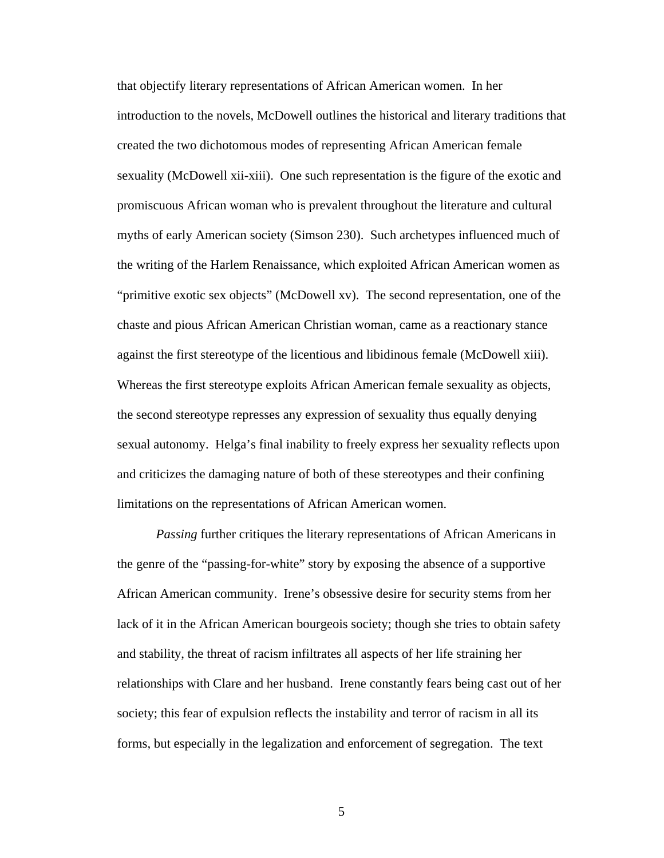that objectify literary representations of African American women. In her introduction to the novels, McDowell outlines the historical and literary traditions that created the two dichotomous modes of representing African American female sexuality (McDowell xii-xiii). One such representation is the figure of the exotic and promiscuous African woman who is prevalent throughout the literature and cultural myths of early American society (Simson 230). Such archetypes influenced much of the writing of the Harlem Renaissance, which exploited African American women as "primitive exotic sex objects" (McDowell xv). The second representation, one of the chaste and pious African American Christian woman, came as a reactionary stance against the first stereotype of the licentious and libidinous female (McDowell xiii). Whereas the first stereotype exploits African American female sexuality as objects, the second stereotype represses any expression of sexuality thus equally denying sexual autonomy. Helga's final inability to freely express her sexuality reflects upon and criticizes the damaging nature of both of these stereotypes and their confining limitations on the representations of African American women.

*Passing* further critiques the literary representations of African Americans in the genre of the "passing-for-white" story by exposing the absence of a supportive African American community. Irene's obsessive desire for security stems from her lack of it in the African American bourgeois society; though she tries to obtain safety and stability, the threat of racism infiltrates all aspects of her life straining her relationships with Clare and her husband. Irene constantly fears being cast out of her society; this fear of expulsion reflects the instability and terror of racism in all its forms, but especially in the legalization and enforcement of segregation. The text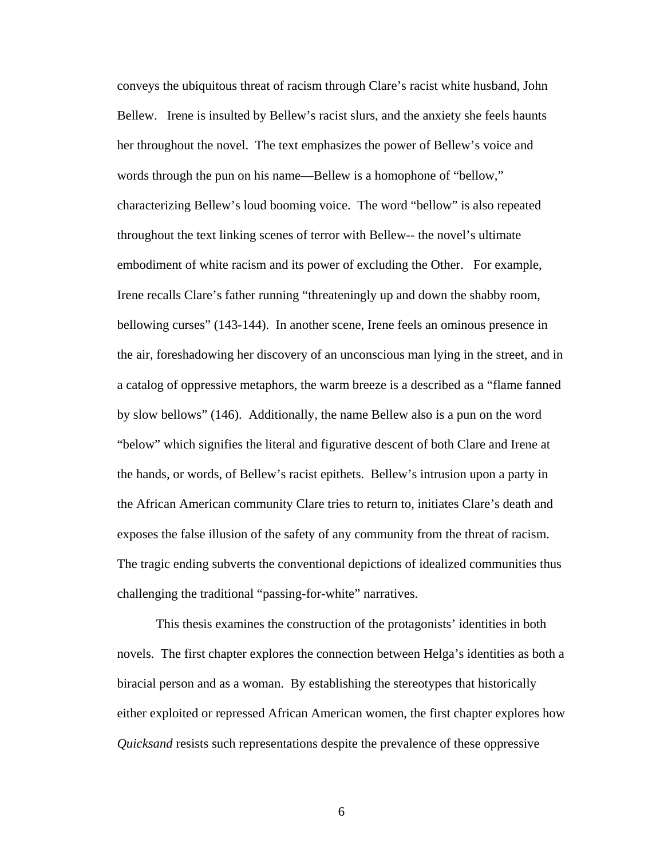conveys the ubiquitous threat of racism through Clare's racist white husband, John Bellew. Irene is insulted by Bellew's racist slurs, and the anxiety she feels haunts her throughout the novel. The text emphasizes the power of Bellew's voice and words through the pun on his name—Bellew is a homophone of "bellow," characterizing Bellew's loud booming voice. The word "bellow" is also repeated throughout the text linking scenes of terror with Bellew-- the novel's ultimate embodiment of white racism and its power of excluding the Other. For example, Irene recalls Clare's father running "threateningly up and down the shabby room, bellowing curses" (143-144). In another scene, Irene feels an ominous presence in the air, foreshadowing her discovery of an unconscious man lying in the street, and in a catalog of oppressive metaphors, the warm breeze is a described as a "flame fanned by slow bellows" (146). Additionally, the name Bellew also is a pun on the word "below" which signifies the literal and figurative descent of both Clare and Irene at the hands, or words, of Bellew's racist epithets. Bellew's intrusion upon a party in the African American community Clare tries to return to, initiates Clare's death and exposes the false illusion of the safety of any community from the threat of racism. The tragic ending subverts the conventional depictions of idealized communities thus challenging the traditional "passing-for-white" narratives.

 This thesis examines the construction of the protagonists' identities in both novels. The first chapter explores the connection between Helga's identities as both a biracial person and as a woman. By establishing the stereotypes that historically either exploited or repressed African American women, the first chapter explores how *Quicksand* resists such representations despite the prevalence of these oppressive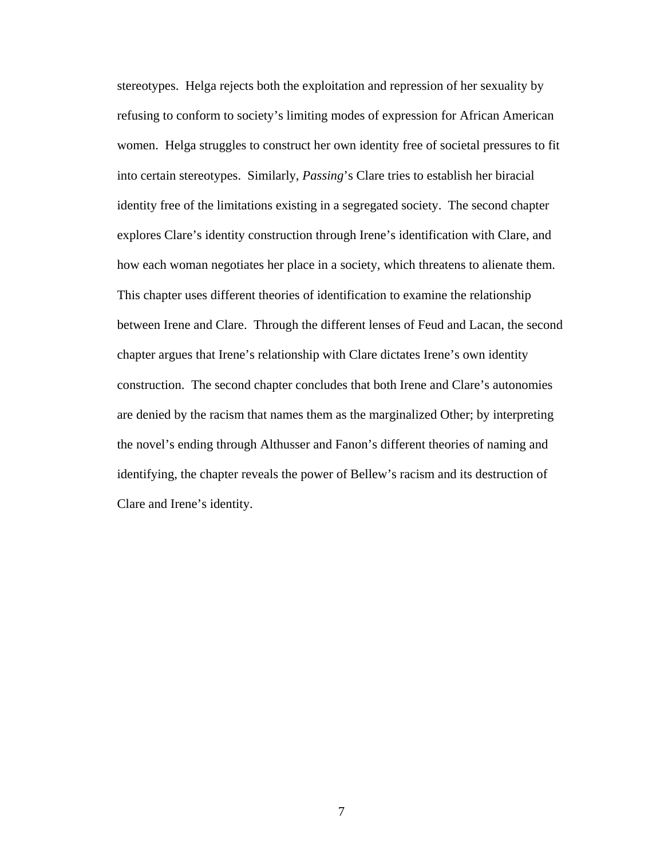stereotypes. Helga rejects both the exploitation and repression of her sexuality by refusing to conform to society's limiting modes of expression for African American women. Helga struggles to construct her own identity free of societal pressures to fit into certain stereotypes. Similarly, *Passing*'s Clare tries to establish her biracial identity free of the limitations existing in a segregated society. The second chapter explores Clare's identity construction through Irene's identification with Clare, and how each woman negotiates her place in a society, which threatens to alienate them. This chapter uses different theories of identification to examine the relationship between Irene and Clare. Through the different lenses of Feud and Lacan, the second chapter argues that Irene's relationship with Clare dictates Irene's own identity construction. The second chapter concludes that both Irene and Clare's autonomies are denied by the racism that names them as the marginalized Other; by interpreting the novel's ending through Althusser and Fanon's different theories of naming and identifying, the chapter reveals the power of Bellew's racism and its destruction of Clare and Irene's identity.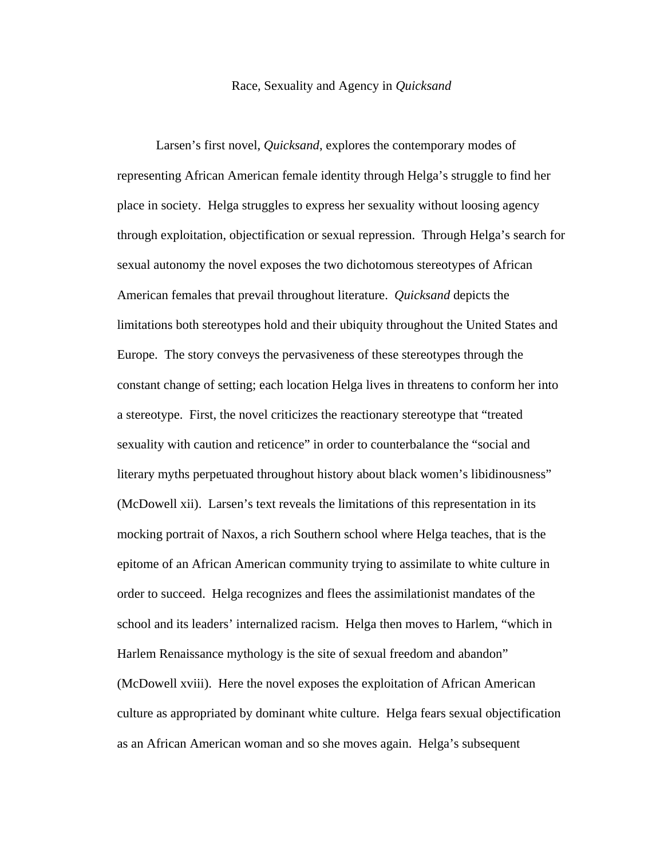#### Race, Sexuality and Agency in *Quicksand*

Larsen's first novel, *Quicksand*, explores the contemporary modes of representing African American female identity through Helga's struggle to find her place in society. Helga struggles to express her sexuality without loosing agency through exploitation, objectification or sexual repression. Through Helga's search for sexual autonomy the novel exposes the two dichotomous stereotypes of African American females that prevail throughout literature. *Quicksand* depicts the limitations both stereotypes hold and their ubiquity throughout the United States and Europe. The story conveys the pervasiveness of these stereotypes through the constant change of setting; each location Helga lives in threatens to conform her into a stereotype. First, the novel criticizes the reactionary stereotype that "treated sexuality with caution and reticence" in order to counterbalance the "social and literary myths perpetuated throughout history about black women's libidinousness" (McDowell xii). Larsen's text reveals the limitations of this representation in its mocking portrait of Naxos, a rich Southern school where Helga teaches, that is the epitome of an African American community trying to assimilate to white culture in order to succeed. Helga recognizes and flees the assimilationist mandates of the school and its leaders' internalized racism. Helga then moves to Harlem, "which in Harlem Renaissance mythology is the site of sexual freedom and abandon" (McDowell xviii). Here the novel exposes the exploitation of African American culture as appropriated by dominant white culture. Helga fears sexual objectification as an African American woman and so she moves again. Helga's subsequent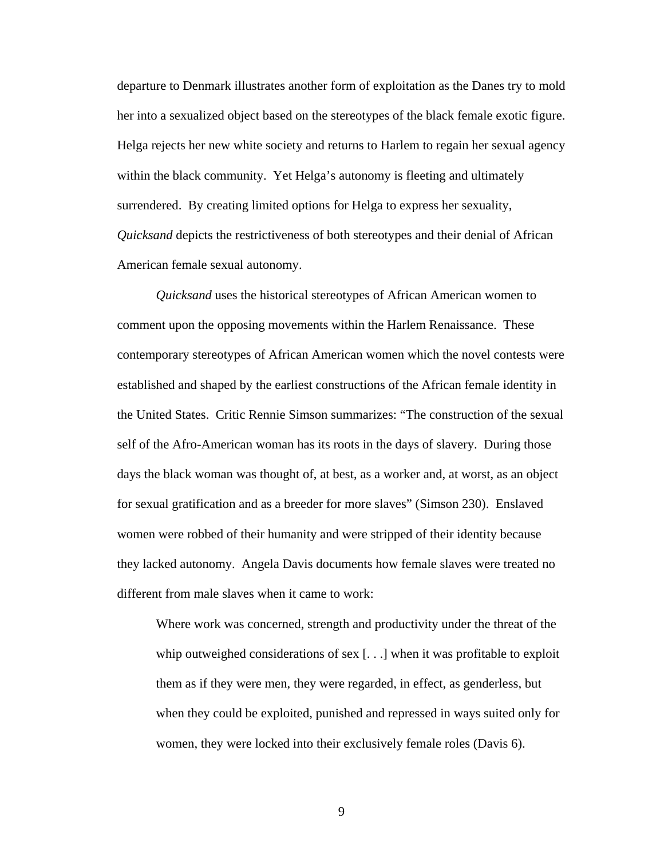departure to Denmark illustrates another form of exploitation as the Danes try to mold her into a sexualized object based on the stereotypes of the black female exotic figure. Helga rejects her new white society and returns to Harlem to regain her sexual agency within the black community. Yet Helga's autonomy is fleeting and ultimately surrendered. By creating limited options for Helga to express her sexuality, *Quicksand* depicts the restrictiveness of both stereotypes and their denial of African American female sexual autonomy.

*Quicksand* uses the historical stereotypes of African American women to comment upon the opposing movements within the Harlem Renaissance. These contemporary stereotypes of African American women which the novel contests were established and shaped by the earliest constructions of the African female identity in the United States. Critic Rennie Simson summarizes: "The construction of the sexual self of the Afro-American woman has its roots in the days of slavery. During those days the black woman was thought of, at best, as a worker and, at worst, as an object for sexual gratification and as a breeder for more slaves" (Simson 230). Enslaved women were robbed of their humanity and were stripped of their identity because they lacked autonomy. Angela Davis documents how female slaves were treated no different from male slaves when it came to work:

Where work was concerned, strength and productivity under the threat of the whip outweighed considerations of sex [. . .] when it was profitable to exploit them as if they were men, they were regarded, in effect, as genderless, but when they could be exploited, punished and repressed in ways suited only for women, they were locked into their exclusively female roles (Davis 6).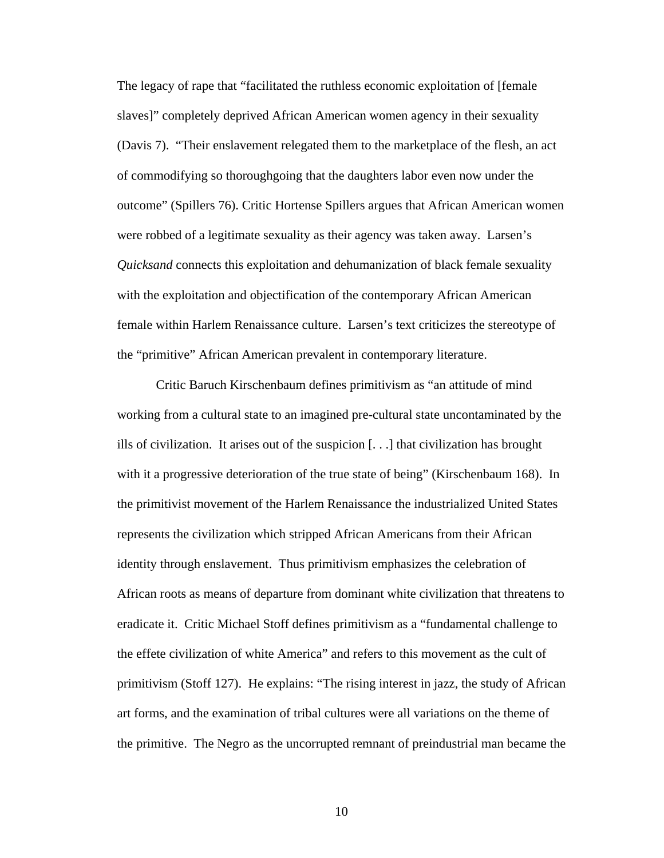The legacy of rape that "facilitated the ruthless economic exploitation of [female slaves]" completely deprived African American women agency in their sexuality (Davis 7). "Their enslavement relegated them to the marketplace of the flesh, an act of commodifying so thoroughgoing that the daughters labor even now under the outcome" (Spillers 76). Critic Hortense Spillers argues that African American women were robbed of a legitimate sexuality as their agency was taken away. Larsen's *Quicksand* connects this exploitation and dehumanization of black female sexuality with the exploitation and objectification of the contemporary African American female within Harlem Renaissance culture. Larsen's text criticizes the stereotype of the "primitive" African American prevalent in contemporary literature.

 Critic Baruch Kirschenbaum defines primitivism as "an attitude of mind working from a cultural state to an imagined pre-cultural state uncontaminated by the ills of civilization. It arises out of the suspicion [. . .] that civilization has brought with it a progressive deterioration of the true state of being" (Kirschenbaum 168). In the primitivist movement of the Harlem Renaissance the industrialized United States represents the civilization which stripped African Americans from their African identity through enslavement. Thus primitivism emphasizes the celebration of African roots as means of departure from dominant white civilization that threatens to eradicate it. Critic Michael Stoff defines primitivism as a "fundamental challenge to the effete civilization of white America" and refers to this movement as the cult of primitivism (Stoff 127). He explains: "The rising interest in jazz, the study of African art forms, and the examination of tribal cultures were all variations on the theme of the primitive. The Negro as the uncorrupted remnant of preindustrial man became the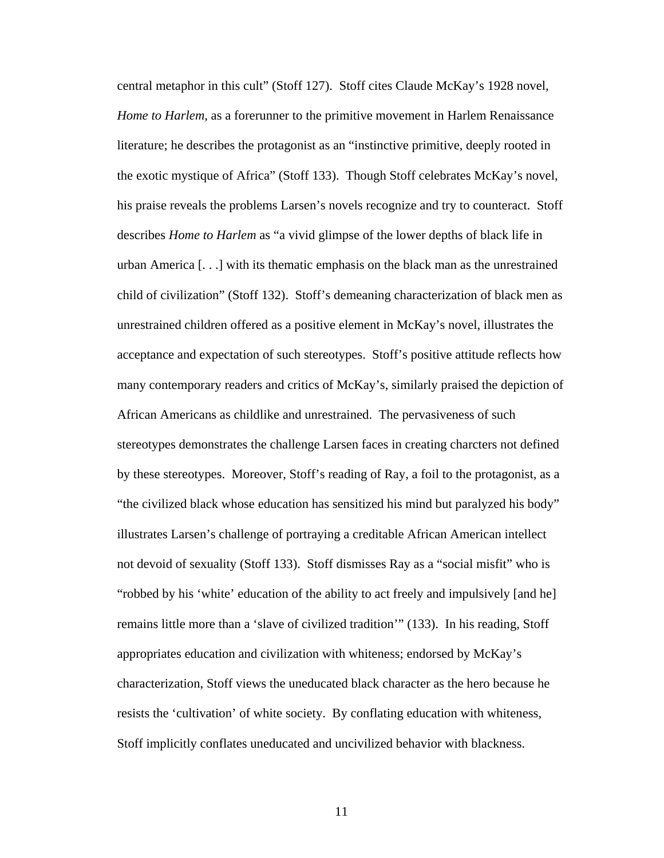central metaphor in this cult" (Stoff 127). Stoff cites Claude McKay's 1928 novel, *Home to Harlem*, as a forerunner to the primitive movement in Harlem Renaissance literature; he describes the protagonist as an "instinctive primitive, deeply rooted in the exotic mystique of Africa" (Stoff 133). Though Stoff celebrates McKay's novel, his praise reveals the problems Larsen's novels recognize and try to counteract. Stoff describes *Home to Harlem* as "a vivid glimpse of the lower depths of black life in urban America [. . .] with its thematic emphasis on the black man as the unrestrained child of civilization" (Stoff 132). Stoff's demeaning characterization of black men as unrestrained children offered as a positive element in McKay's novel, illustrates the acceptance and expectation of such stereotypes. Stoff's positive attitude reflects how many contemporary readers and critics of McKay's, similarly praised the depiction of African Americans as childlike and unrestrained. The pervasiveness of such stereotypes demonstrates the challenge Larsen faces in creating charcters not defined by these stereotypes. Moreover, Stoff's reading of Ray, a foil to the protagonist, as a "the civilized black whose education has sensitized his mind but paralyzed his body" illustrates Larsen's challenge of portraying a creditable African American intellect not devoid of sexuality (Stoff 133). Stoff dismisses Ray as a "social misfit" who is "robbed by his 'white' education of the ability to act freely and impulsively [and he] remains little more than a 'slave of civilized tradition'" (133). In his reading, Stoff appropriates education and civilization with whiteness; endorsed by McKay's characterization, Stoff views the uneducated black character as the hero because he resists the 'cultivation' of white society. By conflating education with whiteness, Stoff implicitly conflates uneducated and uncivilized behavior with blackness.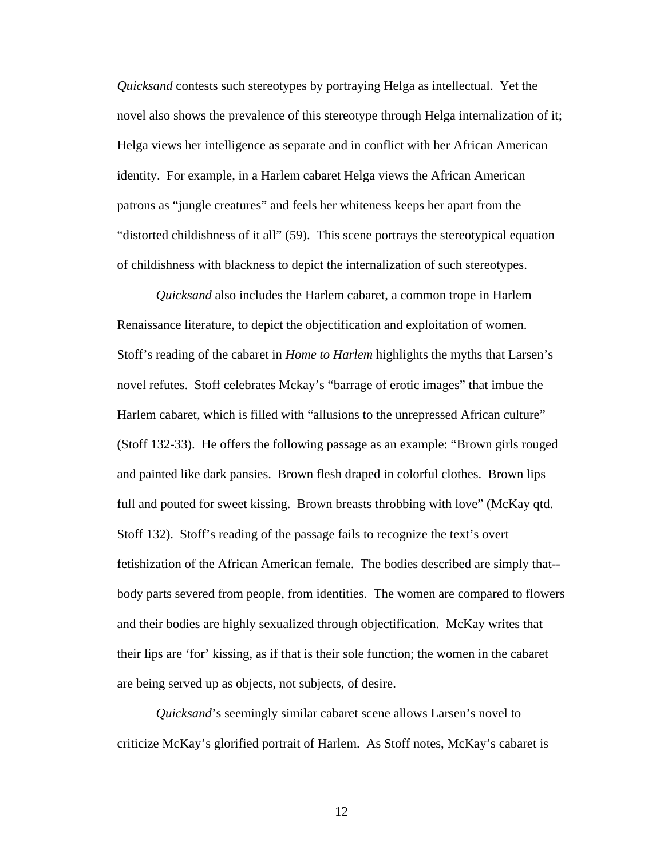*Quicksand* contests such stereotypes by portraying Helga as intellectual. Yet the novel also shows the prevalence of this stereotype through Helga internalization of it; Helga views her intelligence as separate and in conflict with her African American identity. For example, in a Harlem cabaret Helga views the African American patrons as "jungle creatures" and feels her whiteness keeps her apart from the "distorted childishness of it all" (59). This scene portrays the stereotypical equation of childishness with blackness to depict the internalization of such stereotypes.

*Quicksand* also includes the Harlem cabaret, a common trope in Harlem Renaissance literature, to depict the objectification and exploitation of women. Stoff's reading of the cabaret in *Home to Harlem* highlights the myths that Larsen's novel refutes. Stoff celebrates Mckay's "barrage of erotic images" that imbue the Harlem cabaret, which is filled with "allusions to the unrepressed African culture" (Stoff 132-33). He offers the following passage as an example: "Brown girls rouged and painted like dark pansies. Brown flesh draped in colorful clothes. Brown lips full and pouted for sweet kissing. Brown breasts throbbing with love" (McKay qtd. Stoff 132). Stoff's reading of the passage fails to recognize the text's overt fetishization of the African American female. The bodies described are simply that- body parts severed from people, from identities. The women are compared to flowers and their bodies are highly sexualized through objectification. McKay writes that their lips are 'for' kissing, as if that is their sole function; the women in the cabaret are being served up as objects, not subjects, of desire.

*Quicksand*'s seemingly similar cabaret scene allows Larsen's novel to criticize McKay's glorified portrait of Harlem. As Stoff notes, McKay's cabaret is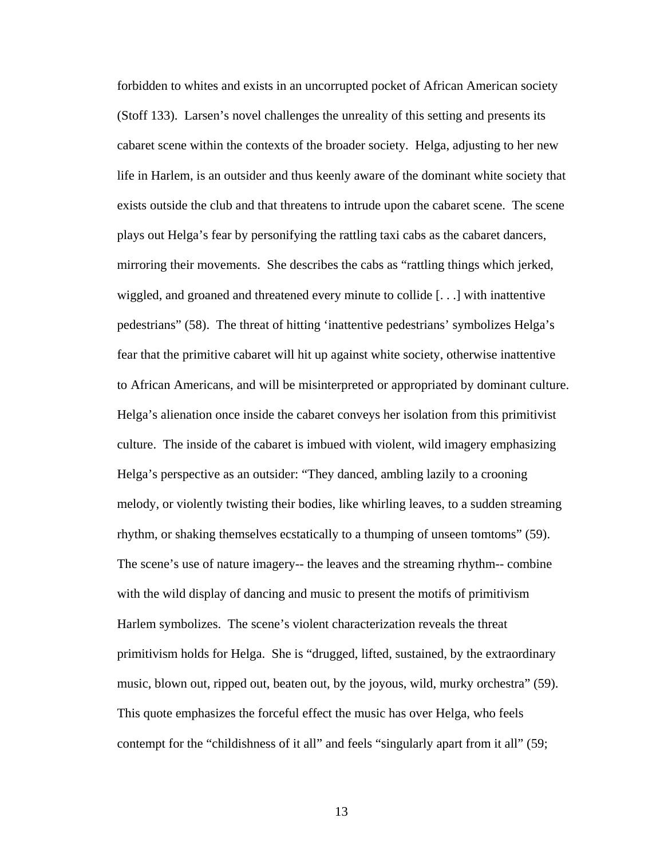forbidden to whites and exists in an uncorrupted pocket of African American society (Stoff 133). Larsen's novel challenges the unreality of this setting and presents its cabaret scene within the contexts of the broader society. Helga, adjusting to her new life in Harlem, is an outsider and thus keenly aware of the dominant white society that exists outside the club and that threatens to intrude upon the cabaret scene. The scene plays out Helga's fear by personifying the rattling taxi cabs as the cabaret dancers, mirroring their movements. She describes the cabs as "rattling things which jerked, wiggled, and groaned and threatened every minute to collide [. . .] with inattentive pedestrians" (58). The threat of hitting 'inattentive pedestrians' symbolizes Helga's fear that the primitive cabaret will hit up against white society, otherwise inattentive to African Americans, and will be misinterpreted or appropriated by dominant culture. Helga's alienation once inside the cabaret conveys her isolation from this primitivist culture. The inside of the cabaret is imbued with violent, wild imagery emphasizing Helga's perspective as an outsider: "They danced, ambling lazily to a crooning melody, or violently twisting their bodies, like whirling leaves, to a sudden streaming rhythm, or shaking themselves ecstatically to a thumping of unseen tomtoms" (59). The scene's use of nature imagery-- the leaves and the streaming rhythm-- combine with the wild display of dancing and music to present the motifs of primitivism Harlem symbolizes. The scene's violent characterization reveals the threat primitivism holds for Helga. She is "drugged, lifted, sustained, by the extraordinary music, blown out, ripped out, beaten out, by the joyous, wild, murky orchestra" (59). This quote emphasizes the forceful effect the music has over Helga, who feels contempt for the "childishness of it all" and feels "singularly apart from it all" (59;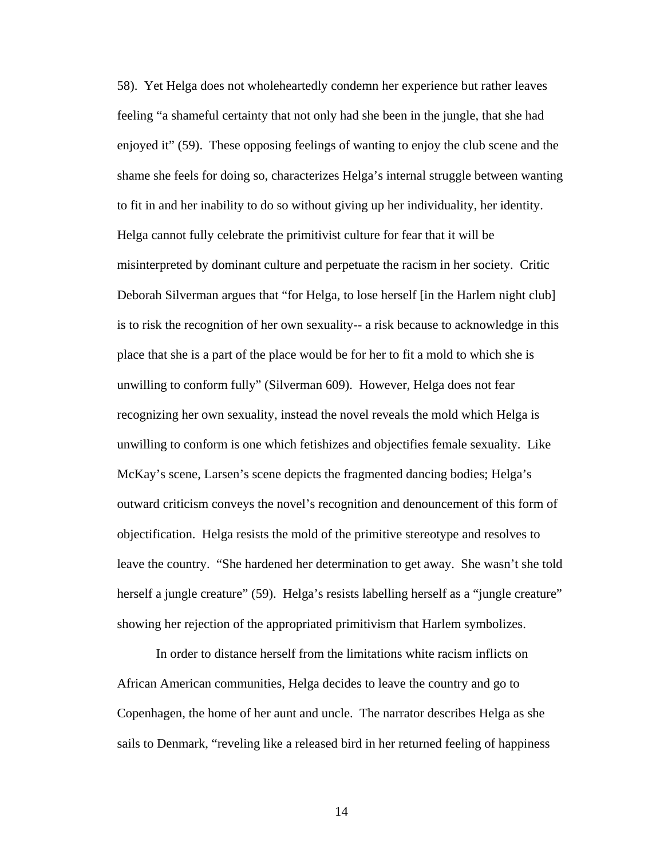58). Yet Helga does not wholeheartedly condemn her experience but rather leaves feeling "a shameful certainty that not only had she been in the jungle, that she had enjoyed it" (59). These opposing feelings of wanting to enjoy the club scene and the shame she feels for doing so, characterizes Helga's internal struggle between wanting to fit in and her inability to do so without giving up her individuality, her identity. Helga cannot fully celebrate the primitivist culture for fear that it will be misinterpreted by dominant culture and perpetuate the racism in her society. Critic Deborah Silverman argues that "for Helga, to lose herself [in the Harlem night club] is to risk the recognition of her own sexuality-- a risk because to acknowledge in this place that she is a part of the place would be for her to fit a mold to which she is unwilling to conform fully" (Silverman 609). However, Helga does not fear recognizing her own sexuality, instead the novel reveals the mold which Helga is unwilling to conform is one which fetishizes and objectifies female sexuality. Like McKay's scene, Larsen's scene depicts the fragmented dancing bodies; Helga's outward criticism conveys the novel's recognition and denouncement of this form of objectification. Helga resists the mold of the primitive stereotype and resolves to leave the country. "She hardened her determination to get away. She wasn't she told herself a jungle creature" (59). Helga's resists labelling herself as a "jungle creature" showing her rejection of the appropriated primitivism that Harlem symbolizes.

 In order to distance herself from the limitations white racism inflicts on African American communities, Helga decides to leave the country and go to Copenhagen, the home of her aunt and uncle. The narrator describes Helga as she sails to Denmark, "reveling like a released bird in her returned feeling of happiness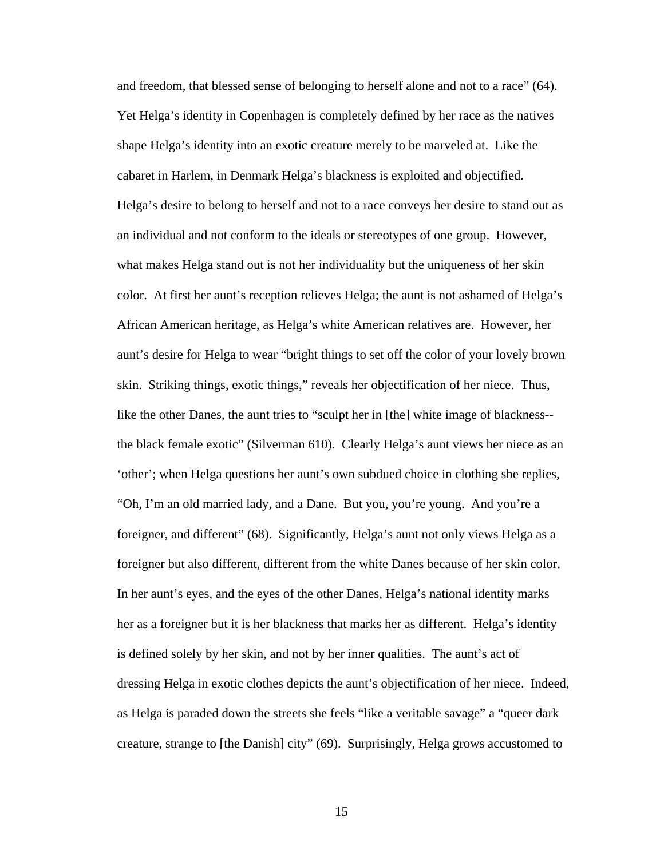and freedom, that blessed sense of belonging to herself alone and not to a race" (64). Yet Helga's identity in Copenhagen is completely defined by her race as the natives shape Helga's identity into an exotic creature merely to be marveled at. Like the cabaret in Harlem, in Denmark Helga's blackness is exploited and objectified. Helga's desire to belong to herself and not to a race conveys her desire to stand out as an individual and not conform to the ideals or stereotypes of one group. However, what makes Helga stand out is not her individuality but the uniqueness of her skin color. At first her aunt's reception relieves Helga; the aunt is not ashamed of Helga's African American heritage, as Helga's white American relatives are. However, her aunt's desire for Helga to wear "bright things to set off the color of your lovely brown skin. Striking things, exotic things," reveals her objectification of her niece. Thus, like the other Danes, the aunt tries to "sculpt her in [the] white image of blackness- the black female exotic" (Silverman 610). Clearly Helga's aunt views her niece as an 'other'; when Helga questions her aunt's own subdued choice in clothing she replies, "Oh, I'm an old married lady, and a Dane. But you, you're young. And you're a foreigner, and different" (68). Significantly, Helga's aunt not only views Helga as a foreigner but also different, different from the white Danes because of her skin color. In her aunt's eyes, and the eyes of the other Danes, Helga's national identity marks her as a foreigner but it is her blackness that marks her as different. Helga's identity is defined solely by her skin, and not by her inner qualities. The aunt's act of dressing Helga in exotic clothes depicts the aunt's objectification of her niece. Indeed, as Helga is paraded down the streets she feels "like a veritable savage" a "queer dark creature, strange to [the Danish] city" (69). Surprisingly, Helga grows accustomed to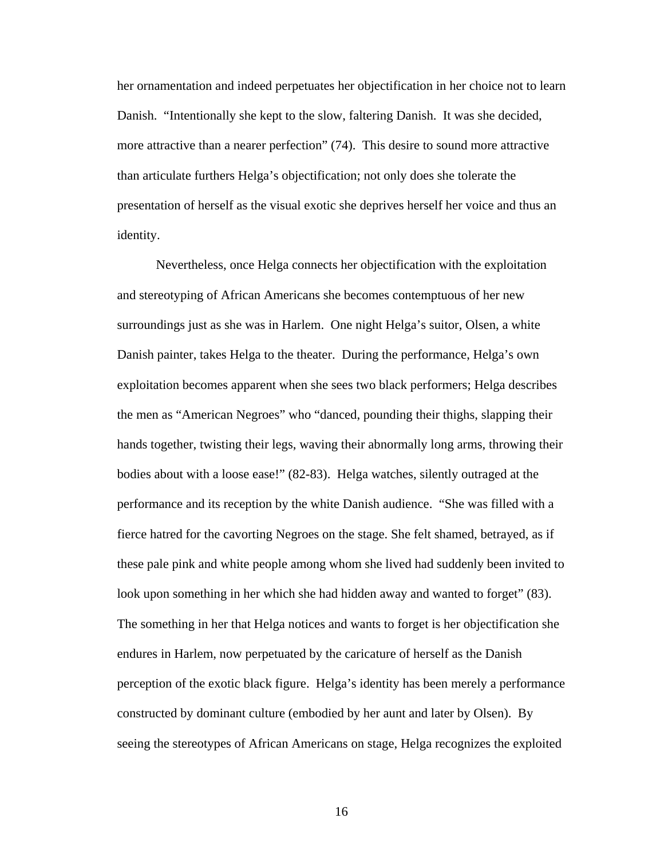her ornamentation and indeed perpetuates her objectification in her choice not to learn Danish. "Intentionally she kept to the slow, faltering Danish. It was she decided, more attractive than a nearer perfection" (74). This desire to sound more attractive than articulate furthers Helga's objectification; not only does she tolerate the presentation of herself as the visual exotic she deprives herself her voice and thus an identity.

 Nevertheless, once Helga connects her objectification with the exploitation and stereotyping of African Americans she becomes contemptuous of her new surroundings just as she was in Harlem. One night Helga's suitor, Olsen, a white Danish painter, takes Helga to the theater. During the performance, Helga's own exploitation becomes apparent when she sees two black performers; Helga describes the men as "American Negroes" who "danced, pounding their thighs, slapping their hands together, twisting their legs, waving their abnormally long arms, throwing their bodies about with a loose ease!" (82-83). Helga watches, silently outraged at the performance and its reception by the white Danish audience. "She was filled with a fierce hatred for the cavorting Negroes on the stage. She felt shamed, betrayed, as if these pale pink and white people among whom she lived had suddenly been invited to look upon something in her which she had hidden away and wanted to forget" (83). The something in her that Helga notices and wants to forget is her objectification she endures in Harlem, now perpetuated by the caricature of herself as the Danish perception of the exotic black figure. Helga's identity has been merely a performance constructed by dominant culture (embodied by her aunt and later by Olsen). By seeing the stereotypes of African Americans on stage, Helga recognizes the exploited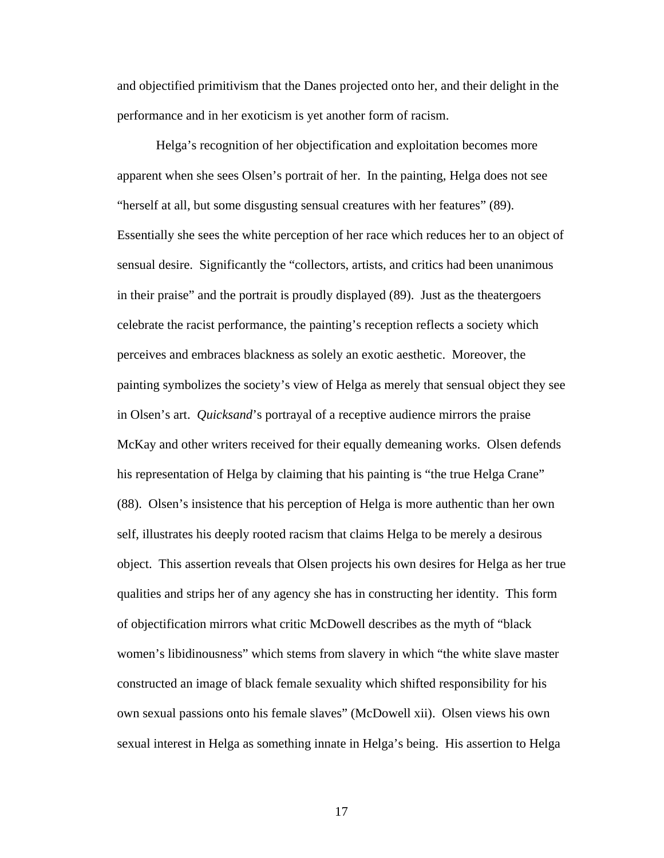and objectified primitivism that the Danes projected onto her, and their delight in the performance and in her exoticism is yet another form of racism.

 Helga's recognition of her objectification and exploitation becomes more apparent when she sees Olsen's portrait of her. In the painting, Helga does not see "herself at all, but some disgusting sensual creatures with her features" (89). Essentially she sees the white perception of her race which reduces her to an object of sensual desire. Significantly the "collectors, artists, and critics had been unanimous in their praise" and the portrait is proudly displayed (89). Just as the theatergoers celebrate the racist performance, the painting's reception reflects a society which perceives and embraces blackness as solely an exotic aesthetic. Moreover, the painting symbolizes the society's view of Helga as merely that sensual object they see in Olsen's art. *Quicksand*'s portrayal of a receptive audience mirrors the praise McKay and other writers received for their equally demeaning works. Olsen defends his representation of Helga by claiming that his painting is "the true Helga Crane" (88). Olsen's insistence that his perception of Helga is more authentic than her own self, illustrates his deeply rooted racism that claims Helga to be merely a desirous object. This assertion reveals that Olsen projects his own desires for Helga as her true qualities and strips her of any agency she has in constructing her identity. This form of objectification mirrors what critic McDowell describes as the myth of "black women's libidinousness" which stems from slavery in which "the white slave master constructed an image of black female sexuality which shifted responsibility for his own sexual passions onto his female slaves" (McDowell xii). Olsen views his own sexual interest in Helga as something innate in Helga's being. His assertion to Helga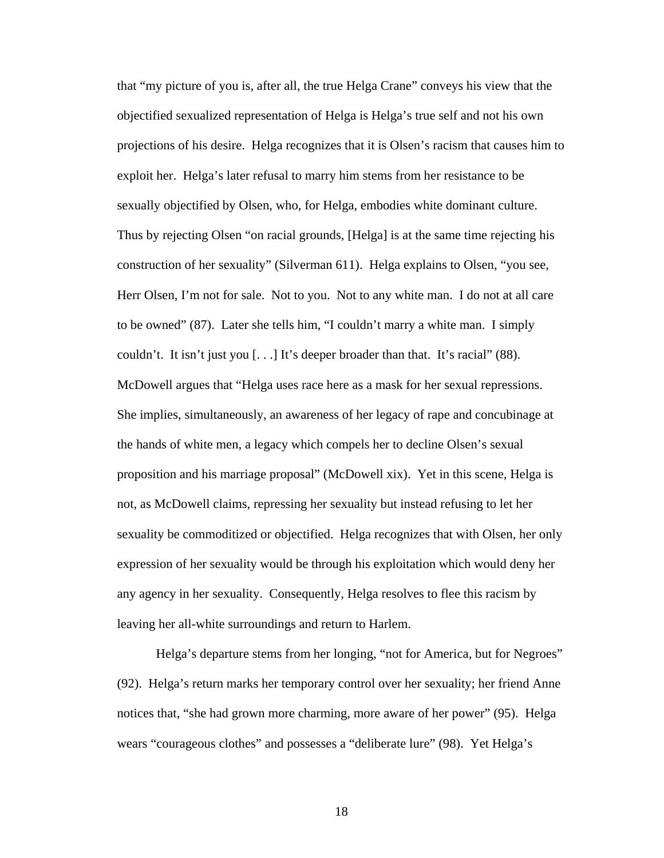that "my picture of you is, after all, the true Helga Crane" conveys his view that the objectified sexualized representation of Helga is Helga's true self and not his own projections of his desire. Helga recognizes that it is Olsen's racism that causes him to exploit her. Helga's later refusal to marry him stems from her resistance to be sexually objectified by Olsen, who, for Helga, embodies white dominant culture. Thus by rejecting Olsen "on racial grounds, [Helga] is at the same time rejecting his construction of her sexuality" (Silverman 611). Helga explains to Olsen, "you see, Herr Olsen, I'm not for sale. Not to you. Not to any white man. I do not at all care to be owned" (87). Later she tells him, "I couldn't marry a white man. I simply couldn't. It isn't just you [. . .] It's deeper broader than that. It's racial" (88). McDowell argues that "Helga uses race here as a mask for her sexual repressions. She implies, simultaneously, an awareness of her legacy of rape and concubinage at the hands of white men, a legacy which compels her to decline Olsen's sexual proposition and his marriage proposal" (McDowell xix). Yet in this scene, Helga is not, as McDowell claims, repressing her sexuality but instead refusing to let her sexuality be commoditized or objectified. Helga recognizes that with Olsen, her only expression of her sexuality would be through his exploitation which would deny her any agency in her sexuality. Consequently, Helga resolves to flee this racism by leaving her all-white surroundings and return to Harlem.

 Helga's departure stems from her longing, "not for America, but for Negroes" (92). Helga's return marks her temporary control over her sexuality; her friend Anne notices that, "she had grown more charming, more aware of her power" (95). Helga wears "courageous clothes" and possesses a "deliberate lure" (98). Yet Helga's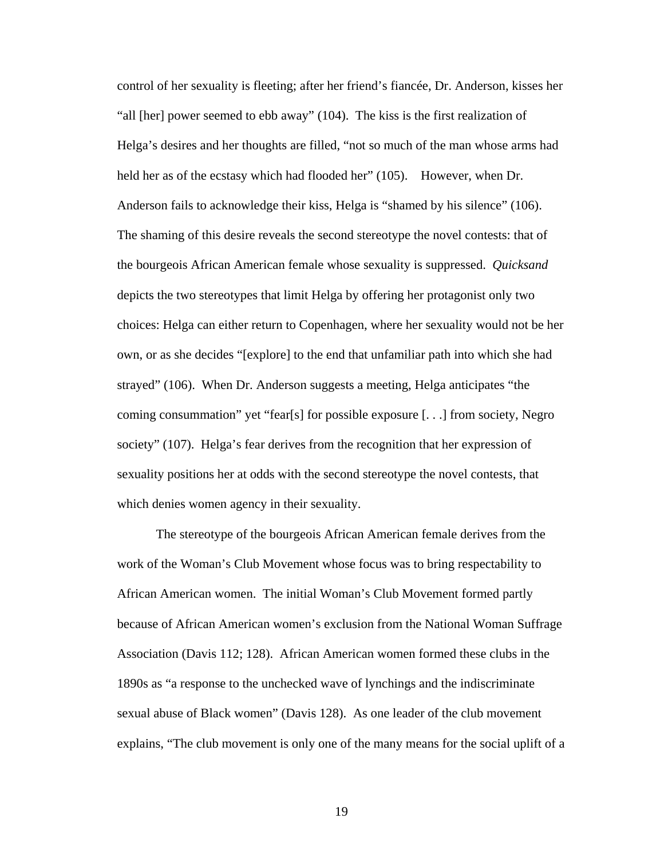control of her sexuality is fleeting; after her friend's fiancée, Dr. Anderson, kisses her "all [her] power seemed to ebb away" (104). The kiss is the first realization of Helga's desires and her thoughts are filled, "not so much of the man whose arms had held her as of the ecstasy which had flooded her" (105). However, when Dr. Anderson fails to acknowledge their kiss, Helga is "shamed by his silence" (106). The shaming of this desire reveals the second stereotype the novel contests: that of the bourgeois African American female whose sexuality is suppressed. *Quicksand* depicts the two stereotypes that limit Helga by offering her protagonist only two choices: Helga can either return to Copenhagen, where her sexuality would not be her own, or as she decides "[explore] to the end that unfamiliar path into which she had strayed" (106). When Dr. Anderson suggests a meeting, Helga anticipates "the coming consummation" yet "fear[s] for possible exposure [. . .] from society, Negro society" (107). Helga's fear derives from the recognition that her expression of sexuality positions her at odds with the second stereotype the novel contests, that which denies women agency in their sexuality.

 The stereotype of the bourgeois African American female derives from the work of the Woman's Club Movement whose focus was to bring respectability to African American women. The initial Woman's Club Movement formed partly because of African American women's exclusion from the National Woman Suffrage Association (Davis 112; 128). African American women formed these clubs in the 1890s as "a response to the unchecked wave of lynchings and the indiscriminate sexual abuse of Black women" (Davis 128). As one leader of the club movement explains, "The club movement is only one of the many means for the social uplift of a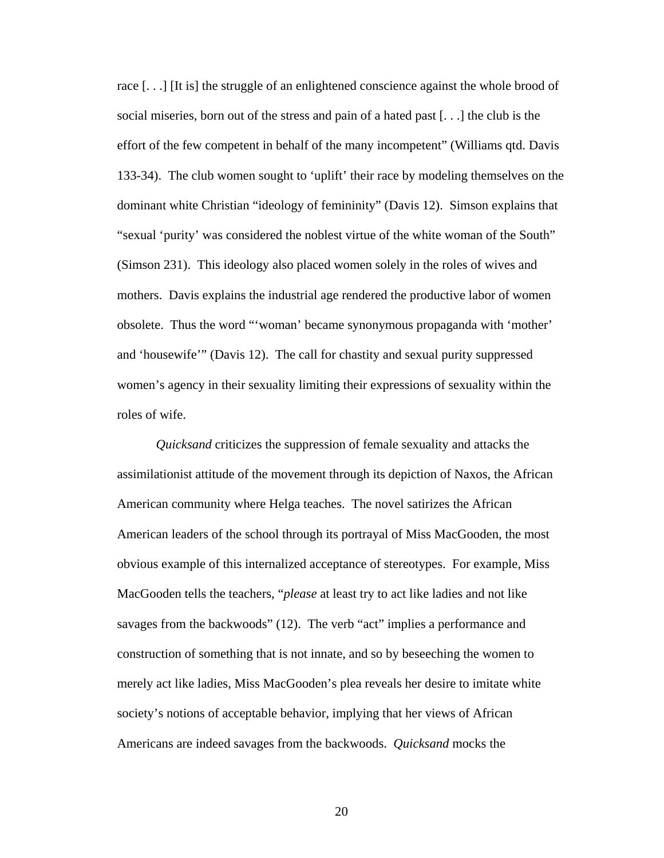race [. . .] [It is] the struggle of an enlightened conscience against the whole brood of social miseries, born out of the stress and pain of a hated past [. . .] the club is the effort of the few competent in behalf of the many incompetent" (Williams qtd. Davis 133-34). The club women sought to 'uplift' their race by modeling themselves on the dominant white Christian "ideology of femininity" (Davis 12). Simson explains that "sexual 'purity' was considered the noblest virtue of the white woman of the South" (Simson 231). This ideology also placed women solely in the roles of wives and mothers. Davis explains the industrial age rendered the productive labor of women obsolete. Thus the word "'woman' became synonymous propaganda with 'mother' and 'housewife'" (Davis 12). The call for chastity and sexual purity suppressed women's agency in their sexuality limiting their expressions of sexuality within the roles of wife.

*Quicksand* criticizes the suppression of female sexuality and attacks the assimilationist attitude of the movement through its depiction of Naxos, the African American community where Helga teaches. The novel satirizes the African American leaders of the school through its portrayal of Miss MacGooden, the most obvious example of this internalized acceptance of stereotypes. For example, Miss MacGooden tells the teachers, "*please* at least try to act like ladies and not like savages from the backwoods" (12). The verb "act" implies a performance and construction of something that is not innate, and so by beseeching the women to merely act like ladies, Miss MacGooden's plea reveals her desire to imitate white society's notions of acceptable behavior, implying that her views of African Americans are indeed savages from the backwoods. *Quicksand* mocks the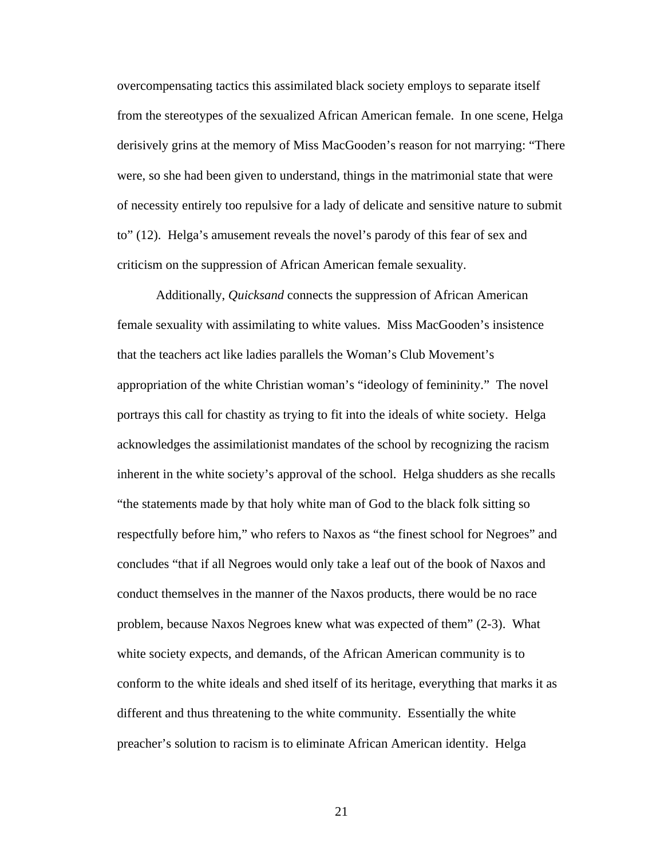overcompensating tactics this assimilated black society employs to separate itself from the stereotypes of the sexualized African American female. In one scene, Helga derisively grins at the memory of Miss MacGooden's reason for not marrying: "There were, so she had been given to understand, things in the matrimonial state that were of necessity entirely too repulsive for a lady of delicate and sensitive nature to submit to" (12). Helga's amusement reveals the novel's parody of this fear of sex and criticism on the suppression of African American female sexuality.

 Additionally, *Quicksand* connects the suppression of African American female sexuality with assimilating to white values. Miss MacGooden's insistence that the teachers act like ladies parallels the Woman's Club Movement's appropriation of the white Christian woman's "ideology of femininity." The novel portrays this call for chastity as trying to fit into the ideals of white society. Helga acknowledges the assimilationist mandates of the school by recognizing the racism inherent in the white society's approval of the school. Helga shudders as she recalls "the statements made by that holy white man of God to the black folk sitting so respectfully before him," who refers to Naxos as "the finest school for Negroes" and concludes "that if all Negroes would only take a leaf out of the book of Naxos and conduct themselves in the manner of the Naxos products, there would be no race problem, because Naxos Negroes knew what was expected of them" (2-3). What white society expects, and demands, of the African American community is to conform to the white ideals and shed itself of its heritage, everything that marks it as different and thus threatening to the white community. Essentially the white preacher's solution to racism is to eliminate African American identity. Helga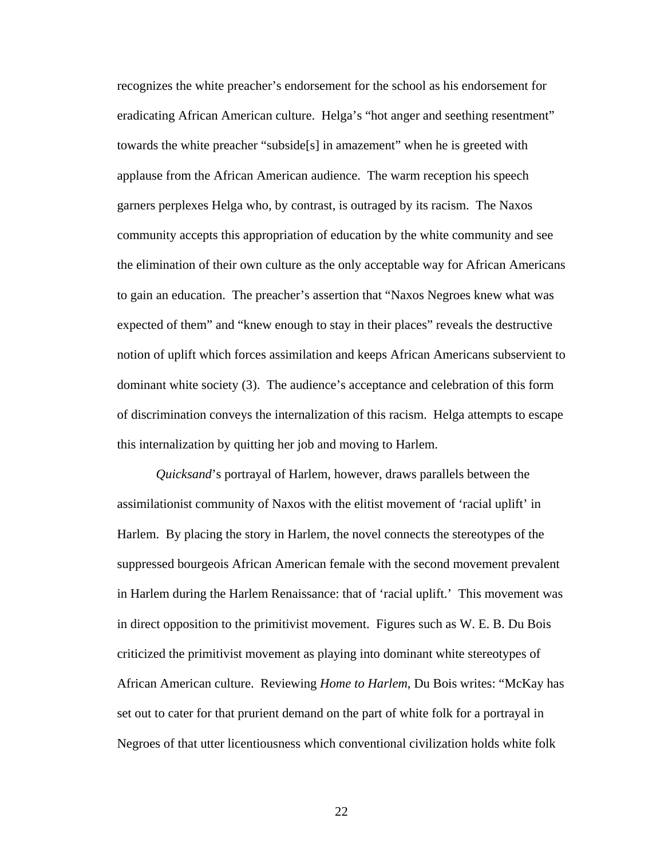recognizes the white preacher's endorsement for the school as his endorsement for eradicating African American culture. Helga's "hot anger and seething resentment" towards the white preacher "subside[s] in amazement" when he is greeted with applause from the African American audience. The warm reception his speech garners perplexes Helga who, by contrast, is outraged by its racism. The Naxos community accepts this appropriation of education by the white community and see the elimination of their own culture as the only acceptable way for African Americans to gain an education. The preacher's assertion that "Naxos Negroes knew what was expected of them" and "knew enough to stay in their places" reveals the destructive notion of uplift which forces assimilation and keeps African Americans subservient to dominant white society (3). The audience's acceptance and celebration of this form of discrimination conveys the internalization of this racism. Helga attempts to escape this internalization by quitting her job and moving to Harlem.

*Quicksand*'s portrayal of Harlem, however, draws parallels between the assimilationist community of Naxos with the elitist movement of 'racial uplift' in Harlem. By placing the story in Harlem, the novel connects the stereotypes of the suppressed bourgeois African American female with the second movement prevalent in Harlem during the Harlem Renaissance: that of 'racial uplift.' This movement was in direct opposition to the primitivist movement. Figures such as W. E. B. Du Bois criticized the primitivist movement as playing into dominant white stereotypes of African American culture. Reviewing *Home to Harlem*, Du Bois writes: "McKay has set out to cater for that prurient demand on the part of white folk for a portrayal in Negroes of that utter licentiousness which conventional civilization holds white folk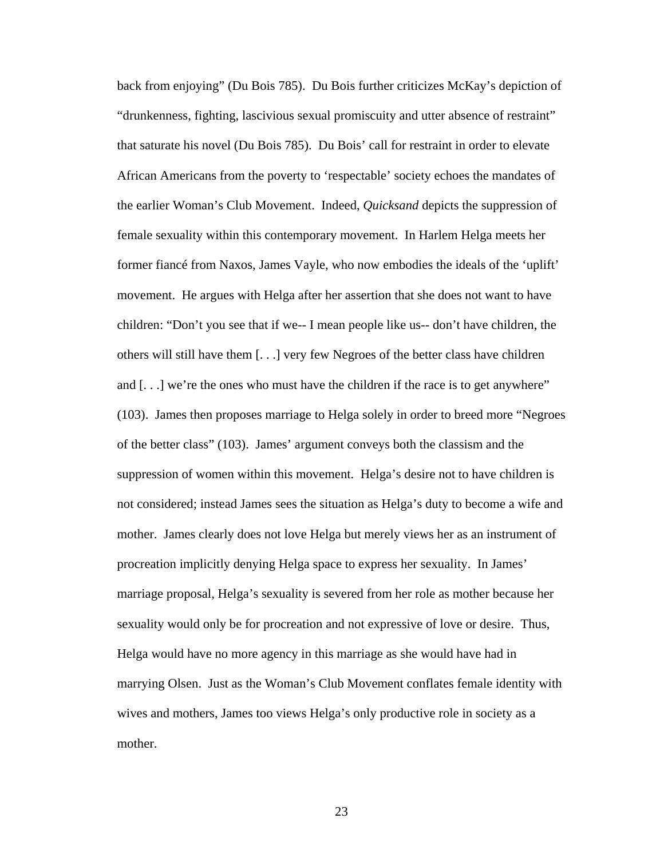back from enjoying" (Du Bois 785). Du Bois further criticizes McKay's depiction of "drunkenness, fighting, lascivious sexual promiscuity and utter absence of restraint" that saturate his novel (Du Bois 785). Du Bois' call for restraint in order to elevate African Americans from the poverty to 'respectable' society echoes the mandates of the earlier Woman's Club Movement. Indeed, *Quicksand* depicts the suppression of female sexuality within this contemporary movement. In Harlem Helga meets her former fiancé from Naxos, James Vayle, who now embodies the ideals of the 'uplift' movement. He argues with Helga after her assertion that she does not want to have children: "Don't you see that if we-- I mean people like us-- don't have children, the others will still have them [. . .] very few Negroes of the better class have children and [. . .] we're the ones who must have the children if the race is to get anywhere" (103). James then proposes marriage to Helga solely in order to breed more "Negroes of the better class" (103). James' argument conveys both the classism and the suppression of women within this movement. Helga's desire not to have children is not considered; instead James sees the situation as Helga's duty to become a wife and mother. James clearly does not love Helga but merely views her as an instrument of procreation implicitly denying Helga space to express her sexuality. In James' marriage proposal, Helga's sexuality is severed from her role as mother because her sexuality would only be for procreation and not expressive of love or desire. Thus, Helga would have no more agency in this marriage as she would have had in marrying Olsen. Just as the Woman's Club Movement conflates female identity with wives and mothers, James too views Helga's only productive role in society as a mother.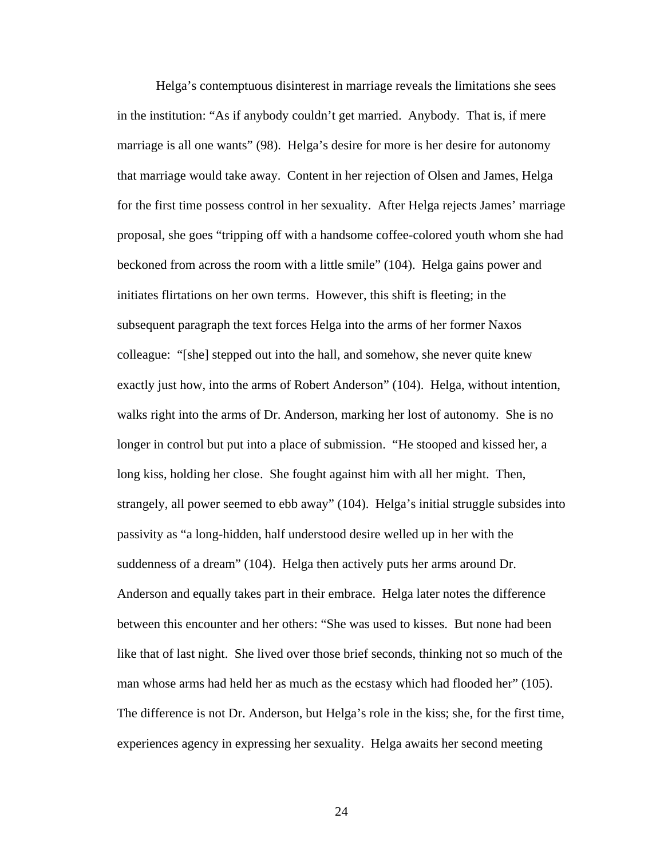Helga's contemptuous disinterest in marriage reveals the limitations she sees in the institution: "As if anybody couldn't get married. Anybody. That is, if mere marriage is all one wants" (98). Helga's desire for more is her desire for autonomy that marriage would take away. Content in her rejection of Olsen and James, Helga for the first time possess control in her sexuality. After Helga rejects James' marriage proposal, she goes "tripping off with a handsome coffee-colored youth whom she had beckoned from across the room with a little smile" (104). Helga gains power and initiates flirtations on her own terms. However, this shift is fleeting; in the subsequent paragraph the text forces Helga into the arms of her former Naxos colleague: "[she] stepped out into the hall, and somehow, she never quite knew exactly just how, into the arms of Robert Anderson" (104). Helga, without intention, walks right into the arms of Dr. Anderson, marking her lost of autonomy. She is no longer in control but put into a place of submission. "He stooped and kissed her, a long kiss, holding her close. She fought against him with all her might. Then, strangely, all power seemed to ebb away" (104). Helga's initial struggle subsides into passivity as "a long-hidden, half understood desire welled up in her with the suddenness of a dream" (104). Helga then actively puts her arms around Dr. Anderson and equally takes part in their embrace. Helga later notes the difference between this encounter and her others: "She was used to kisses. But none had been like that of last night. She lived over those brief seconds, thinking not so much of the man whose arms had held her as much as the ecstasy which had flooded her" (105). The difference is not Dr. Anderson, but Helga's role in the kiss; she, for the first time, experiences agency in expressing her sexuality. Helga awaits her second meeting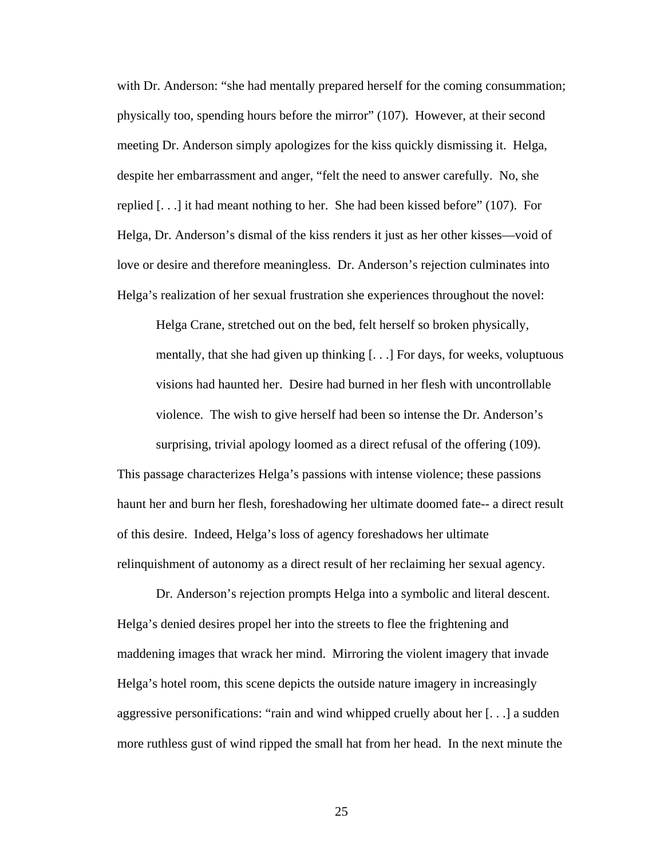with Dr. Anderson: "she had mentally prepared herself for the coming consummation; physically too, spending hours before the mirror" (107). However, at their second meeting Dr. Anderson simply apologizes for the kiss quickly dismissing it. Helga, despite her embarrassment and anger, "felt the need to answer carefully. No, she replied [. . .] it had meant nothing to her. She had been kissed before" (107). For Helga, Dr. Anderson's dismal of the kiss renders it just as her other kisses—void of love or desire and therefore meaningless. Dr. Anderson's rejection culminates into Helga's realization of her sexual frustration she experiences throughout the novel:

Helga Crane, stretched out on the bed, felt herself so broken physically, mentally, that she had given up thinking [. . .] For days, for weeks, voluptuous visions had haunted her. Desire had burned in her flesh with uncontrollable violence. The wish to give herself had been so intense the Dr. Anderson's surprising, trivial apology loomed as a direct refusal of the offering (109).

This passage characterizes Helga's passions with intense violence; these passions haunt her and burn her flesh, foreshadowing her ultimate doomed fate-- a direct result of this desire. Indeed, Helga's loss of agency foreshadows her ultimate relinquishment of autonomy as a direct result of her reclaiming her sexual agency.

 Dr. Anderson's rejection prompts Helga into a symbolic and literal descent. Helga's denied desires propel her into the streets to flee the frightening and maddening images that wrack her mind. Mirroring the violent imagery that invade Helga's hotel room, this scene depicts the outside nature imagery in increasingly aggressive personifications: "rain and wind whipped cruelly about her [. . .] a sudden more ruthless gust of wind ripped the small hat from her head. In the next minute the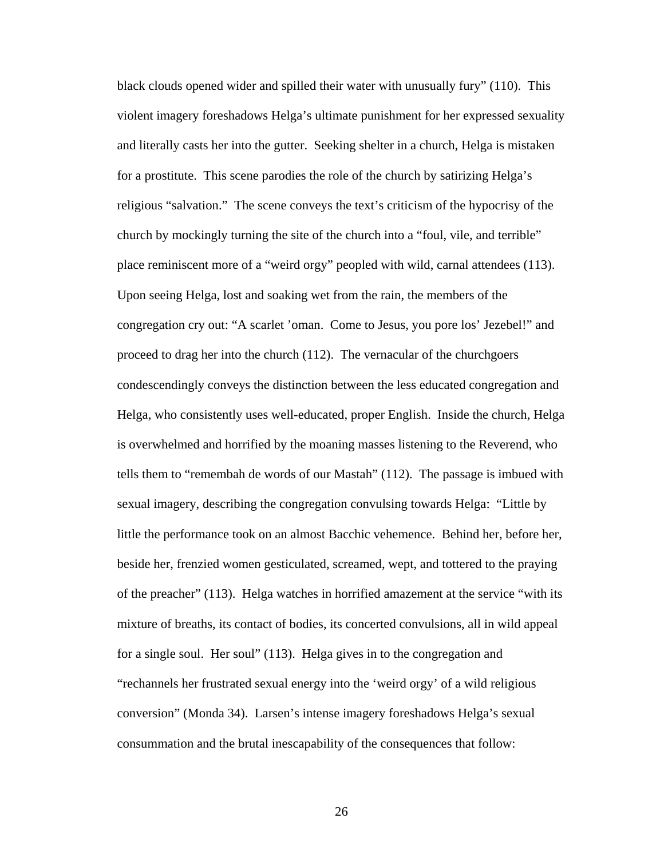black clouds opened wider and spilled their water with unusually fury" (110). This violent imagery foreshadows Helga's ultimate punishment for her expressed sexuality and literally casts her into the gutter. Seeking shelter in a church, Helga is mistaken for a prostitute. This scene parodies the role of the church by satirizing Helga's religious "salvation." The scene conveys the text's criticism of the hypocrisy of the church by mockingly turning the site of the church into a "foul, vile, and terrible" place reminiscent more of a "weird orgy" peopled with wild, carnal attendees (113). Upon seeing Helga, lost and soaking wet from the rain, the members of the congregation cry out: "A scarlet 'oman. Come to Jesus, you pore los' Jezebel!" and proceed to drag her into the church (112). The vernacular of the churchgoers condescendingly conveys the distinction between the less educated congregation and Helga, who consistently uses well-educated, proper English. Inside the church, Helga is overwhelmed and horrified by the moaning masses listening to the Reverend, who tells them to "remembah de words of our Mastah" (112). The passage is imbued with sexual imagery, describing the congregation convulsing towards Helga: "Little by little the performance took on an almost Bacchic vehemence. Behind her, before her, beside her, frenzied women gesticulated, screamed, wept, and tottered to the praying of the preacher" (113). Helga watches in horrified amazement at the service "with its mixture of breaths, its contact of bodies, its concerted convulsions, all in wild appeal for a single soul. Her soul" (113). Helga gives in to the congregation and "rechannels her frustrated sexual energy into the 'weird orgy' of a wild religious conversion" (Monda 34). Larsen's intense imagery foreshadows Helga's sexual consummation and the brutal inescapability of the consequences that follow: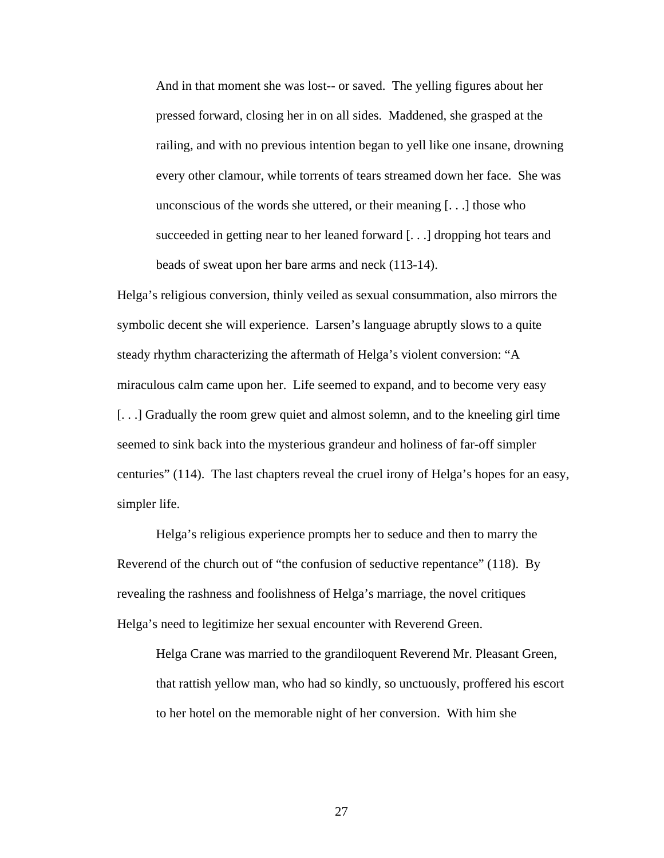And in that moment she was lost-- or saved. The yelling figures about her pressed forward, closing her in on all sides. Maddened, she grasped at the railing, and with no previous intention began to yell like one insane, drowning every other clamour, while torrents of tears streamed down her face. She was unconscious of the words she uttered, or their meaning [. . .] those who succeeded in getting near to her leaned forward [. . .] dropping hot tears and beads of sweat upon her bare arms and neck (113-14).

Helga's religious conversion, thinly veiled as sexual consummation, also mirrors the symbolic decent she will experience. Larsen's language abruptly slows to a quite steady rhythm characterizing the aftermath of Helga's violent conversion: "A miraculous calm came upon her. Life seemed to expand, and to become very easy [. . .] Gradually the room grew quiet and almost solemn, and to the kneeling girl time seemed to sink back into the mysterious grandeur and holiness of far-off simpler centuries" (114). The last chapters reveal the cruel irony of Helga's hopes for an easy, simpler life.

 Helga's religious experience prompts her to seduce and then to marry the Reverend of the church out of "the confusion of seductive repentance" (118). By revealing the rashness and foolishness of Helga's marriage, the novel critiques Helga's need to legitimize her sexual encounter with Reverend Green.

Helga Crane was married to the grandiloquent Reverend Mr. Pleasant Green, that rattish yellow man, who had so kindly, so unctuously, proffered his escort to her hotel on the memorable night of her conversion. With him she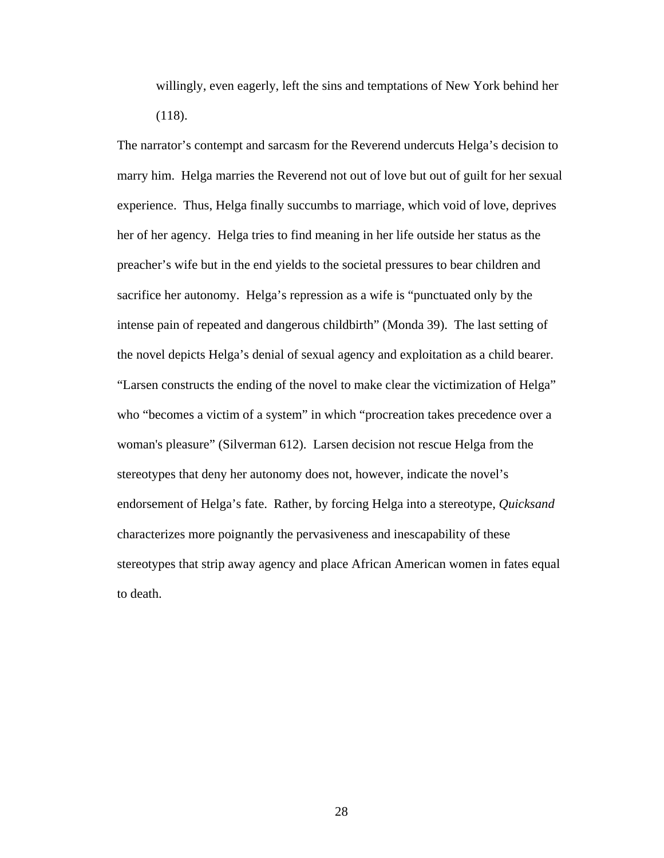willingly, even eagerly, left the sins and temptations of New York behind her (118).

The narrator's contempt and sarcasm for the Reverend undercuts Helga's decision to marry him. Helga marries the Reverend not out of love but out of guilt for her sexual experience. Thus, Helga finally succumbs to marriage, which void of love, deprives her of her agency. Helga tries to find meaning in her life outside her status as the preacher's wife but in the end yields to the societal pressures to bear children and sacrifice her autonomy. Helga's repression as a wife is "punctuated only by the intense pain of repeated and dangerous childbirth" (Monda 39). The last setting of the novel depicts Helga's denial of sexual agency and exploitation as a child bearer. "Larsen constructs the ending of the novel to make clear the victimization of Helga" who "becomes a victim of a system" in which "procreation takes precedence over a woman's pleasure" (Silverman 612). Larsen decision not rescue Helga from the stereotypes that deny her autonomy does not, however, indicate the novel's endorsement of Helga's fate. Rather, by forcing Helga into a stereotype, *Quicksand* characterizes more poignantly the pervasiveness and inescapability of these stereotypes that strip away agency and place African American women in fates equal to death.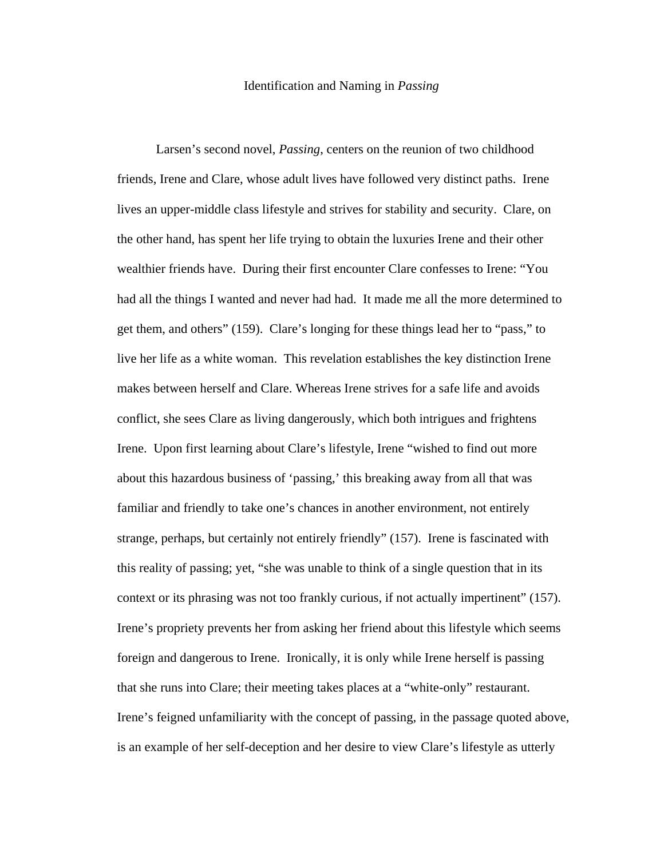#### Identification and Naming in *Passing*

Larsen's second novel, *Passing*, centers on the reunion of two childhood friends, Irene and Clare, whose adult lives have followed very distinct paths. Irene lives an upper-middle class lifestyle and strives for stability and security. Clare, on the other hand, has spent her life trying to obtain the luxuries Irene and their other wealthier friends have. During their first encounter Clare confesses to Irene: "You had all the things I wanted and never had had. It made me all the more determined to get them, and others" (159). Clare's longing for these things lead her to "pass," to live her life as a white woman. This revelation establishes the key distinction Irene makes between herself and Clare. Whereas Irene strives for a safe life and avoids conflict, she sees Clare as living dangerously, which both intrigues and frightens Irene. Upon first learning about Clare's lifestyle, Irene "wished to find out more about this hazardous business of 'passing,' this breaking away from all that was familiar and friendly to take one's chances in another environment, not entirely strange, perhaps, but certainly not entirely friendly" (157). Irene is fascinated with this reality of passing; yet, "she was unable to think of a single question that in its context or its phrasing was not too frankly curious, if not actually impertinent" (157). Irene's propriety prevents her from asking her friend about this lifestyle which seems foreign and dangerous to Irene. Ironically, it is only while Irene herself is passing that she runs into Clare; their meeting takes places at a "white-only" restaurant. Irene's feigned unfamiliarity with the concept of passing, in the passage quoted above, is an example of her self-deception and her desire to view Clare's lifestyle as utterly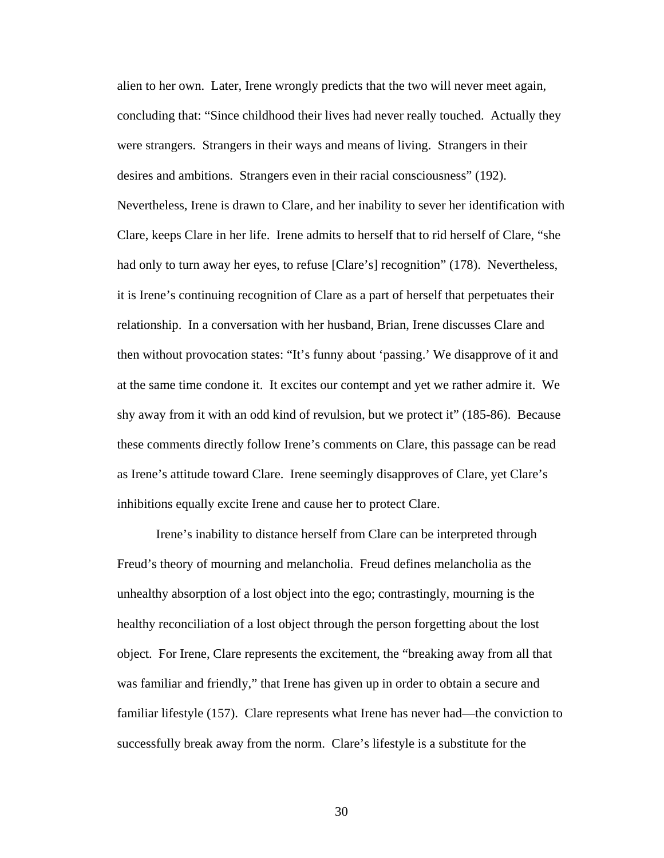alien to her own. Later, Irene wrongly predicts that the two will never meet again, concluding that: "Since childhood their lives had never really touched. Actually they were strangers. Strangers in their ways and means of living. Strangers in their desires and ambitions. Strangers even in their racial consciousness" (192). Nevertheless, Irene is drawn to Clare, and her inability to sever her identification with Clare, keeps Clare in her life. Irene admits to herself that to rid herself of Clare, "she had only to turn away her eyes, to refuse [Clare's] recognition" (178). Nevertheless, it is Irene's continuing recognition of Clare as a part of herself that perpetuates their relationship. In a conversation with her husband, Brian, Irene discusses Clare and then without provocation states: "It's funny about 'passing.' We disapprove of it and at the same time condone it. It excites our contempt and yet we rather admire it. We shy away from it with an odd kind of revulsion, but we protect it" (185-86). Because these comments directly follow Irene's comments on Clare, this passage can be read as Irene's attitude toward Clare. Irene seemingly disapproves of Clare, yet Clare's inhibitions equally excite Irene and cause her to protect Clare.

Irene's inability to distance herself from Clare can be interpreted through Freud's theory of mourning and melancholia. Freud defines melancholia as the unhealthy absorption of a lost object into the ego; contrastingly, mourning is the healthy reconciliation of a lost object through the person forgetting about the lost object. For Irene, Clare represents the excitement, the "breaking away from all that was familiar and friendly," that Irene has given up in order to obtain a secure and familiar lifestyle (157). Clare represents what Irene has never had—the conviction to successfully break away from the norm. Clare's lifestyle is a substitute for the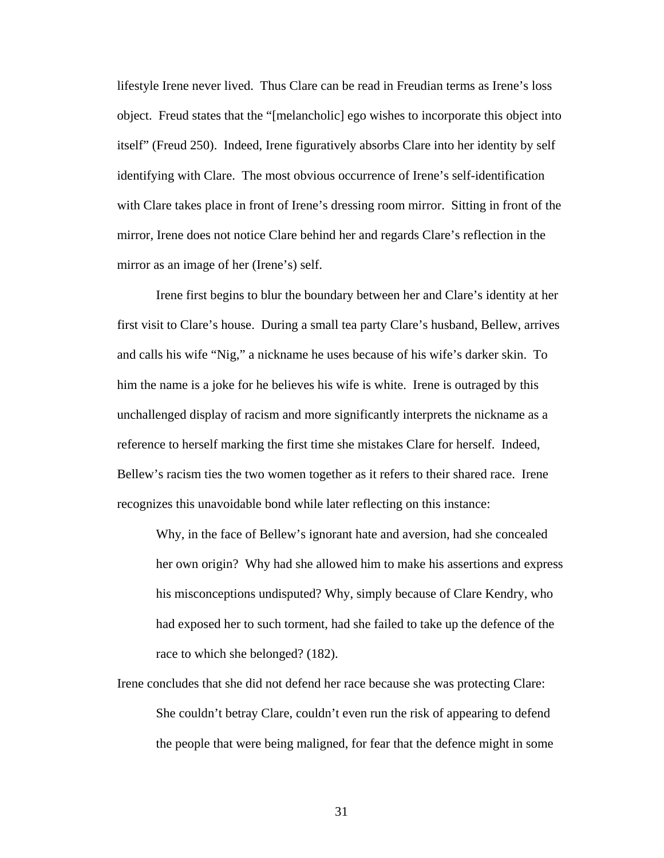lifestyle Irene never lived. Thus Clare can be read in Freudian terms as Irene's loss object. Freud states that the "[melancholic] ego wishes to incorporate this object into itself" (Freud 250). Indeed, Irene figuratively absorbs Clare into her identity by self identifying with Clare. The most obvious occurrence of Irene's self-identification with Clare takes place in front of Irene's dressing room mirror. Sitting in front of the mirror, Irene does not notice Clare behind her and regards Clare's reflection in the mirror as an image of her (Irene's) self.

Irene first begins to blur the boundary between her and Clare's identity at her first visit to Clare's house. During a small tea party Clare's husband, Bellew, arrives and calls his wife "Nig," a nickname he uses because of his wife's darker skin. To him the name is a joke for he believes his wife is white. Irene is outraged by this unchallenged display of racism and more significantly interprets the nickname as a reference to herself marking the first time she mistakes Clare for herself. Indeed, Bellew's racism ties the two women together as it refers to their shared race. Irene recognizes this unavoidable bond while later reflecting on this instance:

Why, in the face of Bellew's ignorant hate and aversion, had she concealed her own origin? Why had she allowed him to make his assertions and express his misconceptions undisputed? Why, simply because of Clare Kendry, who had exposed her to such torment, had she failed to take up the defence of the race to which she belonged? (182).

Irene concludes that she did not defend her race because she was protecting Clare: She couldn't betray Clare, couldn't even run the risk of appearing to defend the people that were being maligned, for fear that the defence might in some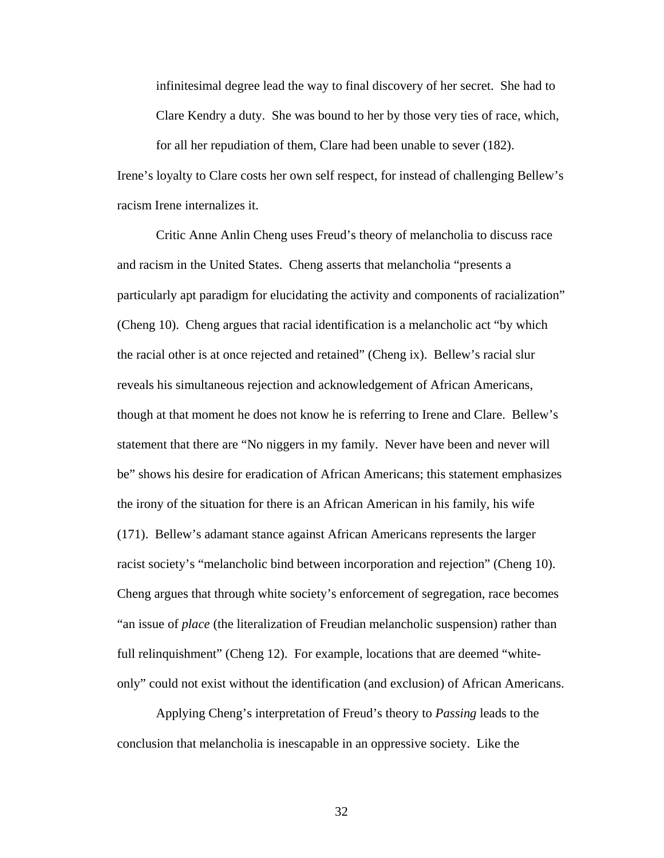infinitesimal degree lead the way to final discovery of her secret. She had to Clare Kendry a duty. She was bound to her by those very ties of race, which,

for all her repudiation of them, Clare had been unable to sever (182). Irene's loyalty to Clare costs her own self respect, for instead of challenging Bellew's racism Irene internalizes it.

Critic Anne Anlin Cheng uses Freud's theory of melancholia to discuss race and racism in the United States. Cheng asserts that melancholia "presents a particularly apt paradigm for elucidating the activity and components of racialization" (Cheng 10). Cheng argues that racial identification is a melancholic act "by which the racial other is at once rejected and retained" (Cheng ix). Bellew's racial slur reveals his simultaneous rejection and acknowledgement of African Americans, though at that moment he does not know he is referring to Irene and Clare. Bellew's statement that there are "No niggers in my family. Never have been and never will be" shows his desire for eradication of African Americans; this statement emphasizes the irony of the situation for there is an African American in his family, his wife (171). Bellew's adamant stance against African Americans represents the larger racist society's "melancholic bind between incorporation and rejection" (Cheng 10). Cheng argues that through white society's enforcement of segregation, race becomes "an issue of *place* (the literalization of Freudian melancholic suspension) rather than full relinquishment" (Cheng 12). For example, locations that are deemed "whiteonly" could not exist without the identification (and exclusion) of African Americans.

Applying Cheng's interpretation of Freud's theory to *Passing* leads to the conclusion that melancholia is inescapable in an oppressive society. Like the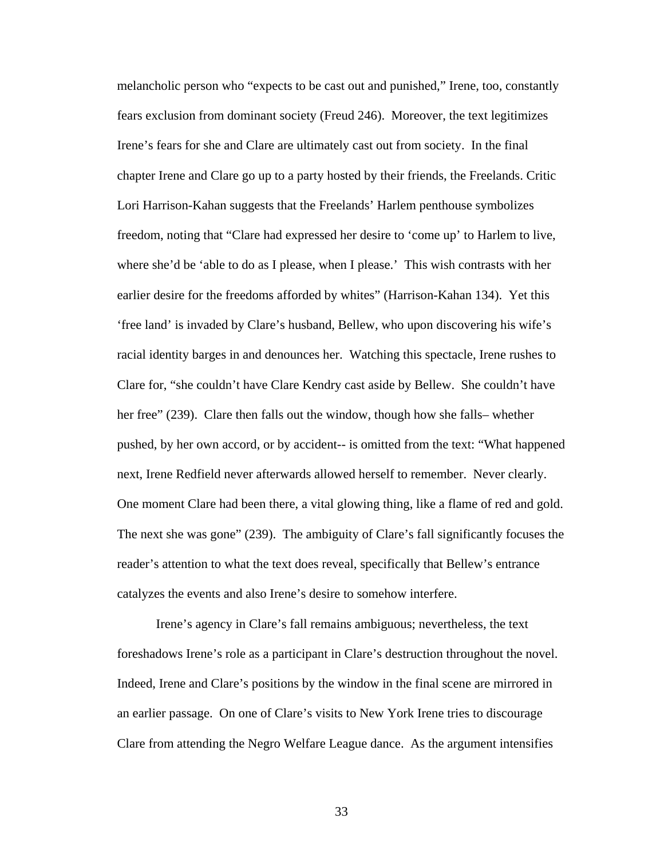melancholic person who "expects to be cast out and punished," Irene, too, constantly fears exclusion from dominant society (Freud 246). Moreover, the text legitimizes Irene's fears for she and Clare are ultimately cast out from society. In the final chapter Irene and Clare go up to a party hosted by their friends, the Freelands. Critic Lori Harrison-Kahan suggests that the Freelands' Harlem penthouse symbolizes freedom, noting that "Clare had expressed her desire to 'come up' to Harlem to live, where she'd be 'able to do as I please, when I please.' This wish contrasts with her earlier desire for the freedoms afforded by whites" (Harrison-Kahan 134). Yet this 'free land' is invaded by Clare's husband, Bellew, who upon discovering his wife's racial identity barges in and denounces her. Watching this spectacle, Irene rushes to Clare for, "she couldn't have Clare Kendry cast aside by Bellew. She couldn't have her free" (239). Clare then falls out the window, though how she falls– whether pushed, by her own accord, or by accident-- is omitted from the text: "What happened next, Irene Redfield never afterwards allowed herself to remember. Never clearly. One moment Clare had been there, a vital glowing thing, like a flame of red and gold. The next she was gone" (239). The ambiguity of Clare's fall significantly focuses the reader's attention to what the text does reveal, specifically that Bellew's entrance catalyzes the events and also Irene's desire to somehow interfere.

Irene's agency in Clare's fall remains ambiguous; nevertheless, the text foreshadows Irene's role as a participant in Clare's destruction throughout the novel. Indeed, Irene and Clare's positions by the window in the final scene are mirrored in an earlier passage. On one of Clare's visits to New York Irene tries to discourage Clare from attending the Negro Welfare League dance. As the argument intensifies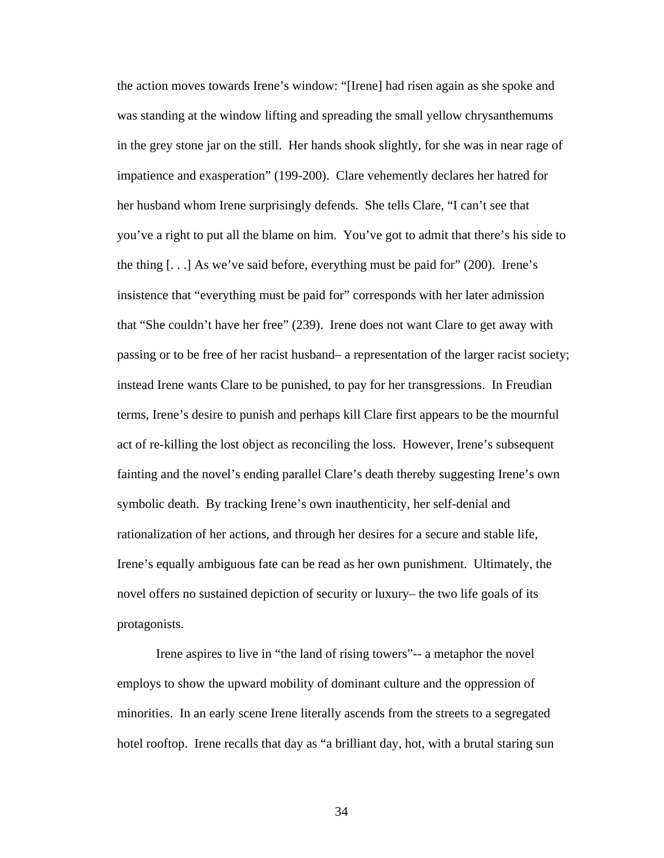the action moves towards Irene's window: "[Irene] had risen again as she spoke and was standing at the window lifting and spreading the small yellow chrysanthemums in the grey stone jar on the still. Her hands shook slightly, for she was in near rage of impatience and exasperation" (199-200). Clare vehemently declares her hatred for her husband whom Irene surprisingly defends. She tells Clare, "I can't see that you've a right to put all the blame on him. You've got to admit that there's his side to the thing  $[...]$  As we've said before, everything must be paid for" (200). Irene's insistence that "everything must be paid for" corresponds with her later admission that "She couldn't have her free" (239). Irene does not want Clare to get away with passing or to be free of her racist husband– a representation of the larger racist society; instead Irene wants Clare to be punished, to pay for her transgressions. In Freudian terms, Irene's desire to punish and perhaps kill Clare first appears to be the mournful act of re-killing the lost object as reconciling the loss. However, Irene's subsequent fainting and the novel's ending parallel Clare's death thereby suggesting Irene's own symbolic death. By tracking Irene's own inauthenticity, her self-denial and rationalization of her actions, and through her desires for a secure and stable life, Irene's equally ambiguous fate can be read as her own punishment. Ultimately, the novel offers no sustained depiction of security or luxury– the two life goals of its protagonists.

Irene aspires to live in "the land of rising towers"-- a metaphor the novel employs to show the upward mobility of dominant culture and the oppression of minorities. In an early scene Irene literally ascends from the streets to a segregated hotel rooftop. Irene recalls that day as "a brilliant day, hot, with a brutal staring sun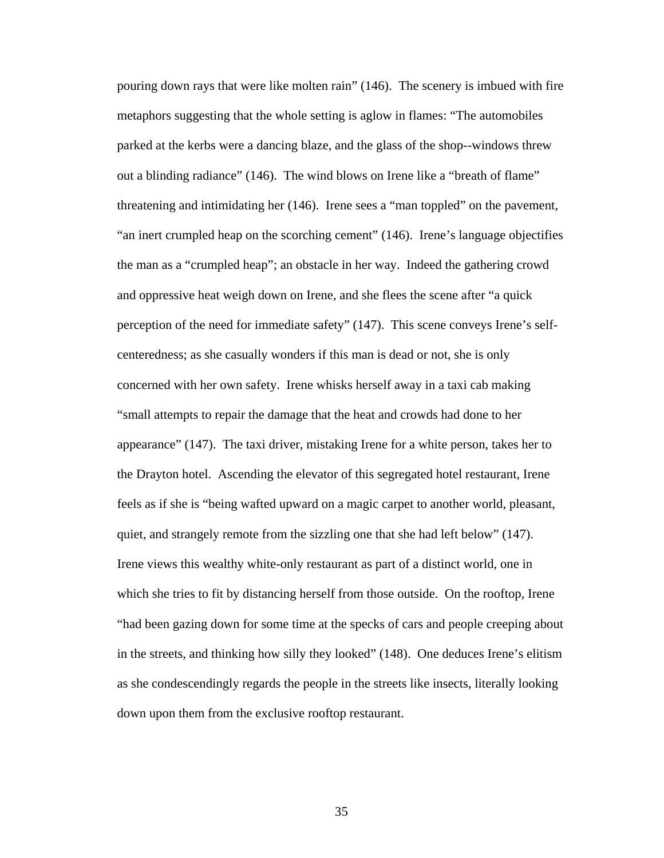pouring down rays that were like molten rain" (146). The scenery is imbued with fire metaphors suggesting that the whole setting is aglow in flames: "The automobiles parked at the kerbs were a dancing blaze, and the glass of the shop--windows threw out a blinding radiance" (146). The wind blows on Irene like a "breath of flame" threatening and intimidating her (146). Irene sees a "man toppled" on the pavement, "an inert crumpled heap on the scorching cement" (146). Irene's language objectifies the man as a "crumpled heap"; an obstacle in her way. Indeed the gathering crowd and oppressive heat weigh down on Irene, and she flees the scene after "a quick perception of the need for immediate safety" (147). This scene conveys Irene's selfcenteredness; as she casually wonders if this man is dead or not, she is only concerned with her own safety. Irene whisks herself away in a taxi cab making "small attempts to repair the damage that the heat and crowds had done to her appearance" (147). The taxi driver, mistaking Irene for a white person, takes her to the Drayton hotel. Ascending the elevator of this segregated hotel restaurant, Irene feels as if she is "being wafted upward on a magic carpet to another world, pleasant, quiet, and strangely remote from the sizzling one that she had left below" (147). Irene views this wealthy white-only restaurant as part of a distinct world, one in which she tries to fit by distancing herself from those outside. On the rooftop, Irene "had been gazing down for some time at the specks of cars and people creeping about in the streets, and thinking how silly they looked" (148). One deduces Irene's elitism as she condescendingly regards the people in the streets like insects, literally looking down upon them from the exclusive rooftop restaurant.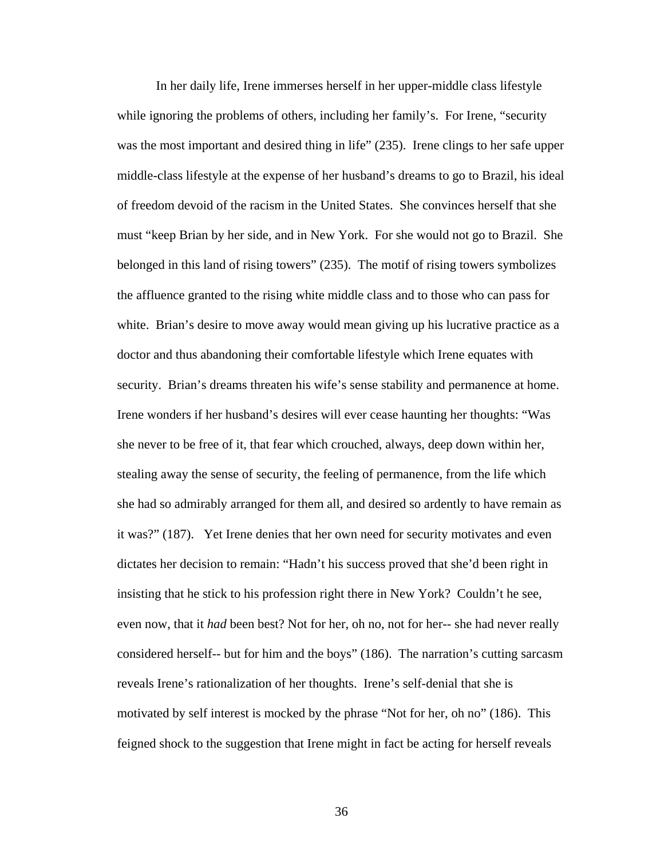In her daily life, Irene immerses herself in her upper-middle class lifestyle while ignoring the problems of others, including her family's. For Irene, "security" was the most important and desired thing in life" (235). Irene clings to her safe upper middle-class lifestyle at the expense of her husband's dreams to go to Brazil, his ideal of freedom devoid of the racism in the United States. She convinces herself that she must "keep Brian by her side, and in New York. For she would not go to Brazil. She belonged in this land of rising towers" (235). The motif of rising towers symbolizes the affluence granted to the rising white middle class and to those who can pass for white. Brian's desire to move away would mean giving up his lucrative practice as a doctor and thus abandoning their comfortable lifestyle which Irene equates with security. Brian's dreams threaten his wife's sense stability and permanence at home. Irene wonders if her husband's desires will ever cease haunting her thoughts: "Was she never to be free of it, that fear which crouched, always, deep down within her, stealing away the sense of security, the feeling of permanence, from the life which she had so admirably arranged for them all, and desired so ardently to have remain as it was?" (187). Yet Irene denies that her own need for security motivates and even dictates her decision to remain: "Hadn't his success proved that she'd been right in insisting that he stick to his profession right there in New York? Couldn't he see, even now, that it *had* been best? Not for her, oh no, not for her-- she had never really considered herself-- but for him and the boys" (186). The narration's cutting sarcasm reveals Irene's rationalization of her thoughts. Irene's self-denial that she is motivated by self interest is mocked by the phrase "Not for her, oh no" (186). This feigned shock to the suggestion that Irene might in fact be acting for herself reveals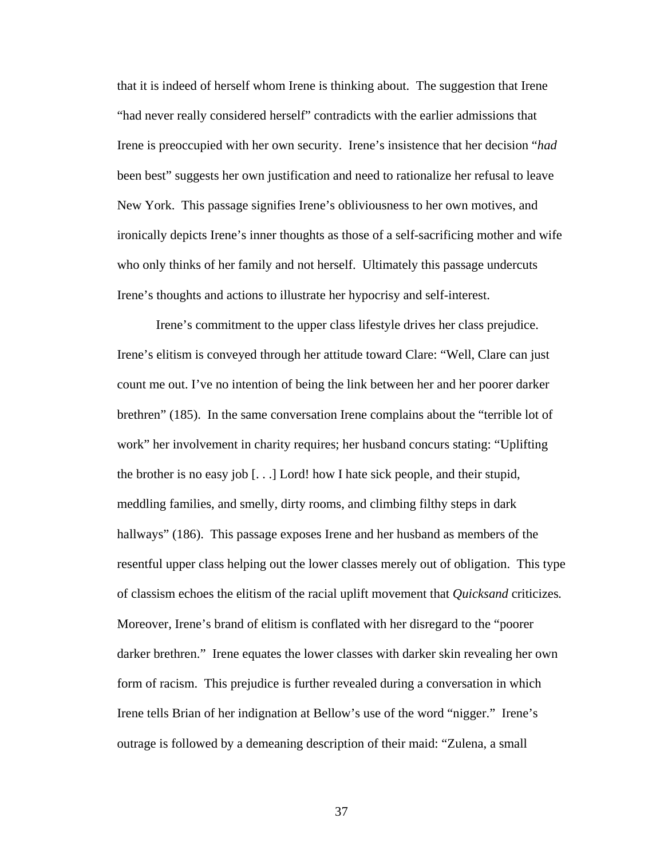that it is indeed of herself whom Irene is thinking about. The suggestion that Irene "had never really considered herself" contradicts with the earlier admissions that Irene is preoccupied with her own security. Irene's insistence that her decision "*had* been best" suggests her own justification and need to rationalize her refusal to leave New York. This passage signifies Irene's obliviousness to her own motives, and ironically depicts Irene's inner thoughts as those of a self-sacrificing mother and wife who only thinks of her family and not herself. Ultimately this passage undercuts Irene's thoughts and actions to illustrate her hypocrisy and self-interest.

Irene's commitment to the upper class lifestyle drives her class prejudice. Irene's elitism is conveyed through her attitude toward Clare: "Well, Clare can just count me out. I've no intention of being the link between her and her poorer darker brethren" (185). In the same conversation Irene complains about the "terrible lot of work" her involvement in charity requires; her husband concurs stating: "Uplifting the brother is no easy job [. . .] Lord! how I hate sick people, and their stupid, meddling families, and smelly, dirty rooms, and climbing filthy steps in dark hallways" (186). This passage exposes Irene and her husband as members of the resentful upper class helping out the lower classes merely out of obligation. This type of classism echoes the elitism of the racial uplift movement that *Quicksand* criticizes*.*  Moreover, Irene's brand of elitism is conflated with her disregard to the "poorer darker brethren." Irene equates the lower classes with darker skin revealing her own form of racism. This prejudice is further revealed during a conversation in which Irene tells Brian of her indignation at Bellow's use of the word "nigger." Irene's outrage is followed by a demeaning description of their maid: "Zulena, a small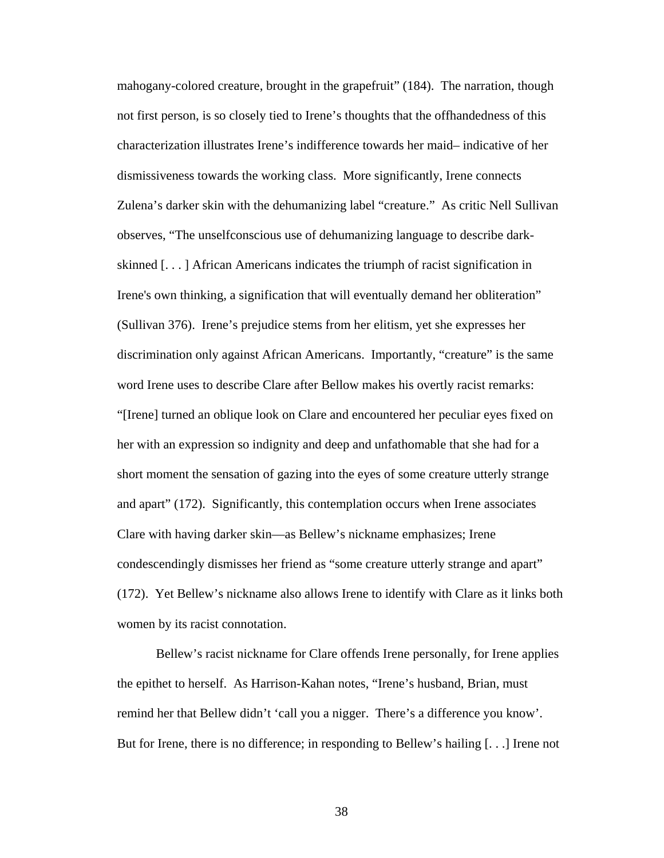mahogany-colored creature, brought in the grapefruit" (184). The narration, though not first person, is so closely tied to Irene's thoughts that the offhandedness of this characterization illustrates Irene's indifference towards her maid– indicative of her dismissiveness towards the working class. More significantly, Irene connects Zulena's darker skin with the dehumanizing label "creature." As critic Nell Sullivan observes, "The unselfconscious use of dehumanizing language to describe darkskinned [. . . ] African Americans indicates the triumph of racist signification in Irene's own thinking, a signification that will eventually demand her obliteration" (Sullivan 376). Irene's prejudice stems from her elitism, yet she expresses her discrimination only against African Americans. Importantly, "creature" is the same word Irene uses to describe Clare after Bellow makes his overtly racist remarks: "[Irene] turned an oblique look on Clare and encountered her peculiar eyes fixed on her with an expression so indignity and deep and unfathomable that she had for a short moment the sensation of gazing into the eyes of some creature utterly strange and apart" (172). Significantly, this contemplation occurs when Irene associates Clare with having darker skin—as Bellew's nickname emphasizes; Irene condescendingly dismisses her friend as "some creature utterly strange and apart" (172). Yet Bellew's nickname also allows Irene to identify with Clare as it links both women by its racist connotation.

Bellew's racist nickname for Clare offends Irene personally, for Irene applies the epithet to herself. As Harrison-Kahan notes, "Irene's husband, Brian, must remind her that Bellew didn't 'call you a nigger. There's a difference you know'. But for Irene, there is no difference; in responding to Bellew's hailing [. . .] Irene not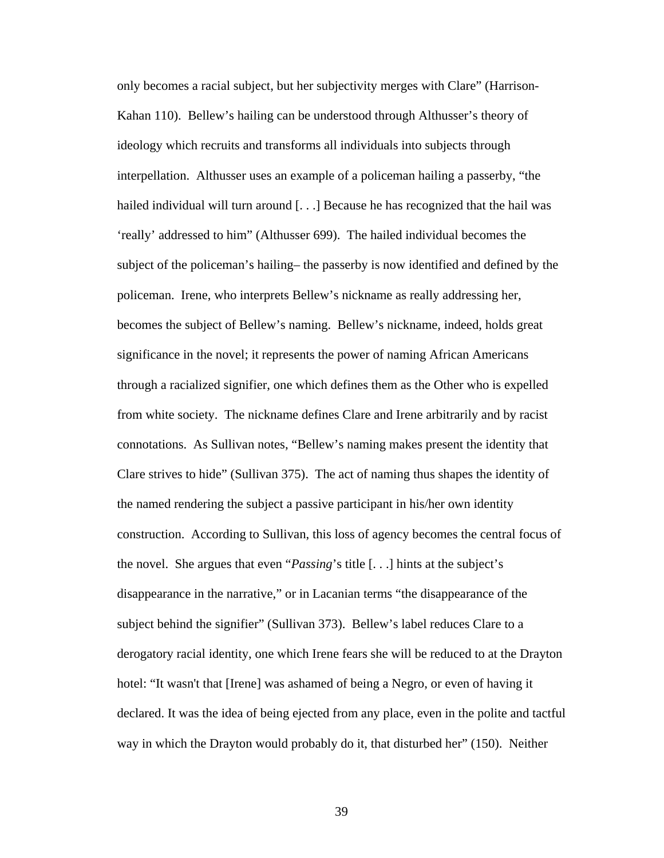only becomes a racial subject, but her subjectivity merges with Clare" (Harrison-Kahan 110). Bellew's hailing can be understood through Althusser's theory of ideology which recruits and transforms all individuals into subjects through interpellation. Althusser uses an example of a policeman hailing a passerby, "the hailed individual will turn around [...] Because he has recognized that the hail was 'really' addressed to him" (Althusser 699). The hailed individual becomes the subject of the policeman's hailing– the passerby is now identified and defined by the policeman. Irene, who interprets Bellew's nickname as really addressing her, becomes the subject of Bellew's naming. Bellew's nickname, indeed, holds great significance in the novel; it represents the power of naming African Americans through a racialized signifier, one which defines them as the Other who is expelled from white society. The nickname defines Clare and Irene arbitrarily and by racist connotations. As Sullivan notes, "Bellew's naming makes present the identity that Clare strives to hide" (Sullivan 375). The act of naming thus shapes the identity of the named rendering the subject a passive participant in his/her own identity construction. According to Sullivan, this loss of agency becomes the central focus of the novel. She argues that even "*Passing*'s title [. . .] hints at the subject's disappearance in the narrative," or in Lacanian terms "the disappearance of the subject behind the signifier" (Sullivan 373). Bellew's label reduces Clare to a derogatory racial identity, one which Irene fears she will be reduced to at the Drayton hotel: "It wasn't that [Irene] was ashamed of being a Negro, or even of having it declared. It was the idea of being ejected from any place, even in the polite and tactful way in which the Drayton would probably do it, that disturbed her" (150). Neither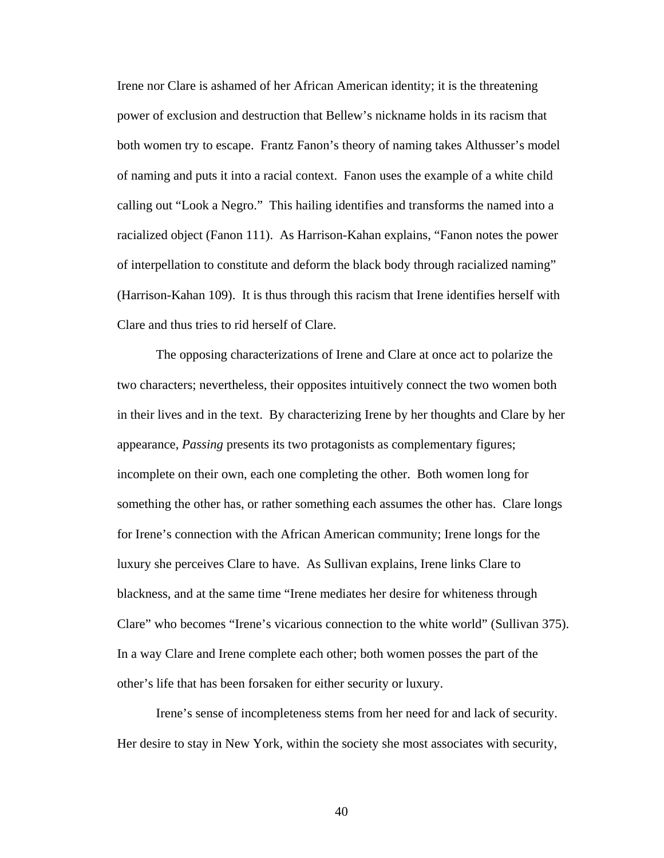Irene nor Clare is ashamed of her African American identity; it is the threatening power of exclusion and destruction that Bellew's nickname holds in its racism that both women try to escape. Frantz Fanon's theory of naming takes Althusser's model of naming and puts it into a racial context. Fanon uses the example of a white child calling out "Look a Negro." This hailing identifies and transforms the named into a racialized object (Fanon 111). As Harrison-Kahan explains, "Fanon notes the power of interpellation to constitute and deform the black body through racialized naming" (Harrison-Kahan 109). It is thus through this racism that Irene identifies herself with Clare and thus tries to rid herself of Clare.

The opposing characterizations of Irene and Clare at once act to polarize the two characters; nevertheless, their opposites intuitively connect the two women both in their lives and in the text. By characterizing Irene by her thoughts and Clare by her appearance, *Passing* presents its two protagonists as complementary figures; incomplete on their own, each one completing the other. Both women long for something the other has, or rather something each assumes the other has. Clare longs for Irene's connection with the African American community; Irene longs for the luxury she perceives Clare to have. As Sullivan explains, Irene links Clare to blackness, and at the same time "Irene mediates her desire for whiteness through Clare" who becomes "Irene's vicarious connection to the white world" (Sullivan 375). In a way Clare and Irene complete each other; both women posses the part of the other's life that has been forsaken for either security or luxury.

Irene's sense of incompleteness stems from her need for and lack of security. Her desire to stay in New York, within the society she most associates with security,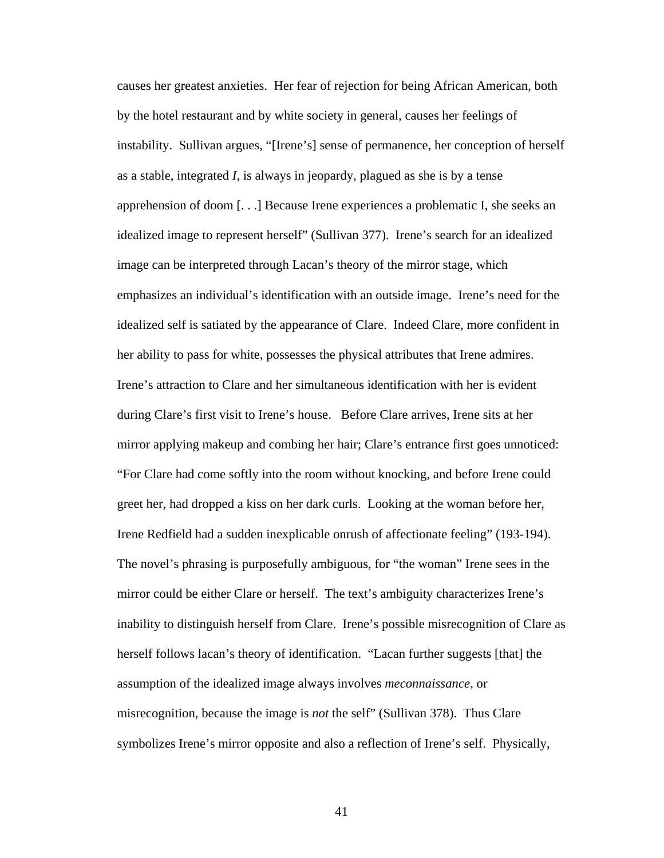causes her greatest anxieties. Her fear of rejection for being African American, both by the hotel restaurant and by white society in general, causes her feelings of instability. Sullivan argues, "[Irene's] sense of permanence, her conception of herself as a stable, integrated *I*, is always in jeopardy, plagued as she is by a tense apprehension of doom [. . .] Because Irene experiences a problematic I, she seeks an idealized image to represent herself" (Sullivan 377). Irene's search for an idealized image can be interpreted through Lacan's theory of the mirror stage, which emphasizes an individual's identification with an outside image. Irene's need for the idealized self is satiated by the appearance of Clare. Indeed Clare, more confident in her ability to pass for white, possesses the physical attributes that Irene admires. Irene's attraction to Clare and her simultaneous identification with her is evident during Clare's first visit to Irene's house. Before Clare arrives, Irene sits at her mirror applying makeup and combing her hair; Clare's entrance first goes unnoticed: "For Clare had come softly into the room without knocking, and before Irene could greet her, had dropped a kiss on her dark curls. Looking at the woman before her, Irene Redfield had a sudden inexplicable onrush of affectionate feeling" (193-194). The novel's phrasing is purposefully ambiguous, for "the woman" Irene sees in the mirror could be either Clare or herself. The text's ambiguity characterizes Irene's inability to distinguish herself from Clare. Irene's possible misrecognition of Clare as herself follows lacan's theory of identification. "Lacan further suggests [that] the assumption of the idealized image always involves *meconnaissance*, or misrecognition, because the image is *not* the self" (Sullivan 378). Thus Clare symbolizes Irene's mirror opposite and also a reflection of Irene's self. Physically,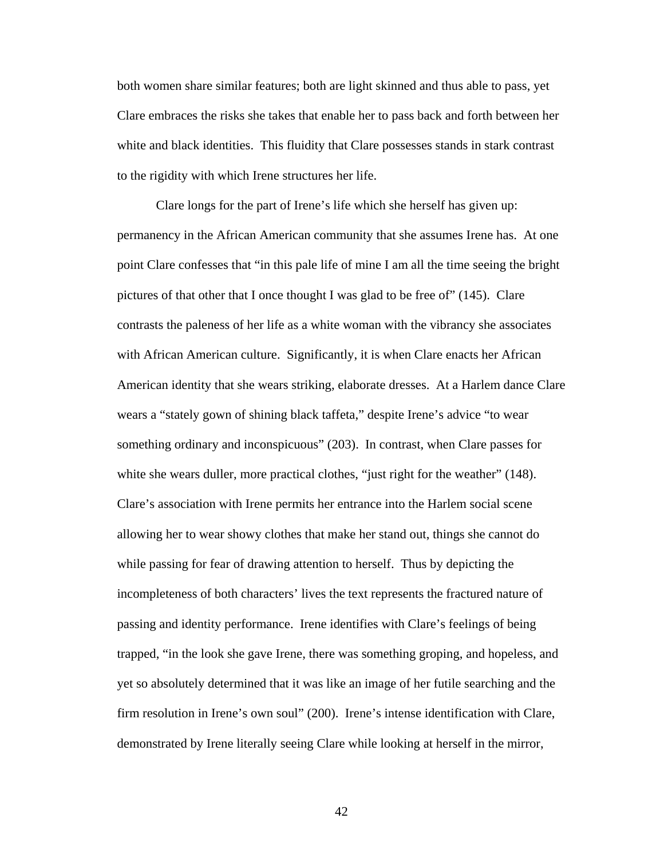both women share similar features; both are light skinned and thus able to pass, yet Clare embraces the risks she takes that enable her to pass back and forth between her white and black identities. This fluidity that Clare possesses stands in stark contrast to the rigidity with which Irene structures her life.

Clare longs for the part of Irene's life which she herself has given up: permanency in the African American community that she assumes Irene has. At one point Clare confesses that "in this pale life of mine I am all the time seeing the bright pictures of that other that I once thought I was glad to be free of" (145). Clare contrasts the paleness of her life as a white woman with the vibrancy she associates with African American culture. Significantly, it is when Clare enacts her African American identity that she wears striking, elaborate dresses. At a Harlem dance Clare wears a "stately gown of shining black taffeta," despite Irene's advice "to wear something ordinary and inconspicuous" (203). In contrast, when Clare passes for white she wears duller, more practical clothes, "just right for the weather" (148). Clare's association with Irene permits her entrance into the Harlem social scene allowing her to wear showy clothes that make her stand out, things she cannot do while passing for fear of drawing attention to herself. Thus by depicting the incompleteness of both characters' lives the text represents the fractured nature of passing and identity performance. Irene identifies with Clare's feelings of being trapped, "in the look she gave Irene, there was something groping, and hopeless, and yet so absolutely determined that it was like an image of her futile searching and the firm resolution in Irene's own soul" (200). Irene's intense identification with Clare, demonstrated by Irene literally seeing Clare while looking at herself in the mirror,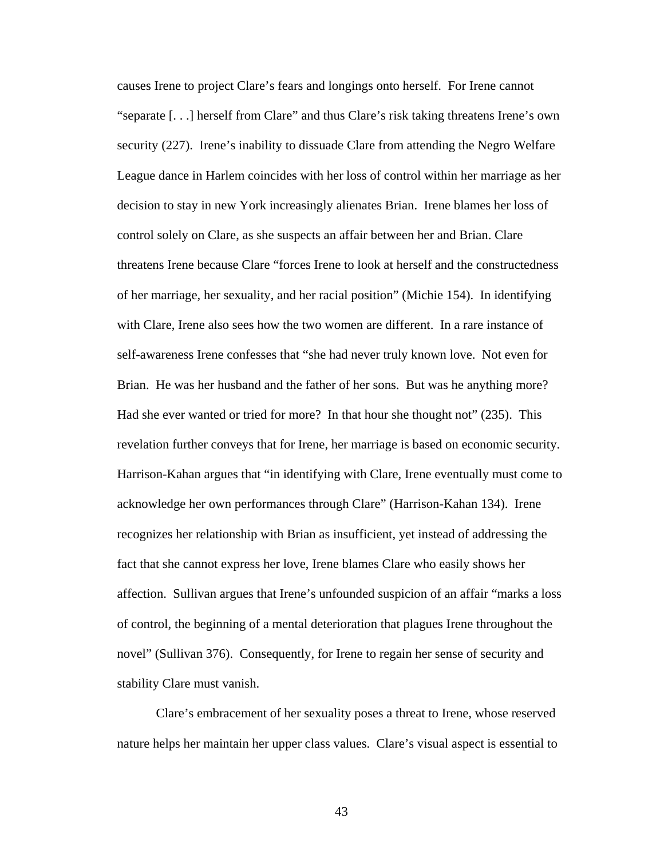causes Irene to project Clare's fears and longings onto herself. For Irene cannot "separate [. . .] herself from Clare" and thus Clare's risk taking threatens Irene's own security (227). Irene's inability to dissuade Clare from attending the Negro Welfare League dance in Harlem coincides with her loss of control within her marriage as her decision to stay in new York increasingly alienates Brian. Irene blames her loss of control solely on Clare, as she suspects an affair between her and Brian. Clare threatens Irene because Clare "forces Irene to look at herself and the constructedness of her marriage, her sexuality, and her racial position" (Michie 154). In identifying with Clare, Irene also sees how the two women are different. In a rare instance of self-awareness Irene confesses that "she had never truly known love. Not even for Brian. He was her husband and the father of her sons. But was he anything more? Had she ever wanted or tried for more? In that hour she thought not" (235). This revelation further conveys that for Irene, her marriage is based on economic security. Harrison-Kahan argues that "in identifying with Clare, Irene eventually must come to acknowledge her own performances through Clare" (Harrison-Kahan 134). Irene recognizes her relationship with Brian as insufficient, yet instead of addressing the fact that she cannot express her love, Irene blames Clare who easily shows her affection. Sullivan argues that Irene's unfounded suspicion of an affair "marks a loss of control, the beginning of a mental deterioration that plagues Irene throughout the novel" (Sullivan 376). Consequently, for Irene to regain her sense of security and stability Clare must vanish.

Clare's embracement of her sexuality poses a threat to Irene, whose reserved nature helps her maintain her upper class values. Clare's visual aspect is essential to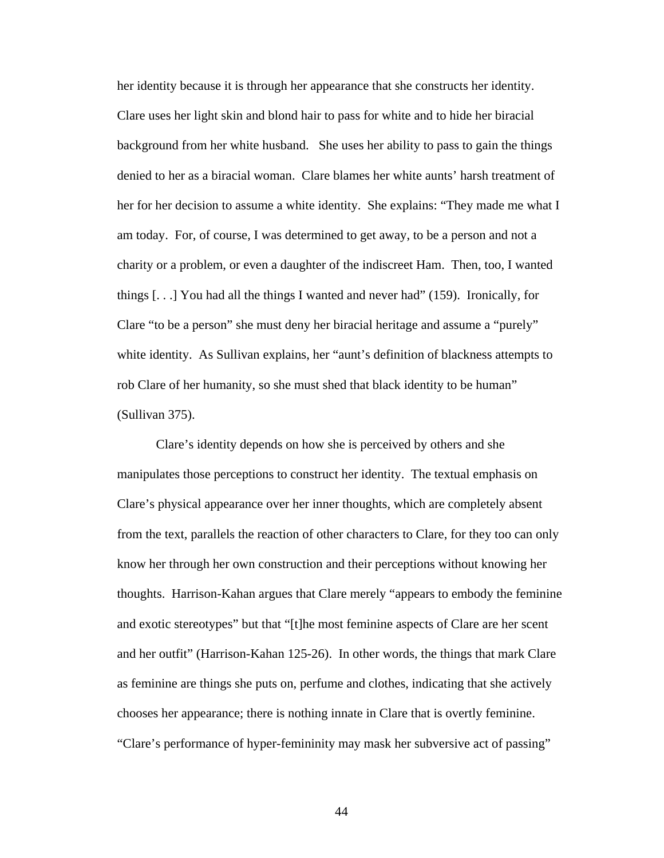her identity because it is through her appearance that she constructs her identity. Clare uses her light skin and blond hair to pass for white and to hide her biracial background from her white husband. She uses her ability to pass to gain the things denied to her as a biracial woman. Clare blames her white aunts' harsh treatment of her for her decision to assume a white identity. She explains: "They made me what I am today. For, of course, I was determined to get away, to be a person and not a charity or a problem, or even a daughter of the indiscreet Ham. Then, too, I wanted things [. . .] You had all the things I wanted and never had" (159). Ironically, for Clare "to be a person" she must deny her biracial heritage and assume a "purely" white identity. As Sullivan explains, her "aunt's definition of blackness attempts to rob Clare of her humanity, so she must shed that black identity to be human" (Sullivan 375).

Clare's identity depends on how she is perceived by others and she manipulates those perceptions to construct her identity. The textual emphasis on Clare's physical appearance over her inner thoughts, which are completely absent from the text, parallels the reaction of other characters to Clare, for they too can only know her through her own construction and their perceptions without knowing her thoughts. Harrison-Kahan argues that Clare merely "appears to embody the feminine and exotic stereotypes" but that "[t]he most feminine aspects of Clare are her scent and her outfit" (Harrison-Kahan 125-26). In other words, the things that mark Clare as feminine are things she puts on, perfume and clothes, indicating that she actively chooses her appearance; there is nothing innate in Clare that is overtly feminine. "Clare's performance of hyper-femininity may mask her subversive act of passing"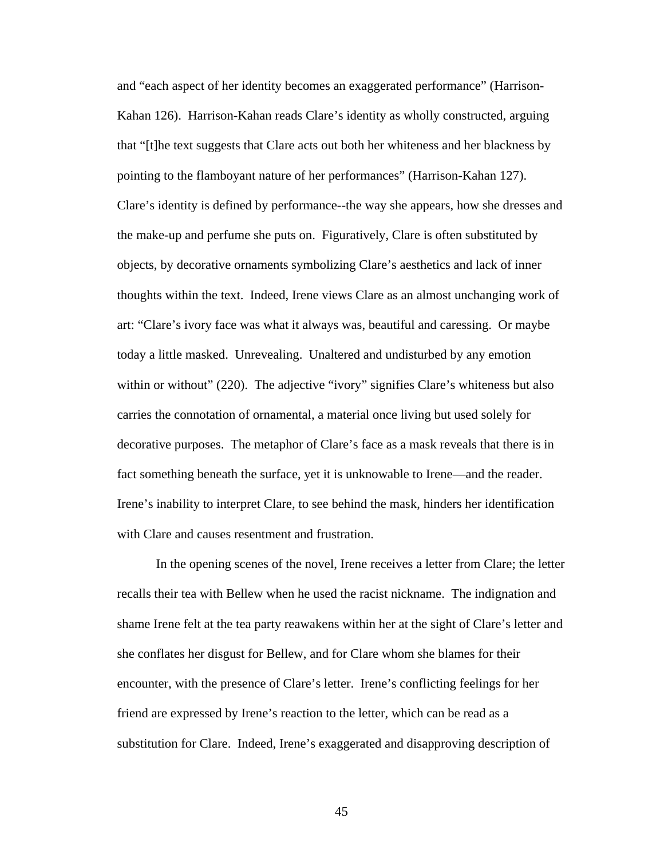and "each aspect of her identity becomes an exaggerated performance" (Harrison-Kahan 126). Harrison-Kahan reads Clare's identity as wholly constructed, arguing that "[t]he text suggests that Clare acts out both her whiteness and her blackness by pointing to the flamboyant nature of her performances" (Harrison-Kahan 127). Clare's identity is defined by performance--the way she appears, how she dresses and the make-up and perfume she puts on. Figuratively, Clare is often substituted by objects, by decorative ornaments symbolizing Clare's aesthetics and lack of inner thoughts within the text. Indeed, Irene views Clare as an almost unchanging work of art: "Clare's ivory face was what it always was, beautiful and caressing. Or maybe today a little masked. Unrevealing. Unaltered and undisturbed by any emotion within or without" (220). The adjective "ivory" signifies Clare's whiteness but also carries the connotation of ornamental, a material once living but used solely for decorative purposes. The metaphor of Clare's face as a mask reveals that there is in fact something beneath the surface, yet it is unknowable to Irene—and the reader. Irene's inability to interpret Clare, to see behind the mask, hinders her identification with Clare and causes resentment and frustration.

In the opening scenes of the novel, Irene receives a letter from Clare; the letter recalls their tea with Bellew when he used the racist nickname. The indignation and shame Irene felt at the tea party reawakens within her at the sight of Clare's letter and she conflates her disgust for Bellew, and for Clare whom she blames for their encounter, with the presence of Clare's letter. Irene's conflicting feelings for her friend are expressed by Irene's reaction to the letter, which can be read as a substitution for Clare. Indeed, Irene's exaggerated and disapproving description of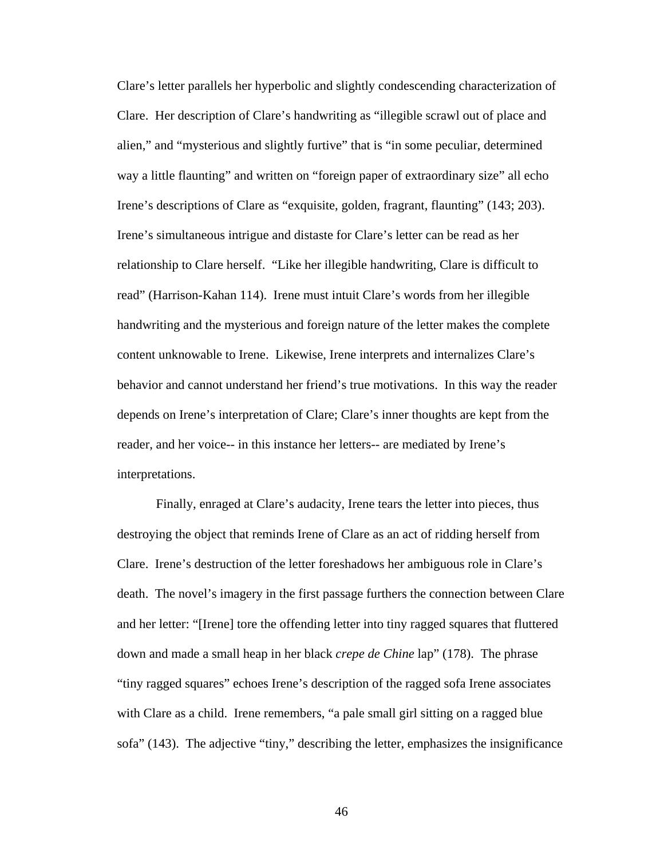Clare's letter parallels her hyperbolic and slightly condescending characterization of Clare. Her description of Clare's handwriting as "illegible scrawl out of place and alien," and "mysterious and slightly furtive" that is "in some peculiar, determined way a little flaunting" and written on "foreign paper of extraordinary size" all echo Irene's descriptions of Clare as "exquisite, golden, fragrant, flaunting" (143; 203). Irene's simultaneous intrigue and distaste for Clare's letter can be read as her relationship to Clare herself. "Like her illegible handwriting, Clare is difficult to read" (Harrison-Kahan 114). Irene must intuit Clare's words from her illegible handwriting and the mysterious and foreign nature of the letter makes the complete content unknowable to Irene. Likewise, Irene interprets and internalizes Clare's behavior and cannot understand her friend's true motivations. In this way the reader depends on Irene's interpretation of Clare; Clare's inner thoughts are kept from the reader, and her voice-- in this instance her letters-- are mediated by Irene's interpretations.

Finally, enraged at Clare's audacity, Irene tears the letter into pieces, thus destroying the object that reminds Irene of Clare as an act of ridding herself from Clare. Irene's destruction of the letter foreshadows her ambiguous role in Clare's death. The novel's imagery in the first passage furthers the connection between Clare and her letter: "[Irene] tore the offending letter into tiny ragged squares that fluttered down and made a small heap in her black *crepe de Chine* lap" (178). The phrase "tiny ragged squares" echoes Irene's description of the ragged sofa Irene associates with Clare as a child. Irene remembers, "a pale small girl sitting on a ragged blue sofa" (143). The adjective "tiny," describing the letter, emphasizes the insignificance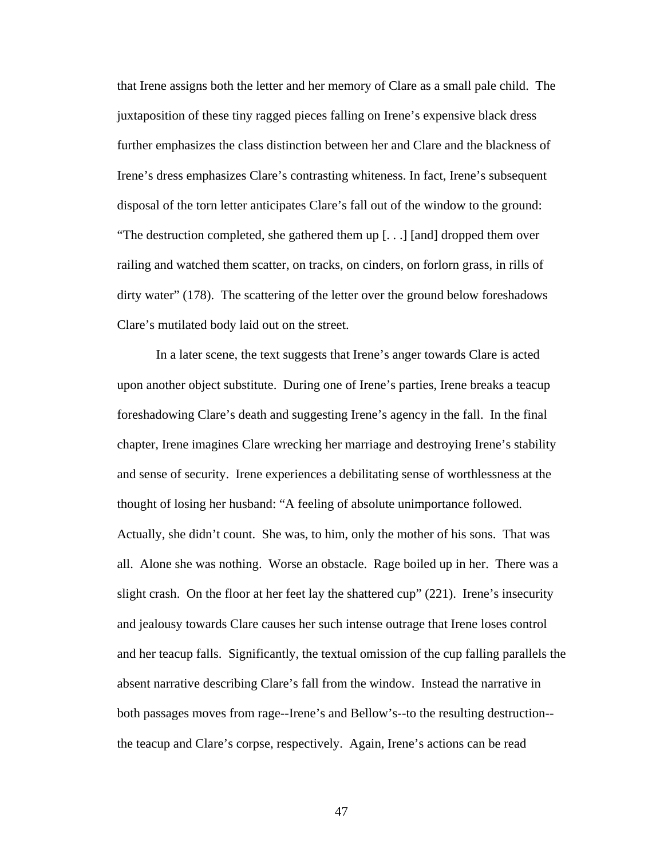that Irene assigns both the letter and her memory of Clare as a small pale child. The juxtaposition of these tiny ragged pieces falling on Irene's expensive black dress further emphasizes the class distinction between her and Clare and the blackness of Irene's dress emphasizes Clare's contrasting whiteness. In fact, Irene's subsequent disposal of the torn letter anticipates Clare's fall out of the window to the ground: "The destruction completed, she gathered them up [. . .] [and] dropped them over railing and watched them scatter, on tracks, on cinders, on forlorn grass, in rills of dirty water" (178). The scattering of the letter over the ground below foreshadows Clare's mutilated body laid out on the street.

In a later scene, the text suggests that Irene's anger towards Clare is acted upon another object substitute. During one of Irene's parties, Irene breaks a teacup foreshadowing Clare's death and suggesting Irene's agency in the fall. In the final chapter, Irene imagines Clare wrecking her marriage and destroying Irene's stability and sense of security. Irene experiences a debilitating sense of worthlessness at the thought of losing her husband: "A feeling of absolute unimportance followed. Actually, she didn't count. She was, to him, only the mother of his sons. That was all. Alone she was nothing. Worse an obstacle. Rage boiled up in her. There was a slight crash. On the floor at her feet lay the shattered cup" (221). Irene's insecurity and jealousy towards Clare causes her such intense outrage that Irene loses control and her teacup falls. Significantly, the textual omission of the cup falling parallels the absent narrative describing Clare's fall from the window. Instead the narrative in both passages moves from rage--Irene's and Bellow's--to the resulting destruction- the teacup and Clare's corpse, respectively. Again, Irene's actions can be read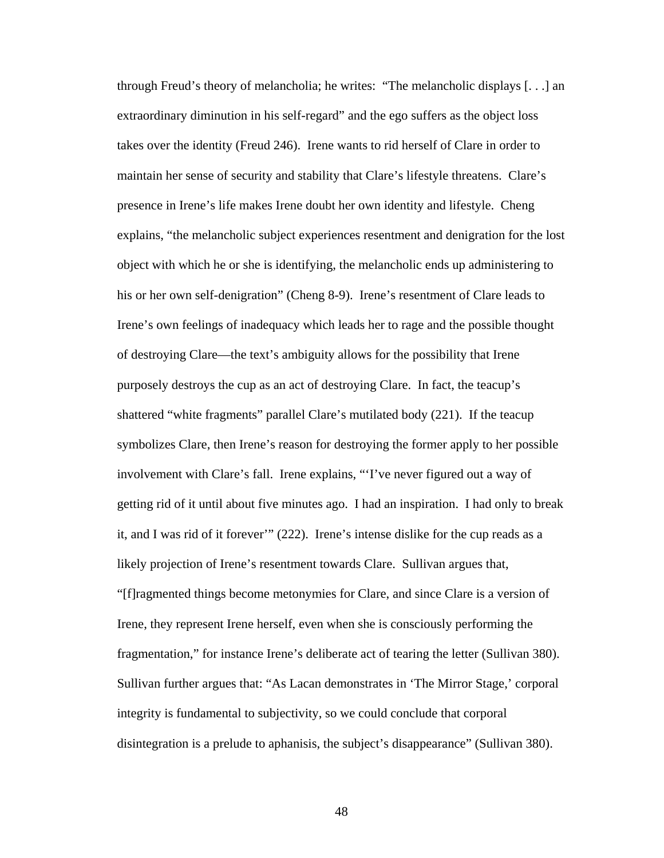through Freud's theory of melancholia; he writes: "The melancholic displays [. . .] an extraordinary diminution in his self-regard" and the ego suffers as the object loss takes over the identity (Freud 246). Irene wants to rid herself of Clare in order to maintain her sense of security and stability that Clare's lifestyle threatens. Clare's presence in Irene's life makes Irene doubt her own identity and lifestyle. Cheng explains, "the melancholic subject experiences resentment and denigration for the lost object with which he or she is identifying, the melancholic ends up administering to his or her own self-denigration" (Cheng 8-9). Irene's resentment of Clare leads to Irene's own feelings of inadequacy which leads her to rage and the possible thought of destroying Clare—the text's ambiguity allows for the possibility that Irene purposely destroys the cup as an act of destroying Clare. In fact, the teacup's shattered "white fragments" parallel Clare's mutilated body (221). If the teacup symbolizes Clare, then Irene's reason for destroying the former apply to her possible involvement with Clare's fall. Irene explains, "'I've never figured out a way of getting rid of it until about five minutes ago. I had an inspiration. I had only to break it, and I was rid of it forever'" (222). Irene's intense dislike for the cup reads as a likely projection of Irene's resentment towards Clare. Sullivan argues that, "[f]ragmented things become metonymies for Clare, and since Clare is a version of Irene, they represent Irene herself, even when she is consciously performing the fragmentation," for instance Irene's deliberate act of tearing the letter (Sullivan 380). Sullivan further argues that: "As Lacan demonstrates in 'The Mirror Stage,' corporal integrity is fundamental to subjectivity, so we could conclude that corporal disintegration is a prelude to aphanisis, the subject's disappearance" (Sullivan 380).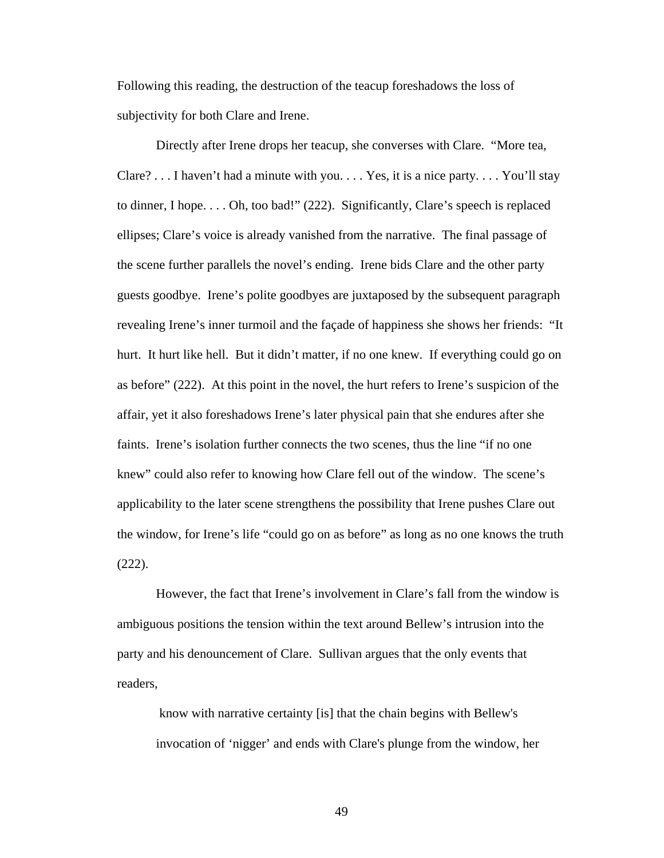Following this reading, the destruction of the teacup foreshadows the loss of subjectivity for both Clare and Irene.

Directly after Irene drops her teacup, she converses with Clare. "More tea, Clare? . . . I haven't had a minute with you.  $\dots$  Yes, it is a nice party.  $\dots$  You'll stay to dinner, I hope. . . . Oh, too bad!" (222). Significantly, Clare's speech is replaced ellipses; Clare's voice is already vanished from the narrative. The final passage of the scene further parallels the novel's ending. Irene bids Clare and the other party guests goodbye. Irene's polite goodbyes are juxtaposed by the subsequent paragraph revealing Irene's inner turmoil and the façade of happiness she shows her friends: "It hurt. It hurt like hell. But it didn't matter, if no one knew. If everything could go on as before" (222). At this point in the novel, the hurt refers to Irene's suspicion of the affair, yet it also foreshadows Irene's later physical pain that she endures after she faints. Irene's isolation further connects the two scenes, thus the line "if no one knew" could also refer to knowing how Clare fell out of the window. The scene's applicability to the later scene strengthens the possibility that Irene pushes Clare out the window, for Irene's life "could go on as before" as long as no one knows the truth (222).

However, the fact that Irene's involvement in Clare's fall from the window is ambiguous positions the tension within the text around Bellew's intrusion into the party and his denouncement of Clare. Sullivan argues that the only events that readers,

know with narrative certainty [is] that the chain begins with Bellew's invocation of 'nigger' and ends with Clare's plunge from the window, her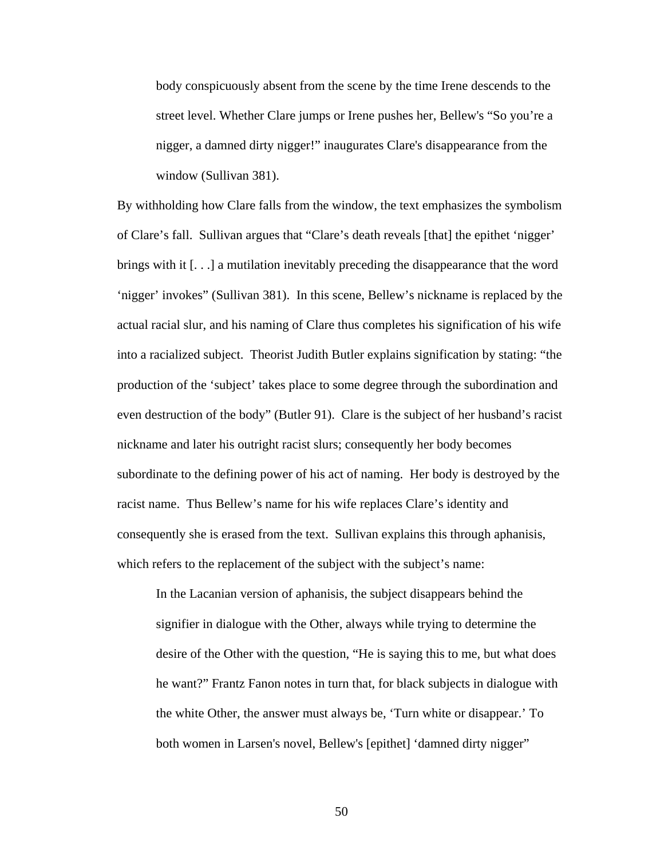body conspicuously absent from the scene by the time Irene descends to the street level. Whether Clare jumps or Irene pushes her, Bellew's "So you're a nigger, a damned dirty nigger!" inaugurates Clare's disappearance from the window (Sullivan 381).

By withholding how Clare falls from the window, the text emphasizes the symbolism of Clare's fall. Sullivan argues that "Clare's death reveals [that] the epithet 'nigger' brings with it [. . .] a mutilation inevitably preceding the disappearance that the word 'nigger' invokes" (Sullivan 381). In this scene, Bellew's nickname is replaced by the actual racial slur, and his naming of Clare thus completes his signification of his wife into a racialized subject. Theorist Judith Butler explains signification by stating: "the production of the 'subject' takes place to some degree through the subordination and even destruction of the body" (Butler 91). Clare is the subject of her husband's racist nickname and later his outright racist slurs; consequently her body becomes subordinate to the defining power of his act of naming. Her body is destroyed by the racist name. Thus Bellew's name for his wife replaces Clare's identity and consequently she is erased from the text. Sullivan explains this through aphanisis, which refers to the replacement of the subject with the subject's name:

In the Lacanian version of aphanisis, the subject disappears behind the signifier in dialogue with the Other, always while trying to determine the desire of the Other with the question, "He is saying this to me, but what does he want?" Frantz Fanon notes in turn that, for black subjects in dialogue with the white Other, the answer must always be, 'Turn white or disappear.' To both women in Larsen's novel, Bellew's [epithet] 'damned dirty nigger"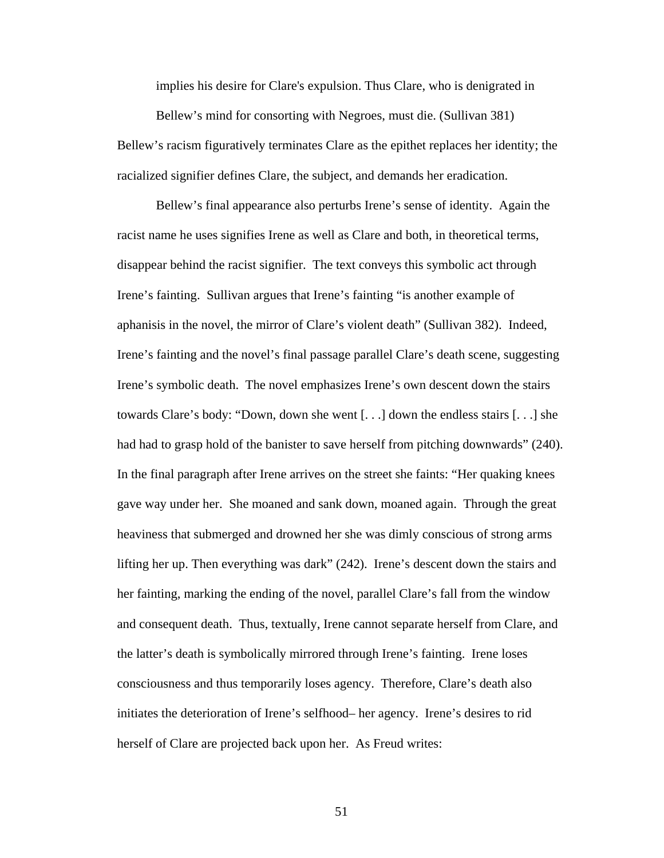implies his desire for Clare's expulsion. Thus Clare, who is denigrated in

Bellew's mind for consorting with Negroes, must die. (Sullivan 381) Bellew's racism figuratively terminates Clare as the epithet replaces her identity; the racialized signifier defines Clare, the subject, and demands her eradication.

 Bellew's final appearance also perturbs Irene's sense of identity. Again the racist name he uses signifies Irene as well as Clare and both, in theoretical terms, disappear behind the racist signifier. The text conveys this symbolic act through Irene's fainting. Sullivan argues that Irene's fainting "is another example of aphanisis in the novel, the mirror of Clare's violent death" (Sullivan 382). Indeed, Irene's fainting and the novel's final passage parallel Clare's death scene, suggesting Irene's symbolic death. The novel emphasizes Irene's own descent down the stairs towards Clare's body: "Down, down she went [. . .] down the endless stairs [. . .] she had had to grasp hold of the banister to save herself from pitching downwards" (240). In the final paragraph after Irene arrives on the street she faints: "Her quaking knees gave way under her. She moaned and sank down, moaned again. Through the great heaviness that submerged and drowned her she was dimly conscious of strong arms lifting her up. Then everything was dark" (242). Irene's descent down the stairs and her fainting, marking the ending of the novel, parallel Clare's fall from the window and consequent death. Thus, textually, Irene cannot separate herself from Clare, and the latter's death is symbolically mirrored through Irene's fainting. Irene loses consciousness and thus temporarily loses agency. Therefore, Clare's death also initiates the deterioration of Irene's selfhood– her agency. Irene's desires to rid herself of Clare are projected back upon her. As Freud writes: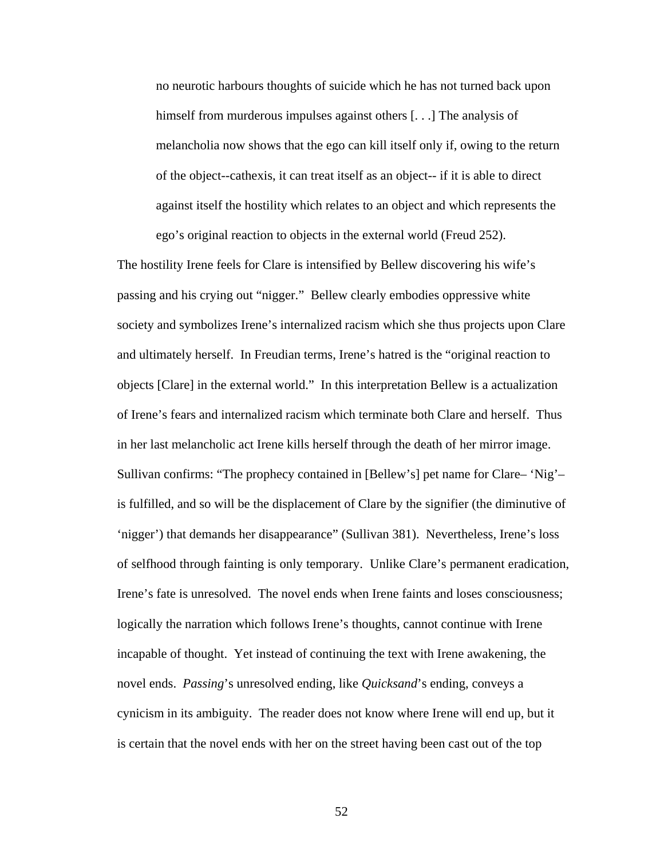no neurotic harbours thoughts of suicide which he has not turned back upon himself from murderous impulses against others [...] The analysis of melancholia now shows that the ego can kill itself only if, owing to the return of the object--cathexis, it can treat itself as an object-- if it is able to direct against itself the hostility which relates to an object and which represents the ego's original reaction to objects in the external world (Freud 252).

The hostility Irene feels for Clare is intensified by Bellew discovering his wife's passing and his crying out "nigger." Bellew clearly embodies oppressive white society and symbolizes Irene's internalized racism which she thus projects upon Clare and ultimately herself. In Freudian terms, Irene's hatred is the "original reaction to objects [Clare] in the external world." In this interpretation Bellew is a actualization of Irene's fears and internalized racism which terminate both Clare and herself. Thus in her last melancholic act Irene kills herself through the death of her mirror image. Sullivan confirms: "The prophecy contained in [Bellew's] pet name for Clare– 'Nig'– is fulfilled, and so will be the displacement of Clare by the signifier (the diminutive of 'nigger') that demands her disappearance" (Sullivan 381). Nevertheless, Irene's loss of selfhood through fainting is only temporary. Unlike Clare's permanent eradication, Irene's fate is unresolved. The novel ends when Irene faints and loses consciousness; logically the narration which follows Irene's thoughts, cannot continue with Irene incapable of thought. Yet instead of continuing the text with Irene awakening, the novel ends. *Passing*'s unresolved ending, like *Quicksand*'s ending, conveys a cynicism in its ambiguity. The reader does not know where Irene will end up, but it is certain that the novel ends with her on the street having been cast out of the top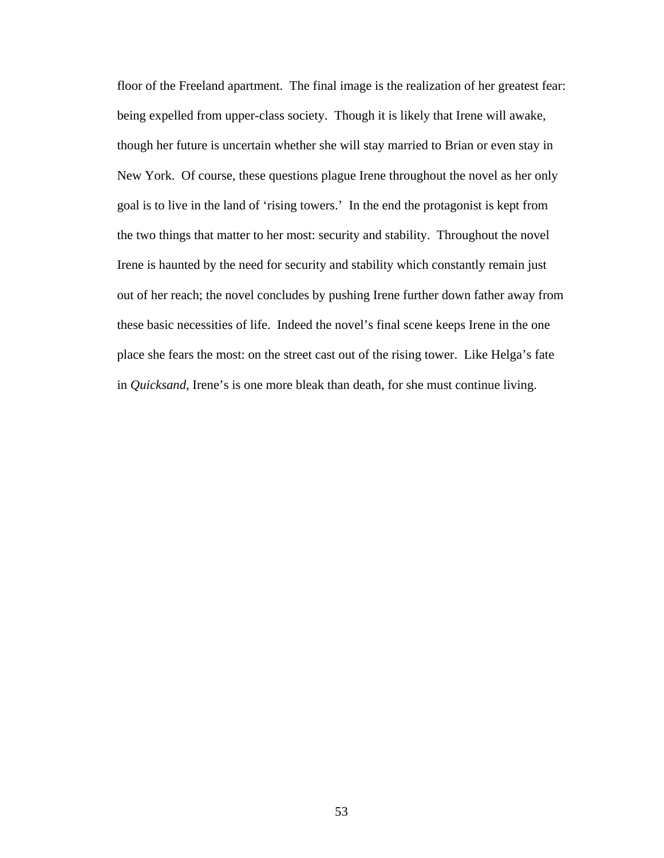floor of the Freeland apartment. The final image is the realization of her greatest fear: being expelled from upper-class society. Though it is likely that Irene will awake, though her future is uncertain whether she will stay married to Brian or even stay in New York. Of course, these questions plague Irene throughout the novel as her only goal is to live in the land of 'rising towers.' In the end the protagonist is kept from the two things that matter to her most: security and stability. Throughout the novel Irene is haunted by the need for security and stability which constantly remain just out of her reach; the novel concludes by pushing Irene further down father away from these basic necessities of life. Indeed the novel's final scene keeps Irene in the one place she fears the most: on the street cast out of the rising tower. Like Helga's fate in *Quicksand*, Irene's is one more bleak than death, for she must continue living.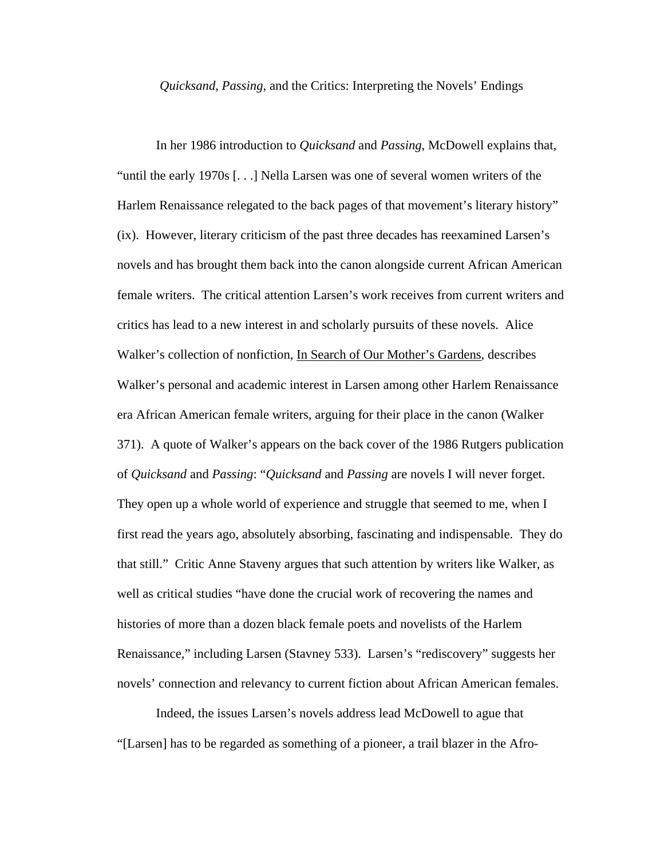#### *Quicksand*, *Passing*, and the Critics: Interpreting the Novels' Endings

 In her 1986 introduction to *Quicksand* and *Passing*, McDowell explains that, "until the early 1970s [. . .] Nella Larsen was one of several women writers of the Harlem Renaissance relegated to the back pages of that movement's literary history" (ix). However, literary criticism of the past three decades has reexamined Larsen's novels and has brought them back into the canon alongside current African American female writers. The critical attention Larsen's work receives from current writers and critics has lead to a new interest in and scholarly pursuits of these novels. Alice Walker's collection of nonfiction, In Search of Our Mother's Gardens, describes Walker's personal and academic interest in Larsen among other Harlem Renaissance era African American female writers, arguing for their place in the canon (Walker 371). A quote of Walker's appears on the back cover of the 1986 Rutgers publication of *Quicksand* and *Passing*: "*Quicksand* and *Passing* are novels I will never forget. They open up a whole world of experience and struggle that seemed to me, when I first read the years ago, absolutely absorbing, fascinating and indispensable. They do that still." Critic Anne Staveny argues that such attention by writers like Walker, as well as critical studies "have done the crucial work of recovering the names and histories of more than a dozen black female poets and novelists of the Harlem Renaissance," including Larsen (Stavney 533). Larsen's "rediscovery" suggests her novels' connection and relevancy to current fiction about African American females.

Indeed, the issues Larsen's novels address lead McDowell to ague that "[Larsen] has to be regarded as something of a pioneer, a trail blazer in the Afro-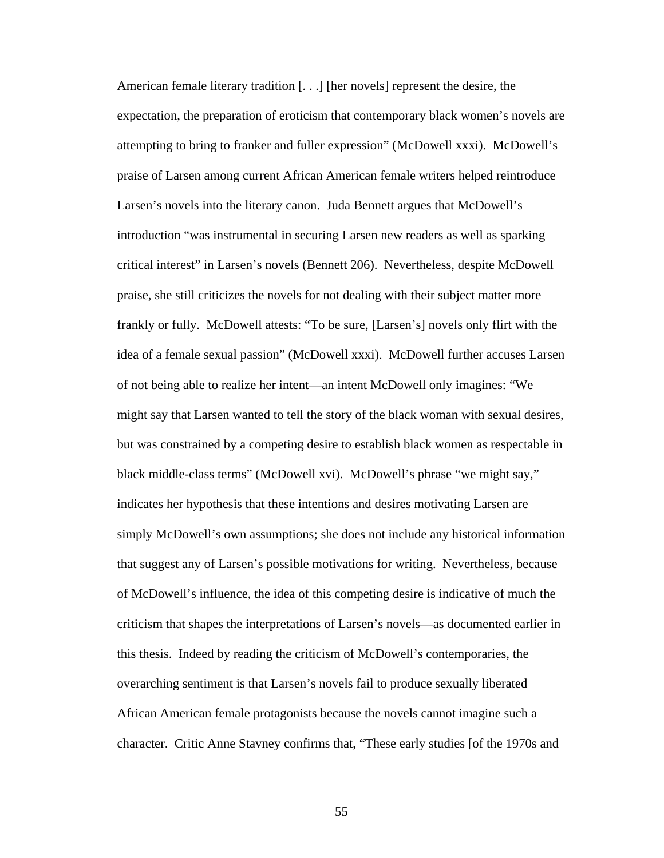American female literary tradition [. . .] [her novels] represent the desire, the expectation, the preparation of eroticism that contemporary black women's novels are attempting to bring to franker and fuller expression" (McDowell xxxi). McDowell's praise of Larsen among current African American female writers helped reintroduce Larsen's novels into the literary canon. Juda Bennett argues that McDowell's introduction "was instrumental in securing Larsen new readers as well as sparking critical interest" in Larsen's novels (Bennett 206). Nevertheless, despite McDowell praise, she still criticizes the novels for not dealing with their subject matter more frankly or fully. McDowell attests: "To be sure, [Larsen's] novels only flirt with the idea of a female sexual passion" (McDowell xxxi). McDowell further accuses Larsen of not being able to realize her intent—an intent McDowell only imagines: "We might say that Larsen wanted to tell the story of the black woman with sexual desires, but was constrained by a competing desire to establish black women as respectable in black middle-class terms" (McDowell xvi). McDowell's phrase "we might say," indicates her hypothesis that these intentions and desires motivating Larsen are simply McDowell's own assumptions; she does not include any historical information that suggest any of Larsen's possible motivations for writing. Nevertheless, because of McDowell's influence, the idea of this competing desire is indicative of much the criticism that shapes the interpretations of Larsen's novels—as documented earlier in this thesis. Indeed by reading the criticism of McDowell's contemporaries, the overarching sentiment is that Larsen's novels fail to produce sexually liberated African American female protagonists because the novels cannot imagine such a character. Critic Anne Stavney confirms that, "These early studies [of the 1970s and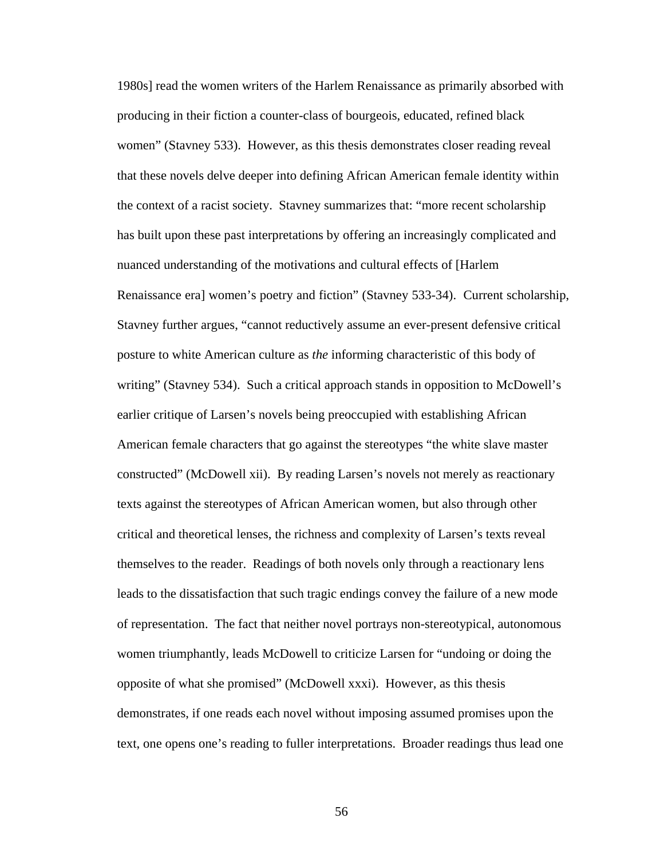1980s] read the women writers of the Harlem Renaissance as primarily absorbed with producing in their fiction a counter-class of bourgeois, educated, refined black women" (Stavney 533). However, as this thesis demonstrates closer reading reveal that these novels delve deeper into defining African American female identity within the context of a racist society. Stavney summarizes that: "more recent scholarship has built upon these past interpretations by offering an increasingly complicated and nuanced understanding of the motivations and cultural effects of [Harlem Renaissance era] women's poetry and fiction" (Stavney 533-34). Current scholarship, Stavney further argues, "cannot reductively assume an ever-present defensive critical posture to white American culture as *the* informing characteristic of this body of writing" (Stavney 534). Such a critical approach stands in opposition to McDowell's earlier critique of Larsen's novels being preoccupied with establishing African American female characters that go against the stereotypes "the white slave master constructed" (McDowell xii). By reading Larsen's novels not merely as reactionary texts against the stereotypes of African American women, but also through other critical and theoretical lenses, the richness and complexity of Larsen's texts reveal themselves to the reader. Readings of both novels only through a reactionary lens leads to the dissatisfaction that such tragic endings convey the failure of a new mode of representation. The fact that neither novel portrays non-stereotypical, autonomous women triumphantly, leads McDowell to criticize Larsen for "undoing or doing the opposite of what she promised" (McDowell xxxi). However, as this thesis demonstrates, if one reads each novel without imposing assumed promises upon the text, one opens one's reading to fuller interpretations. Broader readings thus lead one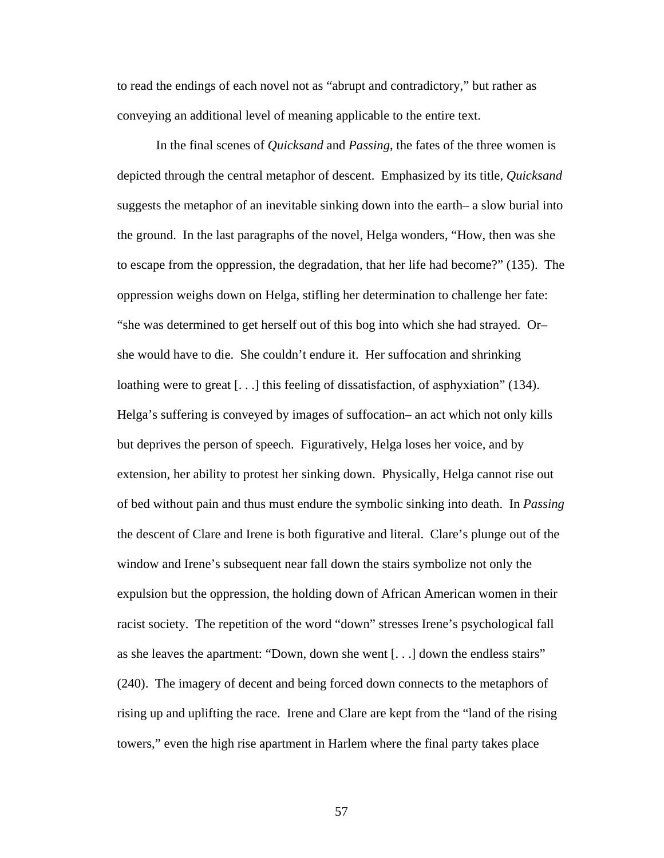to read the endings of each novel not as "abrupt and contradictory," but rather as conveying an additional level of meaning applicable to the entire text.

In the final scenes of *Quicksand* and *Passing*, the fates of the three women is depicted through the central metaphor of descent. Emphasized by its title, *Quicksand*  suggests the metaphor of an inevitable sinking down into the earth– a slow burial into the ground. In the last paragraphs of the novel, Helga wonders, "How, then was she to escape from the oppression, the degradation, that her life had become?" (135). The oppression weighs down on Helga, stifling her determination to challenge her fate: "she was determined to get herself out of this bog into which she had strayed. Or– she would have to die. She couldn't endure it. Her suffocation and shrinking loathing were to great [...] this feeling of dissatisfaction, of asphyxiation" (134). Helga's suffering is conveyed by images of suffocation– an act which not only kills but deprives the person of speech. Figuratively, Helga loses her voice, and by extension, her ability to protest her sinking down. Physically, Helga cannot rise out of bed without pain and thus must endure the symbolic sinking into death. In *Passing* the descent of Clare and Irene is both figurative and literal. Clare's plunge out of the window and Irene's subsequent near fall down the stairs symbolize not only the expulsion but the oppression, the holding down of African American women in their racist society. The repetition of the word "down" stresses Irene's psychological fall as she leaves the apartment: "Down, down she went [. . .] down the endless stairs" (240). The imagery of decent and being forced down connects to the metaphors of rising up and uplifting the race. Irene and Clare are kept from the "land of the rising towers," even the high rise apartment in Harlem where the final party takes place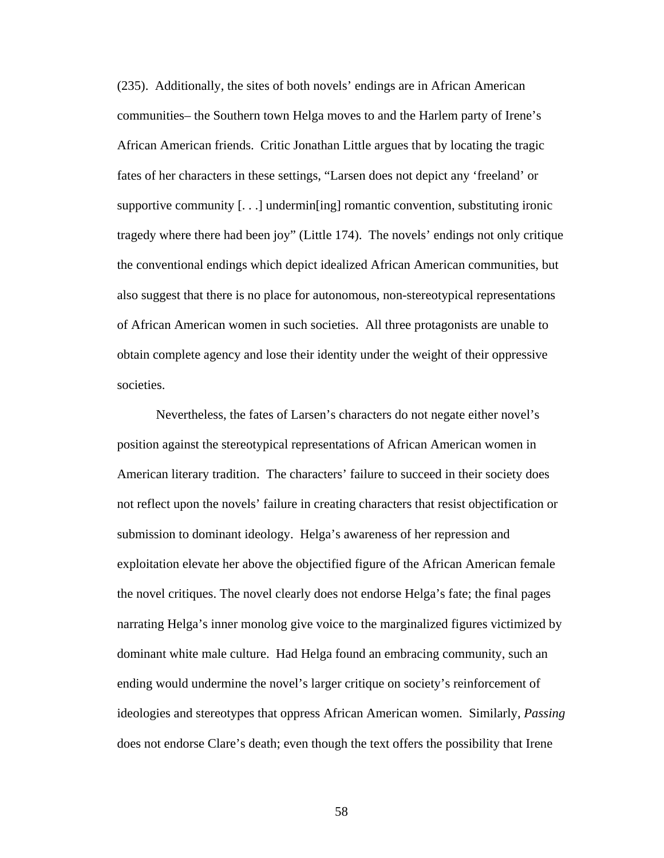(235). Additionally, the sites of both novels' endings are in African American communities– the Southern town Helga moves to and the Harlem party of Irene's African American friends. Critic Jonathan Little argues that by locating the tragic fates of her characters in these settings, "Larsen does not depict any 'freeland' or supportive community  $[\ldots]$  undermin $\lceil \text{ing} \rceil$  romantic convention, substituting ironic tragedy where there had been joy" (Little 174). The novels' endings not only critique the conventional endings which depict idealized African American communities, but also suggest that there is no place for autonomous, non-stereotypical representations of African American women in such societies. All three protagonists are unable to obtain complete agency and lose their identity under the weight of their oppressive societies.

Nevertheless, the fates of Larsen's characters do not negate either novel's position against the stereotypical representations of African American women in American literary tradition. The characters' failure to succeed in their society does not reflect upon the novels' failure in creating characters that resist objectification or submission to dominant ideology. Helga's awareness of her repression and exploitation elevate her above the objectified figure of the African American female the novel critiques. The novel clearly does not endorse Helga's fate; the final pages narrating Helga's inner monolog give voice to the marginalized figures victimized by dominant white male culture. Had Helga found an embracing community, such an ending would undermine the novel's larger critique on society's reinforcement of ideologies and stereotypes that oppress African American women. Similarly, *Passing* does not endorse Clare's death; even though the text offers the possibility that Irene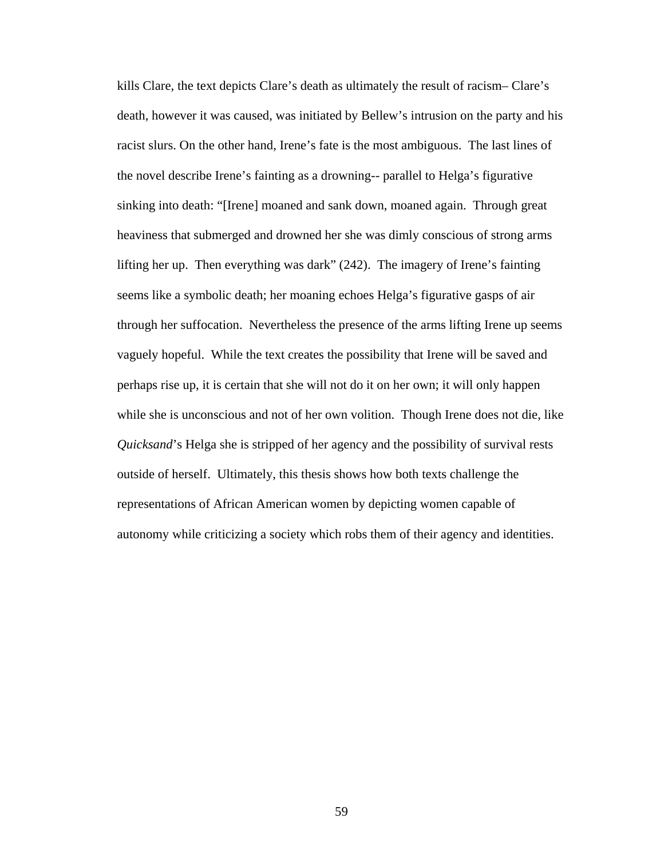kills Clare, the text depicts Clare's death as ultimately the result of racism– Clare's death, however it was caused, was initiated by Bellew's intrusion on the party and his racist slurs. On the other hand, Irene's fate is the most ambiguous. The last lines of the novel describe Irene's fainting as a drowning-- parallel to Helga's figurative sinking into death: "[Irene] moaned and sank down, moaned again. Through great heaviness that submerged and drowned her she was dimly conscious of strong arms lifting her up. Then everything was dark" (242). The imagery of Irene's fainting seems like a symbolic death; her moaning echoes Helga's figurative gasps of air through her suffocation. Nevertheless the presence of the arms lifting Irene up seems vaguely hopeful. While the text creates the possibility that Irene will be saved and perhaps rise up, it is certain that she will not do it on her own; it will only happen while she is unconscious and not of her own volition. Though Irene does not die, like *Quicksand*'s Helga she is stripped of her agency and the possibility of survival rests outside of herself. Ultimately, this thesis shows how both texts challenge the representations of African American women by depicting women capable of autonomy while criticizing a society which robs them of their agency and identities.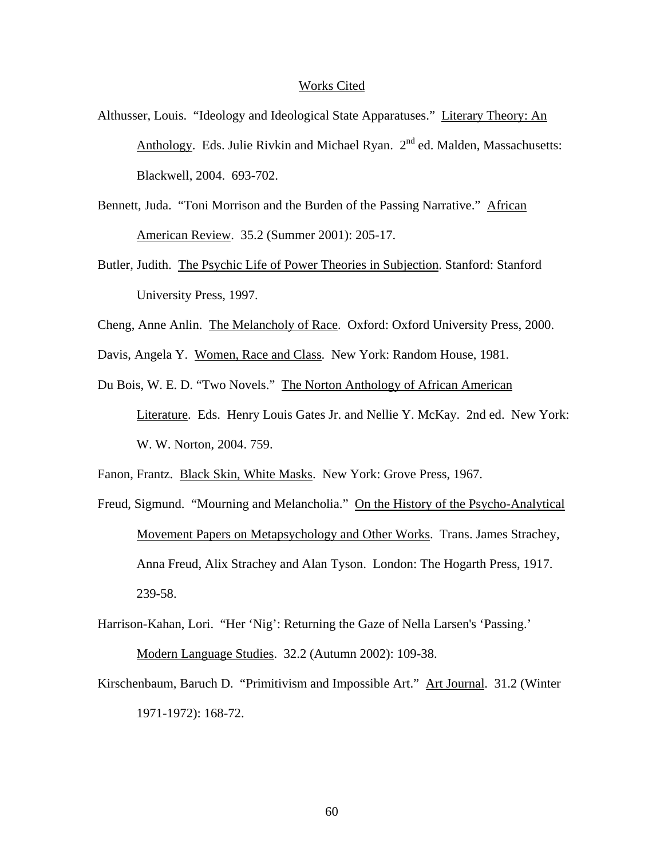#### Works Cited

- Althusser, Louis. "Ideology and Ideological State Apparatuses." Literary Theory: An Anthology. Eds. Julie Rivkin and Michael Ryan.  $2<sup>nd</sup>$  ed. Malden, Massachusetts: Blackwell, 2004. 693-702.
- Bennett, Juda. "Toni Morrison and the Burden of the Passing Narrative." African American Review. 35.2 (Summer 2001): 205-17.
- Butler, Judith. The Psychic Life of Power Theories in Subjection. Stanford: Stanford University Press, 1997.
- Cheng, Anne Anlin. The Melancholy of Race. Oxford: Oxford University Press, 2000.
- Davis, Angela Y. Women, Race and Class. New York: Random House, 1981.
- Du Bois, W. E. D. "Two Novels." The Norton Anthology of African American Literature. Eds. Henry Louis Gates Jr. and Nellie Y. McKay. 2nd ed. New York: W. W. Norton, 2004. 759.
- Fanon, Frantz. Black Skin, White Masks. New York: Grove Press, 1967.
- Freud, Sigmund. "Mourning and Melancholia." On the History of the Psycho-Analytical Movement Papers on Metapsychology and Other Works. Trans. James Strachey, Anna Freud, Alix Strachey and Alan Tyson. London: The Hogarth Press, 1917. 239-58.
- Harrison-Kahan, Lori. "Her 'Nig': Returning the Gaze of Nella Larsen's 'Passing.' Modern Language Studies. 32.2 (Autumn 2002): 109-38.
- Kirschenbaum, Baruch D. "Primitivism and Impossible Art." Art Journal. 31.2 (Winter 1971-1972): 168-72.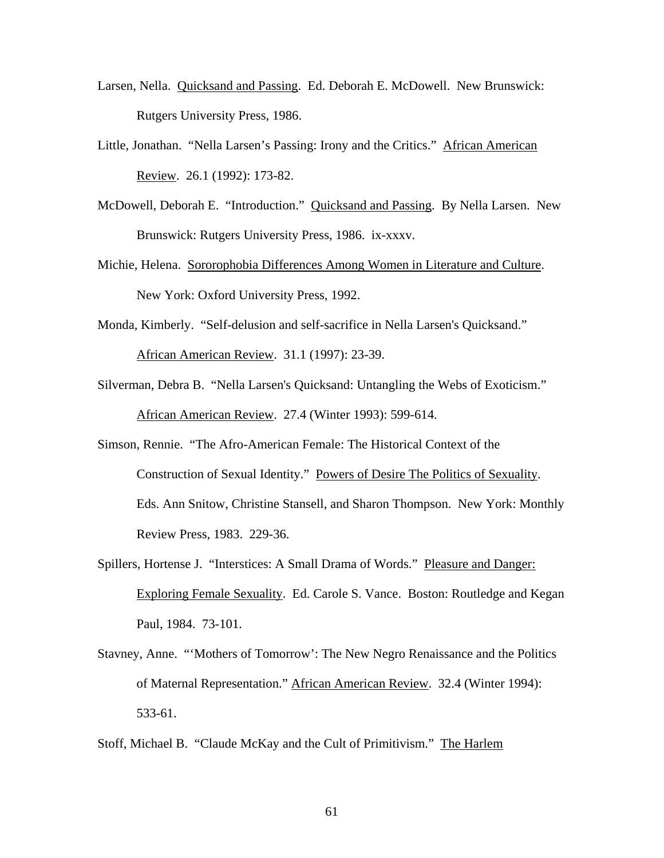- Larsen, Nella. Quicksand and Passing. Ed. Deborah E. McDowell. New Brunswick: Rutgers University Press, 1986.
- Little, Jonathan. "Nella Larsen's Passing: Irony and the Critics." African American Review. 26.1 (1992): 173-82.
- McDowell, Deborah E. "Introduction." Quicksand and Passing. By Nella Larsen. New Brunswick: Rutgers University Press, 1986. ix-xxxv.
- Michie, Helena. Sororophobia Differences Among Women in Literature and Culture. New York: Oxford University Press, 1992.
- Monda, Kimberly. "Self-delusion and self-sacrifice in Nella Larsen's Quicksand." African American Review. 31.1 (1997): 23-39.
- Silverman, Debra B. "Nella Larsen's Quicksand: Untangling the Webs of Exoticism." African American Review. 27.4 (Winter 1993): 599-614.
- Simson, Rennie. "The Afro-American Female: The Historical Context of the Construction of Sexual Identity." Powers of Desire The Politics of Sexuality. Eds. Ann Snitow, Christine Stansell, and Sharon Thompson. New York: Monthly Review Press, 1983. 229-36.
- Spillers, Hortense J. "Interstices: A Small Drama of Words." Pleasure and Danger: Exploring Female Sexuality. Ed. Carole S. Vance. Boston: Routledge and Kegan Paul, 1984. 73-101.
- Stavney, Anne. "'Mothers of Tomorrow': The New Negro Renaissance and the Politics of Maternal Representation." African American Review. 32.4 (Winter 1994): 533-61.
- Stoff, Michael B. "Claude McKay and the Cult of Primitivism." The Harlem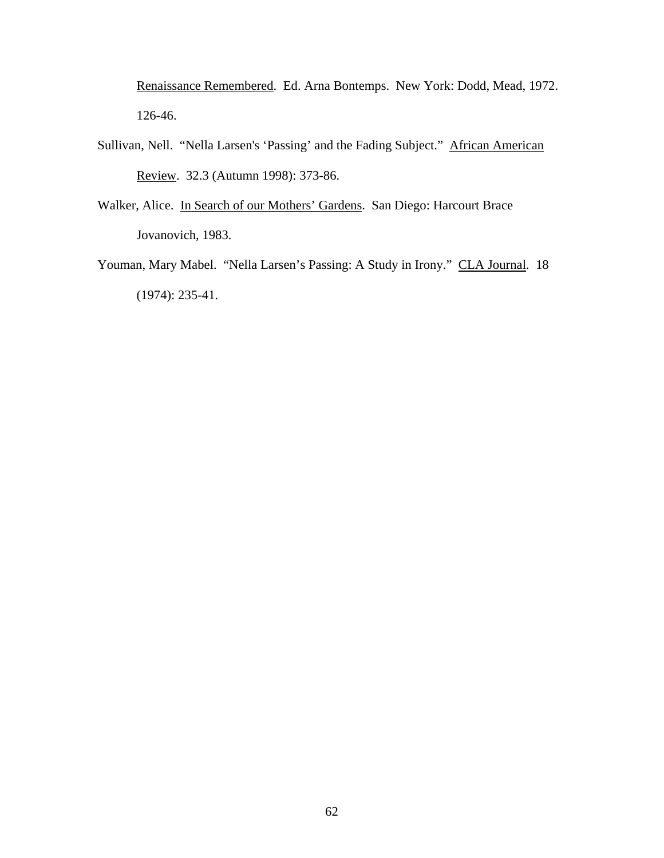Renaissance Remembered. Ed. Arna Bontemps. New York: Dodd, Mead, 1972. 126-46.

- Sullivan, Nell. "Nella Larsen's 'Passing' and the Fading Subject." African American Review. 32.3 (Autumn 1998): 373-86.
- Walker, Alice. In Search of our Mothers' Gardens. San Diego: Harcourt Brace Jovanovich, 1983.
- Youman, Mary Mabel. "Nella Larsen's Passing: A Study in Irony." CLA Journal. 18 (1974): 235-41.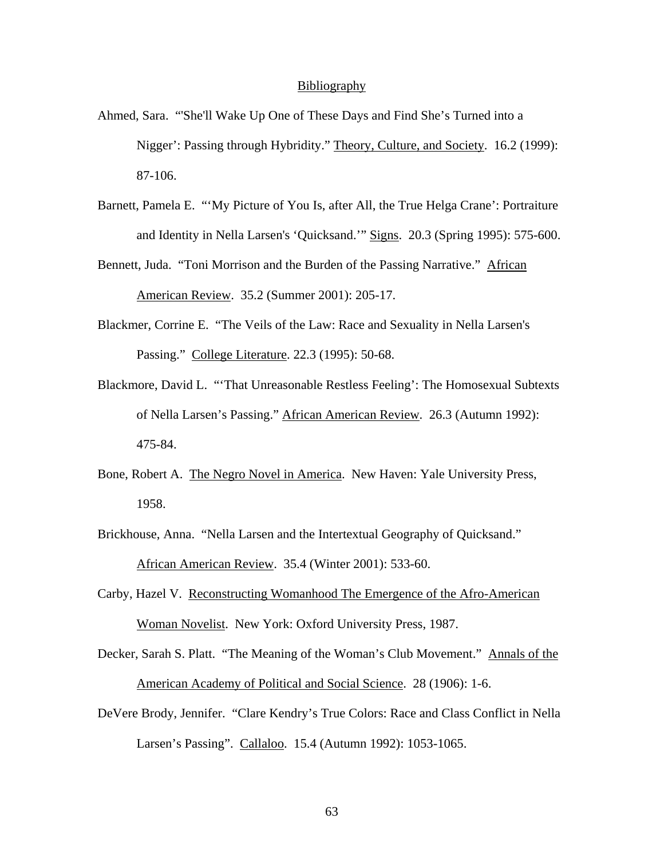#### **Bibliography**

- Ahmed, Sara. "'She'll Wake Up One of These Days and Find She's Turned into a Nigger': Passing through Hybridity." Theory, Culture, and Society. 16.2 (1999): 87-106.
- Barnett, Pamela E. "'My Picture of You Is, after All, the True Helga Crane': Portraiture and Identity in Nella Larsen's 'Quicksand.'" Signs. 20.3 (Spring 1995): 575-600.
- Bennett, Juda. "Toni Morrison and the Burden of the Passing Narrative." African American Review. 35.2 (Summer 2001): 205-17.
- Blackmer, Corrine E. "The Veils of the Law: Race and Sexuality in Nella Larsen's Passing." College Literature. 22.3 (1995): 50-68.
- Blackmore, David L. "'That Unreasonable Restless Feeling': The Homosexual Subtexts of Nella Larsen's Passing." African American Review. 26.3 (Autumn 1992): 475-84.
- Bone, Robert A. The Negro Novel in America. New Haven: Yale University Press, 1958.
- Brickhouse, Anna. "Nella Larsen and the Intertextual Geography of Quicksand." African American Review. 35.4 (Winter 2001): 533-60.
- Carby, Hazel V. Reconstructing Womanhood The Emergence of the Afro-American Woman Novelist. New York: Oxford University Press, 1987.
- Decker, Sarah S. Platt. "The Meaning of the Woman's Club Movement." Annals of the American Academy of Political and Social Science. 28 (1906): 1-6.
- DeVere Brody, Jennifer. "Clare Kendry's True Colors: Race and Class Conflict in Nella Larsen's Passing". Callaloo. 15.4 (Autumn 1992): 1053-1065.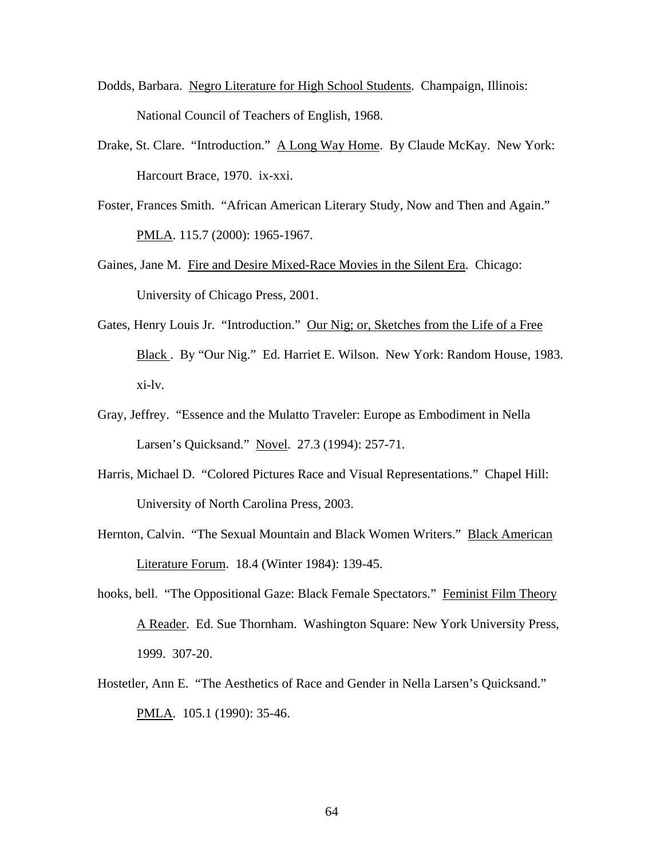- Dodds, Barbara. Negro Literature for High School Students. Champaign, Illinois: National Council of Teachers of English, 1968.
- Drake, St. Clare. "Introduction." A Long Way Home. By Claude McKay. New York: Harcourt Brace, 1970. ix-xxi.
- Foster, Frances Smith. "African American Literary Study, Now and Then and Again." PMLA. 115.7 (2000): 1965-1967.
- Gaines, Jane M. Fire and Desire Mixed-Race Movies in the Silent Era. Chicago: University of Chicago Press, 2001.
- Gates, Henry Louis Jr. "Introduction." Our Nig; or, Sketches from the Life of a Free Black . By "Our Nig." Ed. Harriet E. Wilson. New York: Random House, 1983. xi-lv.
- Gray, Jeffrey. "Essence and the Mulatto Traveler: Europe as Embodiment in Nella Larsen's Quicksand." Novel. 27.3 (1994): 257-71.
- Harris, Michael D. "Colored Pictures Race and Visual Representations." Chapel Hill: University of North Carolina Press, 2003.
- Hernton, Calvin. "The Sexual Mountain and Black Women Writers." Black American Literature Forum. 18.4 (Winter 1984): 139-45.
- hooks, bell. "The Oppositional Gaze: Black Female Spectators." Feminist Film Theory A Reader. Ed. Sue Thornham. Washington Square: New York University Press, 1999. 307-20.
- Hostetler, Ann E. "The Aesthetics of Race and Gender in Nella Larsen's Quicksand." PMLA. 105.1 (1990): 35-46.